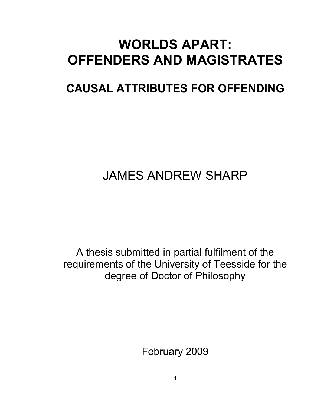## **WORLDS APART: OFFENDERS AND MAGISTRATES**

### **CAUSAL ATTRIBUTES FOR OFFENDING**

# JAMES ANDREW SHARP

A thesis submitted in partial fulfilment of the requirements of the University of Teesside for the degree of Doctor of Philosophy

February 2009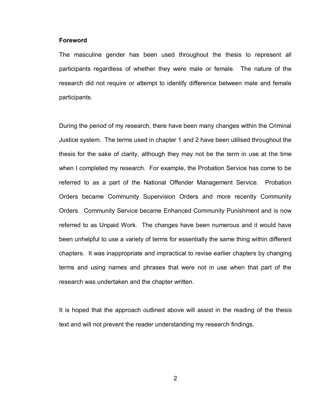#### **Foreword**

The masculine gender has been used throughout the thesis to represent all participants regardless of whether they were male or female. The nature of the research did not require or attempt to identify difference between male and female participants.

During the period of my research, there have been many changes within the Criminal Justice system. The terms used in chapter 1 and 2 have been utilised throughout the thesis for the sake of clarity, although they may not be the term in use at the time when I completed my research. For example, the Probation Service has come to be referred to as a part of the National Offender Management Service. Probation Orders became Community Supervision Orders and more recently Community Orders. Community Service became Enhanced Community Punishment and is now referred to as Unpaid Work. The changes have been numerous and it would have been unhelpful to use a variety of terms for essentially the same thing within different chapters. It was inappropriate and impractical to revise earlier chapters by changing terms and using names and phrases that were not in use when that part of the research was undertaken and the chapter written.

It is hoped that the approach outlined above will assist in the reading of the thesis text and will not prevent the reader understanding my research findings.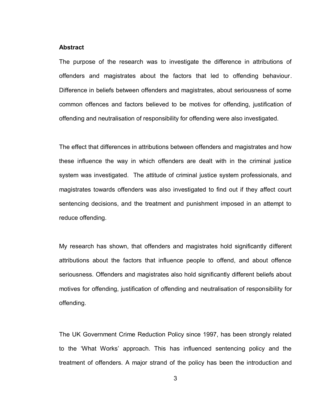#### **Abstract**

The purpose of the research was to investigate the difference in attributions of offenders and magistrates about the factors that led to offending behaviour. Difference in beliefs between offenders and magistrates, about seriousness of some common offences and factors believed to be motives for offending, justification of offending and neutralisation of responsibility for offending were also investigated.

The effect that differences in attributions between offenders and magistrates and how these influence the way in which offenders are dealt with in the criminal justice system was investigated. The attitude of criminal justice system professionals, and magistrates towards offenders was also investigated to find out if they affect court sentencing decisions, and the treatment and punishment imposed in an attempt to reduce offending.

My research has shown, that offenders and magistrates hold significantly different attributions about the factors that influence people to offend, and about offence seriousness. Offenders and magistrates also hold significantly different beliefs about motives for offending, justification of offending and neutralisation of responsibility for offending.

The UK Government Crime Reduction Policy since 1997, has been strongly related to the "What Works" approach. This has influenced sentencing policy and the treatment of offenders. A major strand of the policy has been the introduction and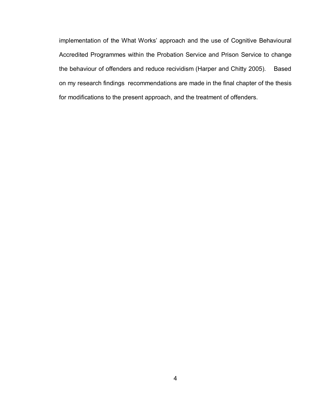implementation of the What Works" approach and the use of Cognitive Behavioural Accredited Programmes within the Probation Service and Prison Service to change the behaviour of offenders and reduce recividism (Harper and Chitty 2005). Based on my research findings recommendations are made in the final chapter of the thesis for modifications to the present approach, and the treatment of offenders.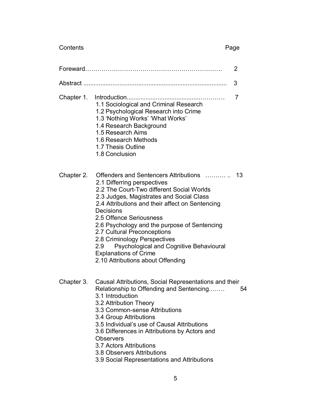Contents **Page** 

| 2          |                                                                                                                                                                                                                                                                                                                                                                                                                                                                                                |    |
|------------|------------------------------------------------------------------------------------------------------------------------------------------------------------------------------------------------------------------------------------------------------------------------------------------------------------------------------------------------------------------------------------------------------------------------------------------------------------------------------------------------|----|
|            |                                                                                                                                                                                                                                                                                                                                                                                                                                                                                                | 3  |
| Chapter 1. | 1.1 Sociological and Criminal Research<br>1.2 Psychological Research into Crime<br>1.3 'Nothing Works' 'What Works'<br>1.4 Research Background<br>1.5 Research Aims<br>1.6 Research Methods<br>1.7 Thesis Outline<br>1.8 Conclusion                                                                                                                                                                                                                                                            | 7  |
| Chapter 2. | Offenders and Sentencers Attributions<br>2.1 Differring perspectives<br>2.2 The Court-Two different Social Worlds<br>2.3 Judges, Magistrates and Social Class<br>2.4 Attributions and their affect on Sentencing<br>Decisions<br>2.5 Offence Seriousness<br>2.6 Psychology and the purpose of Sentencing<br>2.7 Cultural Preconceptions<br>2.8 Criminology Perspectives<br>Psychological and Cognitive Behavioural<br>2.9<br><b>Explanations of Crime</b><br>2.10 Attributions about Offending | 13 |
| Chapter 3. | Causal Attributions, Social Representations and their<br>Relationship to Offending and Sentencing<br>3.1 Introduction<br>3.2 Attribution Theory<br>3.3 Common-sense Attributions<br>3.4 Group Attributions<br>3.5 Individual's use of Causal Attributions<br>3.6 Differences in Attributions by Actors and<br><b>Observers</b><br>3.7 Actors Attributions                                                                                                                                      | 54 |

- 3.8 Observers Attributions
- 3.9 Social Representations and Attributions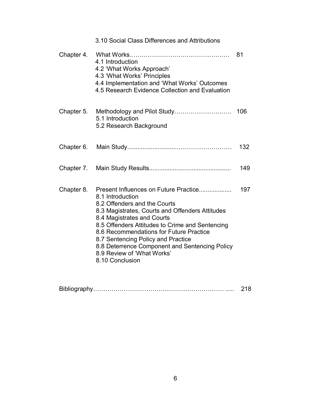|            | 3.10 Social Class Differences and Attributions                                                                                                                                                                                                                                                                                                                                                                    |     |
|------------|-------------------------------------------------------------------------------------------------------------------------------------------------------------------------------------------------------------------------------------------------------------------------------------------------------------------------------------------------------------------------------------------------------------------|-----|
| Chapter 4. | 4.1 Introduction<br>4.2 'What Works Approach'<br>4.3 'What Works' Principles<br>4.4 Implementation and 'What Works' Outcomes<br>4.5 Research Evidence Collection and Evaluation                                                                                                                                                                                                                                   | 81  |
| Chapter 5. | 5.1 Introduction<br>5.2 Research Background                                                                                                                                                                                                                                                                                                                                                                       | 106 |
| Chapter 6. |                                                                                                                                                                                                                                                                                                                                                                                                                   | 132 |
| Chapter 7. |                                                                                                                                                                                                                                                                                                                                                                                                                   | 149 |
| Chapter 8. | Present Influences on Future Practice<br>8.1 Introduction<br>8.2 Offenders and the Courts<br>8.3 Magistrates, Courts and Offenders Attitudes<br>8.4 Magistrates and Courts<br>8.5 Offenders Attitudes to Crime and Sentencing<br>8.6 Recommendations for Future Practice<br>8.7 Sentencing Policy and Practice<br>8.8 Deterrence Component and Sentencing Policy<br>8.9 Review of 'What Works'<br>8.10 Conclusion | 197 |

| Bibliography |  |
|--------------|--|
|--------------|--|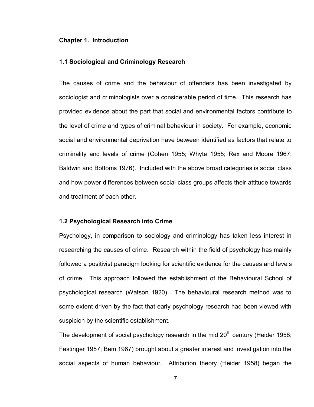#### **Chapter 1. Introduction**

#### **1.1 Sociological and Criminology Research**

The causes of crime and the behaviour of offenders has been investigated by sociologist and criminologists over a considerable period of time. This research has provided evidence about the part that social and environmental factors contribute to the level of crime and types of criminal behaviour in society. For example, economic social and environmental deprivation have between identified as factors that relate to criminality and levels of crime (Cohen 1955; Whyte 1955; Rex and Moore 1967; Baldwin and Bottoms 1976). Included with the above broad categories is social class and how power differences between social class groups affects their attitude towards and treatment of each other.

#### **1.2 Psychological Research into Crime**

Psychology, in comparison to sociology and criminology has taken less interest in researching the causes of crime. Research within the field of psychology has mainly followed a positivist paradigm looking for scientific evidence for the causes and levels of crime. This approach followed the establishment of the Behavioural School of psychological research (Watson 1920). The behavioural research method was to some extent driven by the fact that early psychology research had been viewed with suspicion by the scientific establishment.

The development of social psychology research in the mid  $20<sup>th</sup>$  century (Heider 1958; Festinger 1957; Bem 1967) brought about a greater interest and investigation into the social aspects of human behaviour. Attribution theory (Heider 1958) began the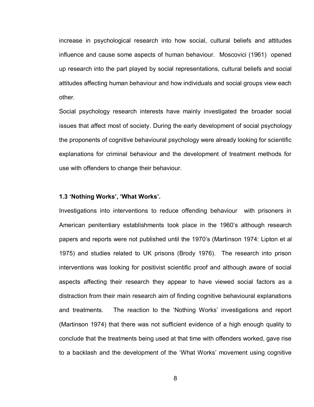increase in psychological research into how social, cultural beliefs and attitudes influence and cause some aspects of human behaviour. Moscovici (1961) opened up research into the part played by social representations, cultural beliefs and social attitudes affecting human behaviour and how individuals and social groups view each other.

Social psychology research interests have mainly investigated the broader social issues that affect most of society. During the early development of social psychology the proponents of cognitive behavioural psychology were already looking for scientific explanations for criminal behaviour and the development of treatment methods for use with offenders to change their behaviour.

#### **1.3 'Nothing Works', 'What Works'.**

Investigations into interventions to reduce offending behaviour with prisoners in American penitentiary establishments took place in the 1960"s although research papers and reports were not published until the 1970"s (Martinson 1974: Lipton et al 1975) and studies related to UK prisons (Brody 1976). The research into prison interventions was looking for positivist scientific proof and although aware of social aspects affecting their research they appear to have viewed social factors as a distraction from their main research aim of finding cognitive behavioural explanations and treatments. The reaction to the "Nothing Works" investigations and report (Martinson 1974) that there was not sufficient evidence of a high enough quality to conclude that the treatments being used at that time with offenders worked, gave rise to a backlash and the development of the "What Works" movement using cognitive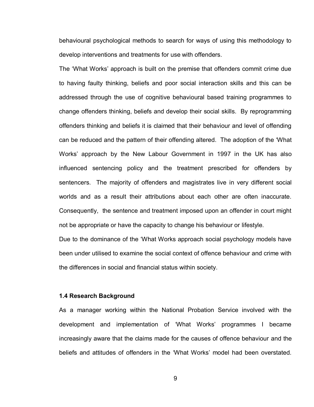behavioural psychological methods to search for ways of using this methodology to develop interventions and treatments for use with offenders.

The "What Works" approach is built on the premise that offenders commit crime due to having faulty thinking, beliefs and poor social interaction skills and this can be addressed through the use of cognitive behavioural based training programmes to change offenders thinking, beliefs and develop their social skills. By reprogramming offenders thinking and beliefs it is claimed that their behaviour and level of offending can be reduced and the pattern of their offending altered. The adoption of the "What Works" approach by the New Labour Government in 1997 in the UK has also influenced sentencing policy and the treatment prescribed for offenders by sentencers. The majority of offenders and magistrates live in very different social worlds and as a result their attributions about each other are often inaccurate. Consequently, the sentence and treatment imposed upon an offender in court might not be appropriate or have the capacity to change his behaviour or lifestyle.

Due to the dominance of the "What Works approach social psychology models have been under utilised to examine the social context of offence behaviour and crime with the differences in social and financial status within society.

#### **1.4 Research Background**

As a manager working within the National Probation Service involved with the development and implementation of "What Works" programmes I became increasingly aware that the claims made for the causes of offence behaviour and the beliefs and attitudes of offenders in the "What Works" model had been overstated.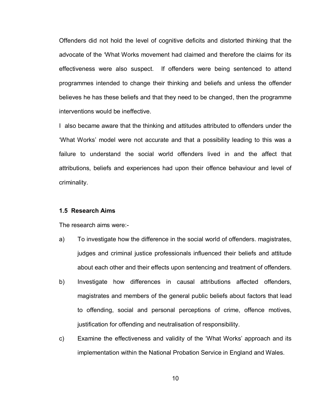Offenders did not hold the level of cognitive deficits and distorted thinking that the advocate of the "What Works movement had claimed and therefore the claims for its effectiveness were also suspect. If offenders were being sentenced to attend programmes intended to change their thinking and beliefs and unless the offender believes he has these beliefs and that they need to be changed, then the programme interventions would be ineffective.

I also became aware that the thinking and attitudes attributed to offenders under the "What Works" model were not accurate and that a possibility leading to this was a failure to understand the social world offenders lived in and the affect that attributions, beliefs and experiences had upon their offence behaviour and level of criminality.

#### **1.5 Research Aims**

The research aims were:-

- a) To investigate how the difference in the social world of offenders. magistrates, judges and criminal justice professionals influenced their beliefs and attitude about each other and their effects upon sentencing and treatment of offenders.
- b) Investigate how differences in causal attributions affected offenders, magistrates and members of the general public beliefs about factors that lead to offending, social and personal perceptions of crime, offence motives, justification for offending and neutralisation of responsibility.
- c) Examine the effectiveness and validity of the "What Works" approach and its implementation within the National Probation Service in England and Wales.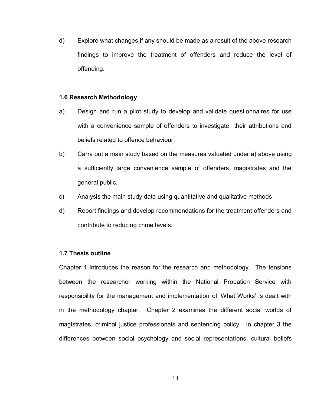d) Explore what changes if any should be made as a result of the above research findings to improve the treatment of offenders and reduce the level of offending.

#### **1.6 Research Methodology**

- a) Design and run a pilot study to develop and validate questionnaires for use with a convenience sample of offenders to investigate their attributions and beliefs related to offence behaviour.
- b) Carry out a main study based on the measures valuated under a) above using a sufficiently large convenience sample of offenders, magistrates and the general public.
- c) Analysis the main study data using quantitative and qualitative methods
- d) Report findings and develop recommendations for the treatment offenders and contribute to reducing crime levels.

#### **1.7 Thesis outline**

Chapter 1 introduces the reason for the research and methodology. The tensions between the researcher working within the National Probation Service with responsibility for the management and implementation of "What Works" is dealt with in the methodology chapter. Chapter 2 examines the different social worlds of magistrates, criminal justice professionals and sentencing policy. In chapter 3 the differences between social psychology and social representations, cultural beliefs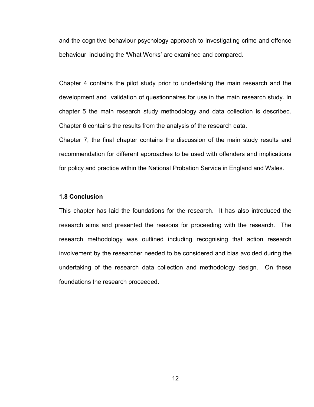and the cognitive behaviour psychology approach to investigating crime and offence behaviour including the 'What Works' are examined and compared.

Chapter 4 contains the pilot study prior to undertaking the main research and the development and validation of questionnaires for use in the main research study. In chapter 5 the main research study methodology and data collection is described. Chapter 6 contains the results from the analysis of the research data.

Chapter 7, the final chapter contains the discussion of the main study results and recommendation for different approaches to be used with offenders and implications for policy and practice within the National Probation Service in England and Wales.

### **1.8 Conclusion**

This chapter has laid the foundations for the research. It has also introduced the research aims and presented the reasons for proceeding with the research. The research methodology was outlined including recognising that action research involvement by the researcher needed to be considered and bias avoided during the undertaking of the research data collection and methodology design. On these foundations the research proceeded.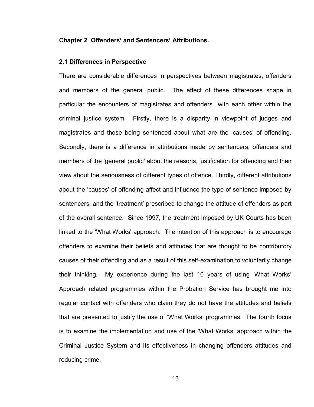#### **Chapter 2 Offenders' and Sentencers' Attributions.**

#### **2.1 Differences in Perspective**

There are considerable differences in perspectives between magistrates, offenders and members of the general public. The effect of these differences shape in particular the encounters of magistrates and offenders with each other within the criminal justice system. Firstly, there is a disparity in viewpoint of judges and magistrates and those being sentenced about what are the "causes" of offending. Secondly, there is a difference in attributions made by sentencers, offenders and members of the "general public" about the reasons, justification for offending and their view about the seriousness of different types of offence. Thirdly, different attributions about the "causes" of offending affect and influence the type of sentence imposed by sentencers, and the "treatment" prescribed to change the attitude of offenders as part of the overall sentence. Since 1997, the treatment imposed by UK Courts has been linked to the "What Works" approach. The intention of this approach is to encourage offenders to examine their beliefs and attitudes that are thought to be contributory causes of their offending and as a result of this self-examination to voluntarily change their thinking. My experience during the last 10 years of using "What Works" Approach related programmes within the Probation Service has brought me into regular contact with offenders who claim they do not have the attitudes and beliefs that are presented to justify the use of "What Works" programmes. The fourth focus is to examine the implementation and use of the "What Works" approach within the Criminal Justice System and its effectiveness in changing offenders attitudes and reducing crime.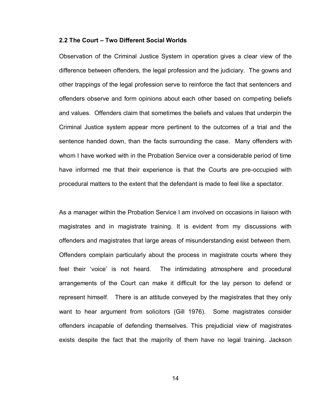#### **2.2 The Court – Two Different Social Worlds**

Observation of the Criminal Justice System in operation gives a clear view of the difference between offenders, the legal profession and the judiciary. The gowns and other trappings of the legal profession serve to reinforce the fact that sentencers and offenders observe and form opinions about each other based on competing beliefs and values. Offenders claim that sometimes the beliefs and values that underpin the Criminal Justice system appear more pertinent to the outcomes of a trial and the sentence handed down, than the facts surrounding the case. Many offenders with whom I have worked with in the Probation Service over a considerable period of time have informed me that their experience is that the Courts are pre-occupied with procedural matters to the extent that the defendant is made to feel like a spectator.

As a manager within the Probation Service I am involved on occasions in liaison with magistrates and in magistrate training. It is evident from my discussions with offenders and magistrates that large areas of misunderstanding exist between them. Offenders complain particularly about the process in magistrate courts where they feel their "voice" is not heard. The intimidating atmosphere and procedural arrangements of the Court can make it difficult for the lay person to defend or represent himself. There is an attitude conveyed by the magistrates that they only want to hear argument from solicitors (Gill 1976). Some magistrates consider offenders incapable of defending themselves. This prejudicial view of magistrates exists despite the fact that the majority of them have no legal training. Jackson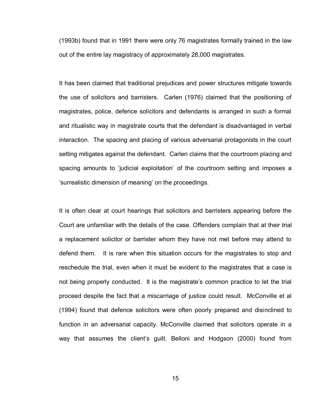(1993b) found that in 1991 there were only 76 magistrates formally trained in the law out of the entire lay magistracy of approximately 28,000 magistrates.

It has been claimed that traditional prejudices and power structures mitigate towards the use of solicitors and barristers. Carlen (1976) claimed that the positioning of magistrates, police, defence solicitors and defendants is arranged in such a formal and ritualistic way in magistrate courts that the defendant is disadvantaged in verbal interaction. The spacing and placing of various adversarial protagonists in the court setting mitigates against the defendant. Carlen claims that the courtroom placing and spacing amounts to "judicial exploitation" of the courtroom setting and imposes a "surrealistic dimension of meaning" on the proceedings.

It is often clear at court hearings that solicitors and barristers appearing before the Court are unfamiliar with the details of the case. Offenders complain that at their trial a replacement solicitor or barrister whom they have not met before may attend to defend them. It is rare when this situation occurs for the magistrates to stop and reschedule the trial, even when it must be evident to the magistrates that a case is not being properly conducted. It is the magistrate"s common practice to let the trial proceed despite the fact that a miscarriage of justice could result. McConville et al (1994) found that defence solicitors were often poorly prepared and disinclined to function in an adversarial capacity. McConville claimed that solicitors operate in a way that assumes the client"s guilt. Belloni and Hodgson (2000) found from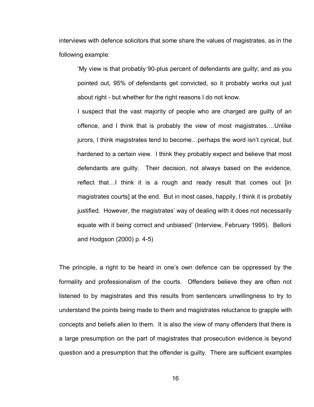interviews with defence solicitors that some share the values of magistrates, as in the following example:

"My view is that probably 90-plus percent of defendants are guilty; and as you pointed out, 95% of defendants get convicted, so it probably works out just about right - but whether for the right reasons I do not know.

I suspect that the vast majority of people who are charged are guilty of an offence, and I think that is probably the view of most magistrates….Unlike jurors, I think magistrates tend to become…perhaps the word isn"t cynical, but hardened to a certain view. I think they probably expect and believe that most defendants are guilty. Their decision, not always based on the evidence, reflect that…I think it is a rough and ready result that comes out [in magistrates courts] at the end. But in most cases, happily, I think it is probably justified. However, the magistrates' way of dealing with it does not necessarily equate with it being correct and unbiased" (Interview, February 1995). Belloni and Hodgson (2000) p. 4-5)

The principle, a right to be heard in one's own defence can be oppressed by the formality and professionalism of the courts. Offenders believe they are often not listened to by magistrates and this results from sentencers unwillingness to try to understand the points being made to them and magistrates reluctance to grapple with concepts and beliefs alien to them. It is also the view of many offenders that there is a large presumption on the part of magistrates that prosecution evidence is beyond question and a presumption that the offender is guilty. There are sufficient examples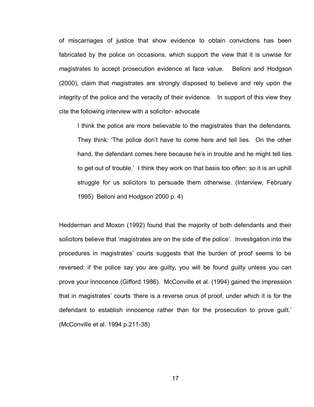of miscarriages of justice that show evidence to obtain convictions has been fabricated by the police on occasions, which support the view that it is unwise for magistrates to accept prosecution evidence at face value. Belloni and Hodgson (2000), claim that magistrates are strongly disposed to believe and rely upon the integrity of the police and the veracity of their evidence. In support of this view they cite the following interview with a solicitor- advocate

I think the police are more believable to the magistrates than the defendants. They think: "The police don"t have to come here and tell lies. On the other hand, the defendant comes here because he's in trouble and he might tell lies to get out of trouble." I think they work on that basis too often: so it is an uphill struggle for us solicitors to persuade them otherwise. (Interview, February 1995) Belloni and Hodgson 2000 p. 4)

Hedderman and Moxon (1992) found that the majority of both defendants and their solicitors believe that 'magistrates are on the side of the police'. Investigation into the procedures in magistrates" courts suggests that the burden of proof seems to be reversed: if the police say you are guilty, you will be found guilty unless you can prove your innocence (Gifford 1986). McConville et al. (1994) gained the impression that in magistrates" courts "there is a reverse onus of proof, under which it is for the defendant to establish innocence rather than for the prosecution to prove guilt." (McConville et al. 1994 p.211-38)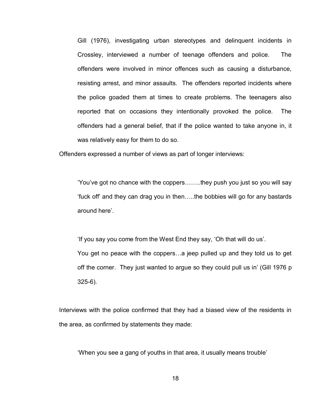Gill (1976), investigating urban stereotypes and delinquent incidents in Crossley, interviewed a number of teenage offenders and police. The offenders were involved in minor offences such as causing a disturbance, resisting arrest, and minor assaults. The offenders reported incidents where the police goaded them at times to create problems. The teenagers also reported that on occasions they intentionally provoked the police. The offenders had a general belief, that if the police wanted to take anyone in, it was relatively easy for them to do so.

Offenders expressed a number of views as part of longer interviews:

"You"ve got no chance with the coppers……..they push you just so you will say "fuck off" and they can drag you in then…..the bobbies will go for any bastards around here'.

"If you say you come from the West End they say, "Oh that will do us". You get no peace with the coppers…a jeep pulled up and they told us to get off the corner. They just wanted to argue so they could pull us in" (Gill 1976 p 325-6).

Interviews with the police confirmed that they had a biased view of the residents in the area, as confirmed by statements they made:

"When you see a gang of youths in that area, it usually means trouble"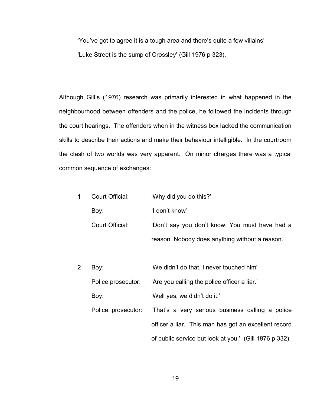"You"ve got to agree it is a tough area and there"s quite a few villains" 'Luke Street is the sump of Crossley' (Gill 1976 p 323).

Although Gill"s (1976) research was primarily interested in what happened in the neighbourhood between offenders and the police, he followed the incidents through the court hearings. The offenders when in the witness box lacked the communication skills to describe their actions and make their behaviour intelligible. In the courtroom the clash of two worlds was very apparent. On minor charges there was a typical common sequence of exchanges:

| 1 | Court Official:    | 'Why did you do this?'                                 |
|---|--------------------|--------------------------------------------------------|
|   | Boy:               | 'I don't know'                                         |
|   | Court Official:    | 'Don't say you don't know. You must have had a         |
|   |                    | reason. Nobody does anything without a reason.'        |
|   |                    |                                                        |
| 2 | Boy:               | 'We didn't do that. I never touched him'               |
|   | Police prosecutor: | 'Are you calling the police officer a liar.'           |
|   | Boy:               | 'Well yes, we didn't do it.'                           |
|   | Police prosecutor: | 'That's a very serious business calling a police       |
|   |                    | officer a liar. This man has got an excellent record   |
|   |                    | of public service but look at you.' (Gill 1976 p 332). |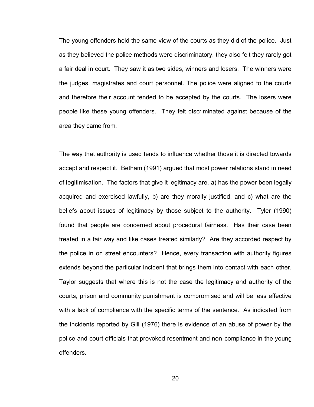The young offenders held the same view of the courts as they did of the police. Just as they believed the police methods were discriminatory, they also felt they rarely got a fair deal in court. They saw it as two sides, winners and losers. The winners were the judges, magistrates and court personnel. The police were aligned to the courts and therefore their account tended to be accepted by the courts. The losers were people like these young offenders. They felt discriminated against because of the area they came from.

The way that authority is used tends to influence whether those it is directed towards accept and respect it. Betham (1991) argued that most power relations stand in need of legitimisation. The factors that give it legitimacy are, a) has the power been legally acquired and exercised lawfully, b) are they morally justified, and c) what are the beliefs about issues of legitimacy by those subject to the authority. Tyler (1990) found that people are concerned about procedural fairness. Has their case been treated in a fair way and like cases treated similarly? Are they accorded respect by the police in on street encounters? Hence, every transaction with authority figures extends beyond the particular incident that brings them into contact with each other. Taylor suggests that where this is not the case the legitimacy and authority of the courts, prison and community punishment is compromised and will be less effective with a lack of compliance with the specific terms of the sentence. As indicated from the incidents reported by Gill (1976) there is evidence of an abuse of power by the police and court officials that provoked resentment and non-compliance in the young offenders.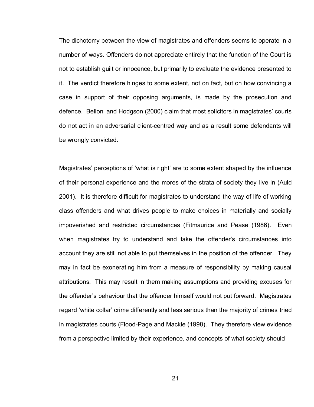The dichotomy between the view of magistrates and offenders seems to operate in a number of ways. Offenders do not appreciate entirely that the function of the Court is not to establish guilt or innocence, but primarily to evaluate the evidence presented to it. The verdict therefore hinges to some extent, not on fact, but on how convincing a case in support of their opposing arguments, is made by the prosecution and defence. Belloni and Hodgson (2000) claim that most solicitors in magistrates" courts do not act in an adversarial client-centred way and as a result some defendants will be wrongly convicted.

Magistrates' perceptions of 'what is right' are to some extent shaped by the influence of their personal experience and the mores of the strata of society they live in (Auld 2001). It is therefore difficult for magistrates to understand the way of life of working class offenders and what drives people to make choices in materially and socially impoverished and restricted circumstances (Fitmaurice and Pease (1986). Even when magistrates try to understand and take the offender's circumstances into account they are still not able to put themselves in the position of the offender. They may in fact be exonerating him from a measure of responsibility by making causal attributions. This may result in them making assumptions and providing excuses for the offender"s behaviour that the offender himself would not put forward. Magistrates regard "white collar" crime differently and less serious than the majority of crimes tried in magistrates courts (Flood-Page and Mackie (1998). They therefore view evidence from a perspective limited by their experience, and concepts of what society should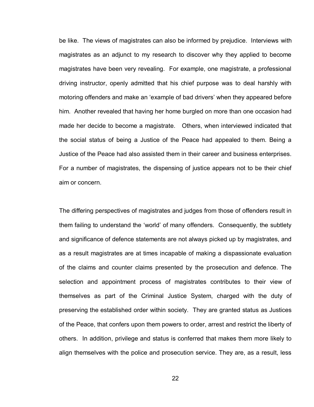be like. The views of magistrates can also be informed by prejudice. Interviews with magistrates as an adjunct to my research to discover why they applied to become magistrates have been very revealing. For example, one magistrate, a professional driving instructor, openly admitted that his chief purpose was to deal harshly with motoring offenders and make an "example of bad drivers" when they appeared before him. Another revealed that having her home burgled on more than one occasion had made her decide to become a magistrate. Others, when interviewed indicated that the social status of being a Justice of the Peace had appealed to them. Being a Justice of the Peace had also assisted them in their career and business enterprises. For a number of magistrates, the dispensing of justice appears not to be their chief aim or concern.

The differing perspectives of magistrates and judges from those of offenders result in them failing to understand the "world" of many offenders. Consequently, the subtlety and significance of defence statements are not always picked up by magistrates, and as a result magistrates are at times incapable of making a dispassionate evaluation of the claims and counter claims presented by the prosecution and defence. The selection and appointment process of magistrates contributes to their view of themselves as part of the Criminal Justice System, charged with the duty of preserving the established order within society. They are granted status as Justices of the Peace, that confers upon them powers to order, arrest and restrict the liberty of others. In addition, privilege and status is conferred that makes them more likely to align themselves with the police and prosecution service. They are, as a result, less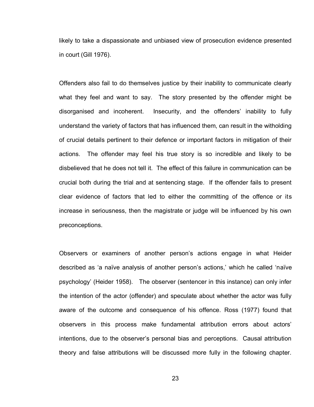likely to take a dispassionate and unbiased view of prosecution evidence presented in court (Gill 1976).

Offenders also fail to do themselves justice by their inability to communicate clearly what they feel and want to say. The story presented by the offender might be disorganised and incoherent. Insecurity, and the offenders' inability to fully understand the variety of factors that has influenced them, can result in the witholding of crucial details pertinent to their defence or important factors in mitigation of their actions. The offender may feel his true story is so incredible and likely to be disbelieved that he does not tell it. The effect of this failure in communication can be crucial both during the trial and at sentencing stage. If the offender fails to present clear evidence of factors that led to either the committing of the offence or its increase in seriousness, then the magistrate or judge will be influenced by his own preconceptions.

Observers or examiners of another person"s actions engage in what Heider described as 'a naïve analysis of another person's actions,' which he called 'naïve psychology" (Heider 1958). The observer (sentencer in this instance) can only infer the intention of the actor (offender) and speculate about whether the actor was fully aware of the outcome and consequence of his offence. Ross (1977) found that observers in this process make fundamental attribution errors about actors" intentions, due to the observer"s personal bias and perceptions. Causal attribution theory and false attributions will be discussed more fully in the following chapter.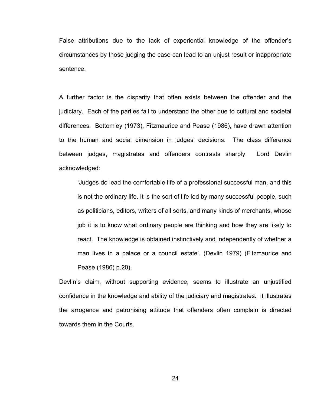False attributions due to the lack of experiential knowledge of the offender"s circumstances by those judging the case can lead to an unjust result or inappropriate sentence.

A further factor is the disparity that often exists between the offender and the judiciary. Each of the parties fail to understand the other due to cultural and societal differences. Bottomley (1973), Fitzmaurice and Pease (1986), have drawn attention to the human and social dimension in judges" decisions. The class difference between judges, magistrates and offenders contrasts sharply. Lord Devlin acknowledged:

"Judges do lead the comfortable life of a professional successful man, and this is not the ordinary life. It is the sort of life led by many successful people, such as politicians, editors, writers of all sorts, and many kinds of merchants, whose job it is to know what ordinary people are thinking and how they are likely to react. The knowledge is obtained instinctively and independently of whether a man lives in a palace or a council estate". (Devlin 1979) (Fitzmaurice and Pease (1986) p.20).

Devlin's claim, without supporting evidence, seems to illustrate an unjustified confidence in the knowledge and ability of the judiciary and magistrates. It illustrates the arrogance and patronising attitude that offenders often complain is directed towards them in the Courts.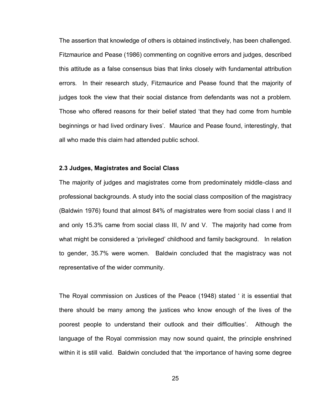The assertion that knowledge of others is obtained instinctively, has been challenged. Fitzmaurice and Pease (1986) commenting on cognitive errors and judges, described this attitude as a false consensus bias that links closely with fundamental attribution errors. In their research study, Fitzmaurice and Pease found that the majority of judges took the view that their social distance from defendants was not a problem. Those who offered reasons for their belief stated "that they had come from humble beginnings or had lived ordinary lives". Maurice and Pease found, interestingly, that all who made this claim had attended public school.

#### **2.3 Judges, Magistrates and Social Class**

The majority of judges and magistrates come from predominately middle-class and professional backgrounds. A study into the social class composition of the magistracy (Baldwin 1976) found that almost 84% of magistrates were from social class I and II and only 15.3% came from social class III, IV and V. The majority had come from what might be considered a "privileged" childhood and family background. In relation to gender, 35.7% were women. Baldwin concluded that the magistracy was not representative of the wider community.

The Royal commission on Justices of the Peace (1948) stated " it is essential that there should be many among the justices who know enough of the lives of the poorest people to understand their outlook and their difficulties'. Although the language of the Royal commission may now sound quaint, the principle enshrined within it is still valid. Baldwin concluded that "the importance of having some degree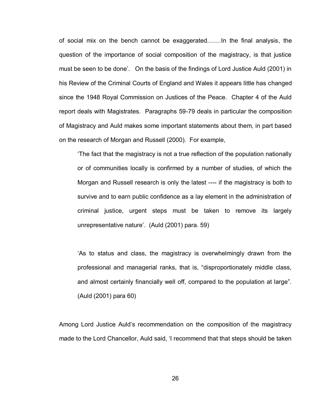of social mix on the bench cannot be exaggerated.……In the final analysis, the question of the importance of social composition of the magistracy, is that justice must be seen to be done'. On the basis of the findings of Lord Justice Auld (2001) in his Review of the Criminal Courts of England and Wales it appears little has changed since the 1948 Royal Commission on Justices of the Peace. Chapter 4 of the Auld report deals with Magistrates. Paragraphs 59-79 deals in particular the composition of Magistracy and Auld makes some important statements about them, in part based on the research of Morgan and Russell (2000). For example,

"The fact that the magistracy is not a true reflection of the population nationally or of communities locally is confirmed by a number of studies, of which the Morgan and Russell research is only the latest ---- if the magistracy is both to survive and to earn public confidence as a lay element in the administration of criminal justice, urgent steps must be taken to remove its largely unrepresentative nature'. (Auld (2001) para. 59)

"As to status and class, the magistracy is overwhelmingly drawn from the professional and managerial ranks, that is, "disproportionately middle class, and almost certainly financially well off, compared to the population at large". (Auld (2001) para 60)

Among Lord Justice Auld"s recommendation on the composition of the magistracy made to the Lord Chancellor, Auld said, 'I recommend that that steps should be taken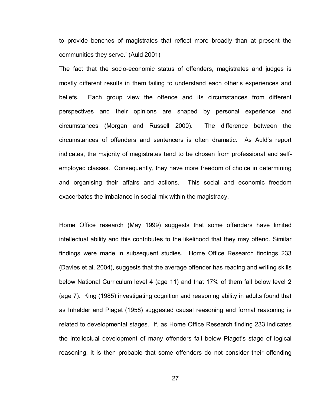to provide benches of magistrates that reflect more broadly than at present the communities they serve." (Auld 2001)

The fact that the socio-economic status of offenders, magistrates and judges is mostly different results in them failing to understand each other"s experiences and beliefs. Each group view the offence and its circumstances from different perspectives and their opinions are shaped by personal experience and circumstances (Morgan and Russell 2000). The difference between the circumstances of offenders and sentencers is often dramatic. As Auld"s report indicates, the majority of magistrates tend to be chosen from professional and selfemployed classes. Consequently, they have more freedom of choice in determining and organising their affairs and actions. This social and economic freedom exacerbates the imbalance in social mix within the magistracy.

Home Office research (May 1999) suggests that some offenders have limited intellectual ability and this contributes to the likelihood that they may offend. Similar findings were made in subsequent studies. Home Office Research findings 233 (Davies et al. 2004), suggests that the average offender has reading and writing skills below National Curriculum level 4 (age 11) and that 17% of them fall below level 2 (age 7). King (1985) investigating cognition and reasoning ability in adults found that as Inhelder and Piaget (1958) suggested causal reasoning and formal reasoning is related to developmental stages. If, as Home Office Research finding 233 indicates the intellectual development of many offenders fall below Piaget's stage of logical reasoning, it is then probable that some offenders do not consider their offending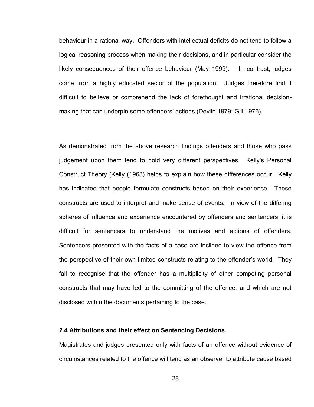behaviour in a rational way. Offenders with intellectual deficits do not tend to follow a logical reasoning process when making their decisions, and in particular consider the likely consequences of their offence behaviour (May 1999). In contrast, judges come from a highly educated sector of the population. Judges therefore find it difficult to believe or comprehend the lack of forethought and irrational decisionmaking that can underpin some offenders" actions (Devlin 1979: Gill 1976).

As demonstrated from the above research findings offenders and those who pass judgement upon them tend to hold very different perspectives. Kelly"s Personal Construct Theory (Kelly (1963) helps to explain how these differences occur. Kelly has indicated that people formulate constructs based on their experience. These constructs are used to interpret and make sense of events. In view of the differing spheres of influence and experience encountered by offenders and sentencers, it is difficult for sentencers to understand the motives and actions of offenders. Sentencers presented with the facts of a case are inclined to view the offence from the perspective of their own limited constructs relating to the offender"s world. They fail to recognise that the offender has a multiplicity of other competing personal constructs that may have led to the committing of the offence, and which are not disclosed within the documents pertaining to the case.

#### **2.4 Attributions and their effect on Sentencing Decisions.**

Magistrates and judges presented only with facts of an offence without evidence of circumstances related to the offence will tend as an observer to attribute cause based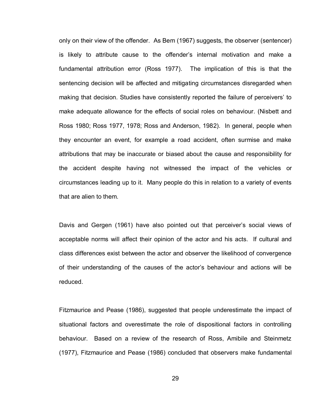only on their view of the offender. As Bem (1967) suggests, the observer (sentencer) is likely to attribute cause to the offender"s internal motivation and make a fundamental attribution error (Ross 1977). The implication of this is that the sentencing decision will be affected and mitigating circumstances disregarded when making that decision. Studies have consistently reported the failure of perceivers" to make adequate allowance for the effects of social roles on behaviour. (Nisbett and Ross 1980; Ross 1977, 1978; Ross and Anderson, 1982). In general, people when they encounter an event, for example a road accident, often surmise and make attributions that may be inaccurate or biased about the cause and responsibility for the accident despite having not witnessed the impact of the vehicles or circumstances leading up to it. Many people do this in relation to a variety of events that are alien to them.

Davis and Gergen (1961) have also pointed out that perceiver's social views of acceptable norms will affect their opinion of the actor and his acts. If cultural and class differences exist between the actor and observer the likelihood of convergence of their understanding of the causes of the actor"s behaviour and actions will be reduced.

Fitzmaurice and Pease (1986), suggested that people underestimate the impact of situational factors and overestimate the role of dispositional factors in controlling behaviour. Based on a review of the research of Ross, Amibile and Steinmetz (1977), Fitzmaurice and Pease (1986) concluded that observers make fundamental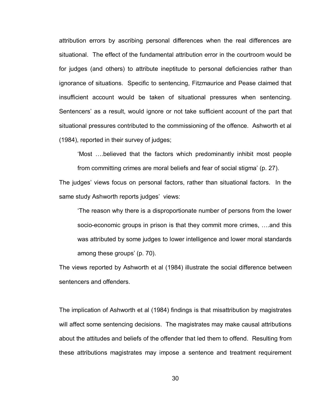attribution errors by ascribing personal differences when the real differences are situational. The effect of the fundamental attribution error in the courtroom would be for judges (and others) to attribute ineptitude to personal deficiencies rather than ignorance of situations. Specific to sentencing, Fitzmaurice and Pease claimed that insufficient account would be taken of situational pressures when sentencing. Sentencers' as a result, would ignore or not take sufficient account of the part that situational pressures contributed to the commissioning of the offence. Ashworth et al (1984), reported in their survey of judges;

"Most ….believed that the factors which predominantly inhibit most people

from committing crimes are moral beliefs and fear of social stigma" (p. 27).

The judges" views focus on personal factors, rather than situational factors. In the same study Ashworth reports judges' views:

"The reason why there is a disproportionate number of persons from the lower socio-economic groups in prison is that they commit more crimes, ….and this was attributed by some judges to lower intelligence and lower moral standards among these groups' (p. 70).

The views reported by Ashworth et al (1984) illustrate the social difference between sentencers and offenders.

The implication of Ashworth et al (1984) findings is that misattribution by magistrates will affect some sentencing decisions. The magistrates may make causal attributions about the attitudes and beliefs of the offender that led them to offend. Resulting from these attributions magistrates may impose a sentence and treatment requirement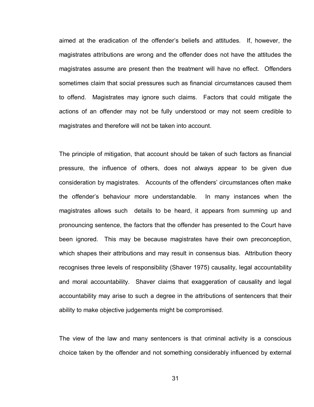aimed at the eradication of the offender"s beliefs and attitudes. If, however, the magistrates attributions are wrong and the offender does not have the attitudes the magistrates assume are present then the treatment will have no effect. Offenders sometimes claim that social pressures such as financial circumstances caused them to offend. Magistrates may ignore such claims. Factors that could mitigate the actions of an offender may not be fully understood or may not seem credible to magistrates and therefore will not be taken into account.

The principle of mitigation, that account should be taken of such factors as financial pressure, the influence of others, does not always appear to be given due consideration by magistrates. Accounts of the offenders" circumstances often make the offender"s behaviour more understandable. In many instances when the magistrates allows such details to be heard, it appears from summing up and pronouncing sentence, the factors that the offender has presented to the Court have been ignored. This may be because magistrates have their own preconception, which shapes their attributions and may result in consensus bias. Attribution theory recognises three levels of responsibility (Shaver 1975) causality, legal accountability and moral accountability. Shaver claims that exaggeration of causality and legal accountability may arise to such a degree in the attributions of sentencers that their ability to make objective judgements might be compromised.

The view of the law and many sentencers is that criminal activity is a conscious choice taken by the offender and not something considerably influenced by external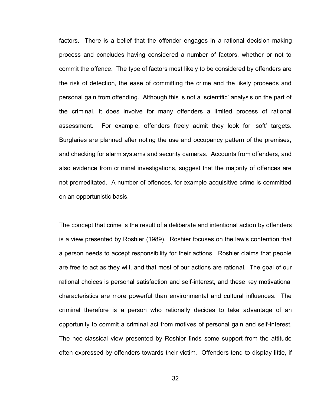factors. There is a belief that the offender engages in a rational decision-making process and concludes having considered a number of factors, whether or not to commit the offence. The type of factors most likely to be considered by offenders are the risk of detection, the ease of committing the crime and the likely proceeds and personal gain from offending. Although this is not a "scientific" analysis on the part of the criminal, it does involve for many offenders a limited process of rational assessment. For example, offenders freely admit they look for "soft" targets. Burglaries are planned after noting the use and occupancy pattern of the premises, and checking for alarm systems and security cameras. Accounts from offenders, and also evidence from criminal investigations, suggest that the majority of offences are not premeditated. A number of offences, for example acquisitive crime is committed on an opportunistic basis.

The concept that crime is the result of a deliberate and intentional action by offenders is a view presented by Roshier (1989). Roshier focuses on the law"s contention that a person needs to accept responsibility for their actions. Roshier claims that people are free to act as they will, and that most of our actions are rational. The goal of our rational choices is personal satisfaction and self-interest, and these key motivational characteristics are more powerful than environmental and cultural influences. The criminal therefore is a person who rationally decides to take advantage of an opportunity to commit a criminal act from motives of personal gain and self-interest. The neo-classical view presented by Roshier finds some support from the attitude often expressed by offenders towards their victim. Offenders tend to display little, if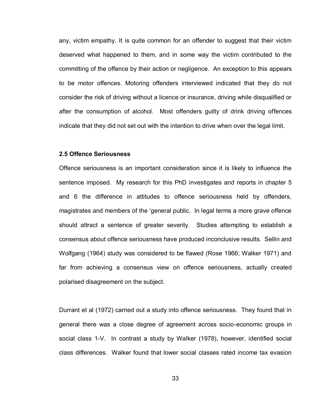any, victim empathy. It is quite common for an offender to suggest that their victim deserved what happened to them, and in some way the victim contributed to the committing of the offence by their action or negligence. An exception to this appears to be motor offences. Motoring offenders interviewed indicated that they do not consider the risk of driving without a licence or insurance, driving while disqualified or after the consumption of alcohol. Most offenders guilty of drink driving offences indicate that they did not set out with the intention to drive when over the legal limit.

#### **2.5 Offence Seriousness**

Offence seriousness is an important consideration since it is likely to influence the sentence imposed. My research for this PhD investigates and reports in chapter 5 and 6 the difference in attitudes to offence seriousness held by offenders, magistrates and members of the "general public. In legal terms a more grave offence should attract a sentence of greater severity. Studies attempting to establish a consensus about offence seriousness have produced inconclusive results. Sellin and Wolfgang (1964) study was considered to be flawed (Rose 1966; Walker 1971) and far from achieving a consensus view on offence seriousness, actually created polarised disagreement on the subject.

Durrant et al (1972) carried out a study into offence seriousness. They found that in general there was a close degree of agreement across socio-economic groups in social class 1-V. In contrast a study by Walker (1978), however, identified social class differences. Walker found that lower social classes rated income tax evasion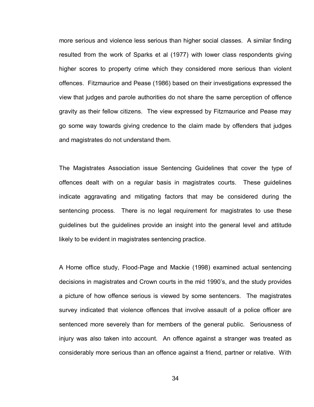more serious and violence less serious than higher social classes. A similar finding resulted from the work of Sparks et al (1977) with lower class respondents giving higher scores to property crime which they considered more serious than violent offences. Fitzmaurice and Pease (1986) based on their investigations expressed the view that judges and parole authorities do not share the same perception of offence gravity as their fellow citizens. The view expressed by Fitzmaurice and Pease may go some way towards giving credence to the claim made by offenders that judges and magistrates do not understand them.

The Magistrates Association issue Sentencing Guidelines that cover the type of offences dealt with on a regular basis in magistrates courts. These guidelines indicate aggravating and mitigating factors that may be considered during the sentencing process. There is no legal requirement for magistrates to use these guidelines but the guidelines provide an insight into the general level and attitude likely to be evident in magistrates sentencing practice.

A Home office study, Flood-Page and Mackie (1998) examined actual sentencing decisions in magistrates and Crown courts in the mid 1990"s, and the study provides a picture of how offence serious is viewed by some sentencers. The magistrates survey indicated that violence offences that involve assault of a police officer are sentenced more severely than for members of the general public. Seriousness of injury was also taken into account. An offence against a stranger was treated as considerably more serious than an offence against a friend, partner or relative. With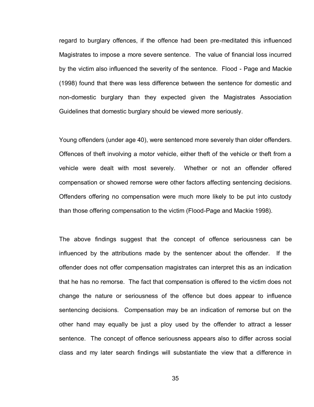regard to burglary offences, if the offence had been pre-meditated this influenced Magistrates to impose a more severe sentence. The value of financial loss incurred by the victim also influenced the severity of the sentence. Flood - Page and Mackie (1998) found that there was less difference between the sentence for domestic and non-domestic burglary than they expected given the Magistrates Association Guidelines that domestic burglary should be viewed more seriously.

Young offenders (under age 40), were sentenced more severely than older offenders. Offences of theft involving a motor vehicle, either theft of the vehicle or theft from a vehicle were dealt with most severely. Whether or not an offender offered compensation or showed remorse were other factors affecting sentencing decisions. Offenders offering no compensation were much more likely to be put into custody than those offering compensation to the victim (Flood-Page and Mackie 1998).

The above findings suggest that the concept of offence seriousness can be influenced by the attributions made by the sentencer about the offender. If the offender does not offer compensation magistrates can interpret this as an indication that he has no remorse. The fact that compensation is offered to the victim does not change the nature or seriousness of the offence but does appear to influence sentencing decisions. Compensation may be an indication of remorse but on the other hand may equally be just a ploy used by the offender to attract a lesser sentence. The concept of offence seriousness appears also to differ across social class and my later search findings will substantiate the view that a difference in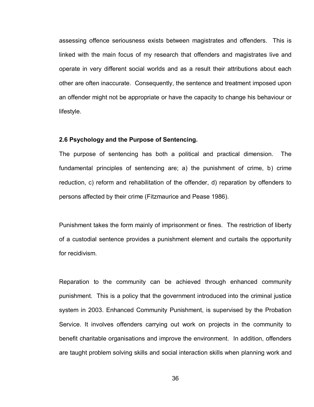assessing offence seriousness exists between magistrates and offenders. This is linked with the main focus of my research that offenders and magistrates live and operate in very different social worlds and as a result their attributions about each other are often inaccurate. Consequently, the sentence and treatment imposed upon an offender might not be appropriate or have the capacity to change his behaviour or lifestyle.

#### **2.6 Psychology and the Purpose of Sentencing.**

The purpose of sentencing has both a political and practical dimension. The fundamental principles of sentencing are; a) the punishment of crime, b) crime reduction, c) reform and rehabilitation of the offender, d) reparation by offenders to persons affected by their crime (Fitzmaurice and Pease 1986).

Punishment takes the form mainly of imprisonment or fines. The restriction of liberty of a custodial sentence provides a punishment element and curtails the opportunity for recidivism.

Reparation to the community can be achieved through enhanced community punishment. This is a policy that the government introduced into the criminal justice system in 2003. Enhanced Community Punishment, is supervised by the Probation Service. It involves offenders carrying out work on projects in the community to benefit charitable organisations and improve the environment. In addition, offenders are taught problem solving skills and social interaction skills when planning work and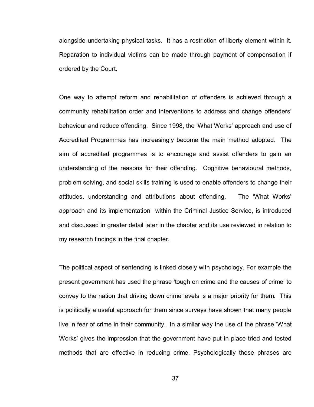alongside undertaking physical tasks. It has a restriction of liberty element within it. Reparation to individual victims can be made through payment of compensation if ordered by the Court.

One way to attempt reform and rehabilitation of offenders is achieved through a community rehabilitation order and interventions to address and change offenders" behaviour and reduce offending. Since 1998, the "What Works" approach and use of Accredited Programmes has increasingly become the main method adopted. The aim of accredited programmes is to encourage and assist offenders to gain an understanding of the reasons for their offending. Cognitive behavioural methods, problem solving, and social skills training is used to enable offenders to change their attitudes, understanding and attributions about offending. The "What Works" approach and its implementation within the Criminal Justice Service, is introduced and discussed in greater detail later in the chapter and its use reviewed in relation to my research findings in the final chapter.

The political aspect of sentencing is linked closely with psychology. For example the present government has used the phrase "tough on crime and the causes of crime" to convey to the nation that driving down crime levels is a major priority for them. This is politically a useful approach for them since surveys have shown that many people live in fear of crime in their community. In a similar way the use of the phrase "What Works" gives the impression that the government have put in place tried and tested methods that are effective in reducing crime. Psychologically these phrases are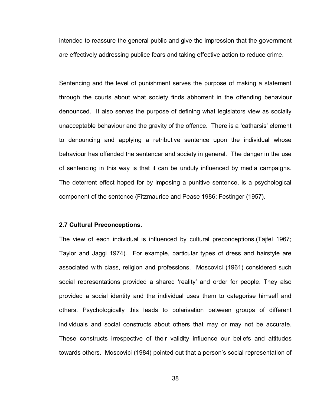intended to reassure the general public and give the impression that the government are effectively addressing publice fears and taking effective action to reduce crime.

Sentencing and the level of punishment serves the purpose of making a statement through the courts about what society finds abhorrent in the offending behaviour denounced. It also serves the purpose of defining what legislators view as socially unacceptable behaviour and the gravity of the offence. There is a "catharsis" element to denouncing and applying a retributive sentence upon the individual whose behaviour has offended the sentencer and society in general. The danger in the use of sentencing in this way is that it can be unduly influenced by media campaigns. The deterrent effect hoped for by imposing a punitive sentence, is a psychological component of the sentence (Fitzmaurice and Pease 1986; Festinger (1957).

## **2.7 Cultural Preconceptions.**

The view of each individual is influenced by cultural preconceptions.(Tajfel 1967; Taylor and Jaggi 1974). For example, particular types of dress and hairstyle are associated with class, religion and professions. Moscovici (1961) considered such social representations provided a shared "reality" and order for people. They also provided a social identity and the individual uses them to categorise himself and others. Psychologically this leads to polarisation between groups of different individuals and social constructs about others that may or may not be accurate. These constructs irrespective of their validity influence our beliefs and attitudes towards others. Moscovici (1984) pointed out that a person"s social representation of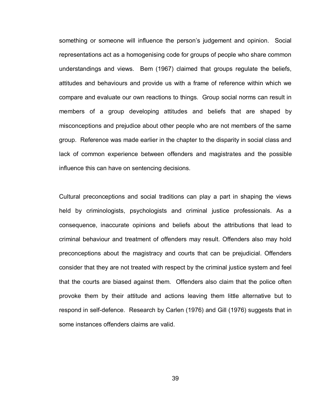something or someone will influence the person"s judgement and opinion. Social representations act as a homogenising code for groups of people who share common understandings and views. Bem (1967) claimed that groups regulate the beliefs, attitudes and behaviours and provide us with a frame of reference within which we compare and evaluate our own reactions to things. Group social norms can result in members of a group developing attitudes and beliefs that are shaped by misconceptions and prejudice about other people who are not members of the same group. Reference was made earlier in the chapter to the disparity in social class and lack of common experience between offenders and magistrates and the possible influence this can have on sentencing decisions.

Cultural preconceptions and social traditions can play a part in shaping the views held by criminologists, psychologists and criminal justice professionals. As a consequence, inaccurate opinions and beliefs about the attributions that lead to criminal behaviour and treatment of offenders may result. Offenders also may hold preconceptions about the magistracy and courts that can be prejudicial. Offenders consider that they are not treated with respect by the criminal justice system and feel that the courts are biased against them. Offenders also claim that the police often provoke them by their attitude and actions leaving them little alternative but to respond in self-defence. Research by Carlen (1976) and Gill (1976) suggests that in some instances offenders claims are valid.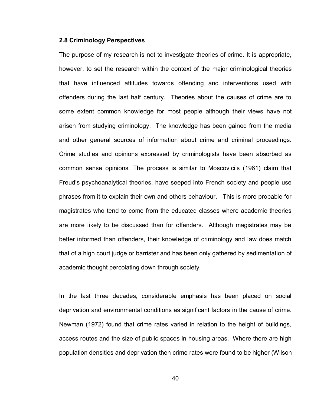#### **2.8 Criminology Perspectives**

The purpose of my research is not to investigate theories of crime. It is appropriate, however, to set the research within the context of the major criminological theories that have influenced attitudes towards offending and interventions used with offenders during the last half century. Theories about the causes of crime are to some extent common knowledge for most people although their views have not arisen from studying criminology. The knowledge has been gained from the media and other general sources of information about crime and criminal proceedings. Crime studies and opinions expressed by criminologists have been absorbed as common sense opinions. The process is similar to Moscovici"s (1961) claim that Freud"s psychoanalytical theories. have seeped into French society and people use phrases from it to explain their own and others behaviour. This is more probable for magistrates who tend to come from the educated classes where academic theories are more likely to be discussed than for offenders. Although magistrates may be better informed than offenders, their knowledge of criminology and law does match that of a high court judge or barrister and has been only gathered by sedimentation of academic thought percolating down through society.

In the last three decades, considerable emphasis has been placed on social deprivation and environmental conditions as significant factors in the cause of crime. Newman (1972) found that crime rates varied in relation to the height of buildings, access routes and the size of public spaces in housing areas. Where there are high population densities and deprivation then crime rates were found to be higher (Wilson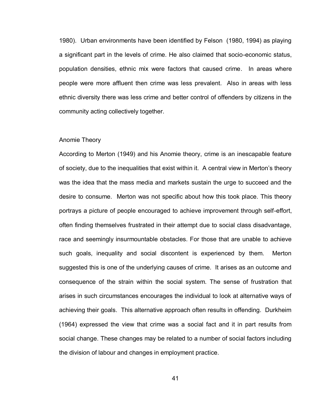1980). Urban environments have been identified by Felson (1980, 1994) as playing a significant part in the levels of crime. He also claimed that socio-economic status, population densities, ethnic mix were factors that caused crime. In areas where people were more affluent then crime was less prevalent. Also in areas with less ethnic diversity there was less crime and better control of offenders by citizens in the community acting collectively together.

#### Anomie Theory

According to Merton (1949) and his Anomie theory, crime is an inescapable feature of society, due to the inequalities that exist within it. A central view in Merton"s theory was the idea that the mass media and markets sustain the urge to succeed and the desire to consume. Merton was not specific about how this took place. This theory portrays a picture of people encouraged to achieve improvement through self-effort, often finding themselves frustrated in their attempt due to social class disadvantage, race and seemingly insurmountable obstacles. For those that are unable to achieve such goals, inequality and social discontent is experienced by them. Merton suggested this is one of the underlying causes of crime. It arises as an outcome and consequence of the strain within the social system. The sense of frustration that arises in such circumstances encourages the individual to look at alternative ways of achieving their goals. This alternative approach often results in offending. Durkheim (1964) expressed the view that crime was a social fact and it in part results from social change. These changes may be related to a number of social factors including the division of labour and changes in employment practice.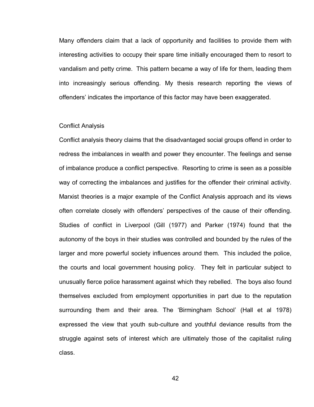Many offenders claim that a lack of opportunity and facilities to provide them with interesting activities to occupy their spare time initially encouraged them to resort to vandalism and petty crime. This pattern became a way of life for them, leading them into increasingly serious offending. My thesis research reporting the views of offenders" indicates the importance of this factor may have been exaggerated.

#### Conflict Analysis

Conflict analysis theory claims that the disadvantaged social groups offend in order to redress the imbalances in wealth and power they encounter. The feelings and sense of imbalance produce a conflict perspective. Resorting to crime is seen as a possible way of correcting the imbalances and justifies for the offender their criminal activity. Marxist theories is a major example of the Conflict Analysis approach and its views often correlate closely with offenders" perspectives of the cause of their offending. Studies of conflict in Liverpool (Gill (1977) and Parker (1974) found that the autonomy of the boys in their studies was controlled and bounded by the rules of the larger and more powerful society influences around them. This included the police, the courts and local government housing policy. They felt in particular subject to unusually fierce police harassment against which they rebelled. The boys also found themselves excluded from employment opportunities in part due to the reputation surrounding them and their area. The "Birmingham School" (Hall et al 1978) expressed the view that youth sub-culture and youthful deviance results from the struggle against sets of interest which are ultimately those of the capitalist ruling class.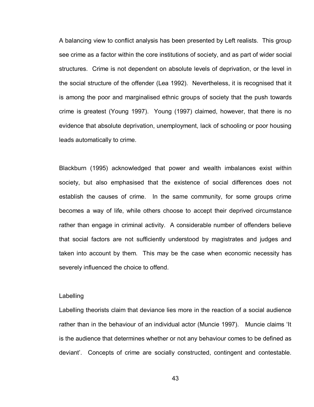A balancing view to conflict analysis has been presented by Left realists. This group see crime as a factor within the core institutions of society, and as part of wider social structures. Crime is not dependent on absolute levels of deprivation, or the level in the social structure of the offender (Lea 1992). Nevertheless, it is recognised that it is among the poor and marginalised ethnic groups of society that the push towards crime is greatest (Young 1997). Young (1997) claimed, however, that there is no evidence that absolute deprivation, unemployment, lack of schooling or poor housing leads automatically to crime.

Blackburn (1995) acknowledged that power and wealth imbalances exist within society, but also emphasised that the existence of social differences does not establish the causes of crime. In the same community, for some groups crime becomes a way of life, while others choose to accept their deprived circumstance rather than engage in criminal activity. A considerable number of offenders believe that social factors are not sufficiently understood by magistrates and judges and taken into account by them. This may be the case when economic necessity has severely influenced the choice to offend.

#### Labelling

Labelling theorists claim that deviance lies more in the reaction of a social audience rather than in the behaviour of an individual actor (Muncie 1997). Muncie claims "It is the audience that determines whether or not any behaviour comes to be defined as deviant". Concepts of crime are socially constructed, contingent and contestable.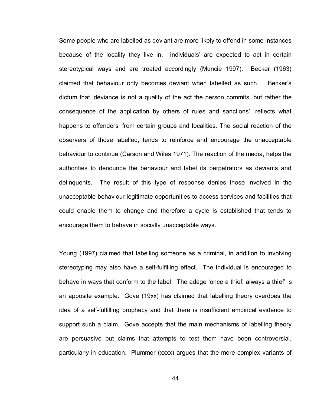Some people who are labelled as deviant are more likely to offend in some instances because of the locality they live in. Individuals" are expected to act in certain stereotypical ways and are treated accordingly (Muncie 1997). Becker (1963) claimed that behaviour only becomes deviant when labelled as such. Becker"s dictum that "deviance is not a quality of the act the person commits, but rather the consequence of the application by others of rules and sanctions", reflects what happens to offenders' from certain groups and localities. The social reaction of the observers of those labelled, tends to reinforce and encourage the unacceptable behaviour to continue (Carson and Wiles 1971). The reaction of the media, helps the authorities to denounce the behaviour and label its perpetrators as deviants and delinquents. The result of this type of response denies those involved in the unacceptable behaviour legitimate opportunities to access services and facilities that could enable them to change and therefore a cycle is established that tends to encourage them to behave in socially unacceptable ways.

Young (1997) claimed that labelling someone as a criminal, in addition to involving stereotyping may also have a self-fulfilling effect. The individual is encouraged to behave in ways that conform to the label. The adage 'once a thief, always a thief' is an apposite example. Gove (19xx) has claimed that labelling theory overdoes the idea of a self-fulfilling prophecy and that there is insufficient empirical evidence to support such a claim. Gove accepts that the main mechanisms of labelling theory are persuasive but claims that attempts to test them have been controversial, particularly in education. Plummer (xxxx) argues that the more complex variants of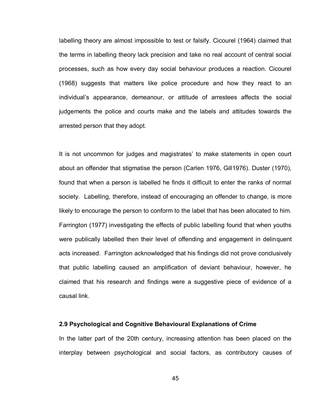labelling theory are almost impossible to test or falsify. Cicourel (1964) claimed that the terms in labelling theory lack precision and take no real account of central social processes, such as how every day social behaviour produces a reaction. Cicourel (1968) suggests that matters like police procedure and how they react to an individual"s appearance, demeanour, or attitude of arrestees affects the social judgements the police and courts make and the labels and attitudes towards the arrested person that they adopt.

It is not uncommon for judges and magistrates' to make statements in open court about an offender that stigmatise the person (Carlen 1976, Gill1976). Duster (1970), found that when a person is labelled he finds it difficult to enter the ranks of normal society. Labelling, therefore, instead of encouraging an offender to change, is more likely to encourage the person to conform to the label that has been allocated to him. Farrington (1977) investigating the effects of public labelling found that when youths were publically labelled then their level of offending and engagement in delinquent acts increased. Farrington acknowledged that his findings did not prove conclusively that public labelling caused an amplification of deviant behaviour, however, he claimed that his research and findings were a suggestive piece of evidence of a causal link.

## **2.9 Psychological and Cognitive Behavioural Explanations of Crime**

In the latter part of the 20th century, increasing attention has been placed on the interplay between psychological and social factors, as contributory causes of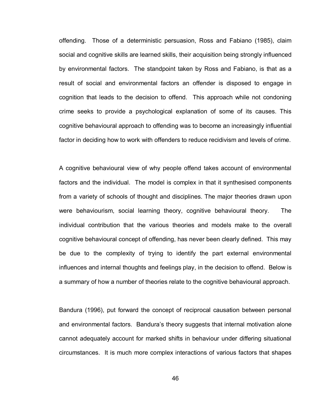offending. Those of a deterministic persuasion, Ross and Fabiano (1985), claim social and cognitive skills are learned skills, their acquisition being strongly influenced by environmental factors. The standpoint taken by Ross and Fabiano, is that as a result of social and environmental factors an offender is disposed to engage in cognition that leads to the decision to offend. This approach while not condoning crime seeks to provide a psychological explanation of some of its causes. This cognitive behavioural approach to offending was to become an increasingly influential factor in deciding how to work with offenders to reduce recidivism and levels of crime.

A cognitive behavioural view of why people offend takes account of environmental factors and the individual. The model is complex in that it synthesised components from a variety of schools of thought and disciplines. The major theories drawn upon were behaviourism, social learning theory, cognitive behavioural theory. The individual contribution that the various theories and models make to the overall cognitive behavioural concept of offending, has never been clearly defined. This may be due to the complexity of trying to identify the part external environmental influences and internal thoughts and feelings play, in the decision to offend. Below is a summary of how a number of theories relate to the cognitive behavioural approach.

Bandura (1996), put forward the concept of reciprocal causation between personal and environmental factors. Bandura's theory suggests that internal motivation alone cannot adequately account for marked shifts in behaviour under differing situational circumstances. It is much more complex interactions of various factors that shapes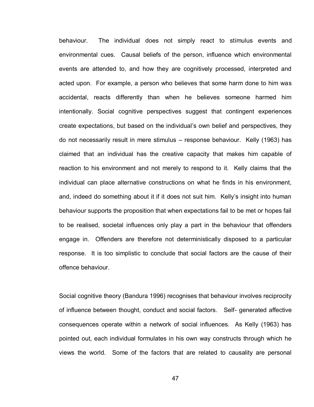behaviour. The individual does not simply react to stimulus events and environmental cues. Causal beliefs of the person, influence which environmental events are attended to, and how they are cognitively processed, interpreted and acted upon. For example, a person who believes that some harm done to him was accidental, reacts differently than when he believes someone harmed him intentionally. Social cognitive perspectives suggest that contingent experiences create expectations, but based on the individual"s own belief and perspectives, they do not necessarily result in mere stimulus – response behaviour. Kelly (1963) has claimed that an individual has the creative capacity that makes him capable of reaction to his environment and not merely to respond to it. Kelly claims that the individual can place alternative constructions on what he finds in his environment, and, indeed do something about it if it does not suit him. Kelly"s insight into human behaviour supports the proposition that when expectations fail to be met or hopes fail to be realised, societal influences only play a part in the behaviour that offenders engage in. Offenders are therefore not deterministically disposed to a particular response. It is too simplistic to conclude that social factors are the cause of their offence behaviour.

Social cognitive theory (Bandura 1996) recognises that behaviour involves reciprocity of influence between thought, conduct and social factors. Self- generated affective consequences operate within a network of social influences. As Kelly (1963) has pointed out, each individual formulates in his own way constructs through which he views the world. Some of the factors that are related to causality are personal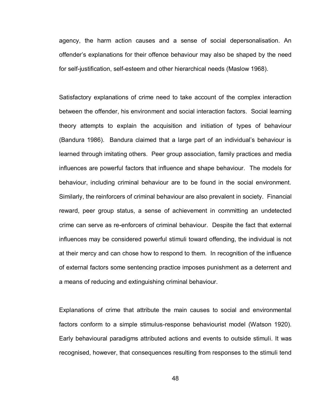agency, the harm action causes and a sense of social depersonalisation. An offender"s explanations for their offence behaviour may also be shaped by the need for self-justification, self-esteem and other hierarchical needs (Maslow 1968).

Satisfactory explanations of crime need to take account of the complex interaction between the offender, his environment and social interaction factors. Social learning theory attempts to explain the acquisition and initiation of types of behaviour (Bandura 1986). Bandura claimed that a large part of an individual"s behaviour is learned through imitating others. Peer group association, family practices and media influences are powerful factors that influence and shape behaviour. The models for behaviour, including criminal behaviour are to be found in the social environment. Similarly, the reinforcers of criminal behaviour are also prevalent in society. Financial reward, peer group status, a sense of achievement in committing an undetected crime can serve as re-enforcers of criminal behaviour. Despite the fact that external influences may be considered powerful stimuli toward offending, the individual is not at their mercy and can chose how to respond to them. In recognition of the influence of external factors some sentencing practice imposes punishment as a deterrent and a means of reducing and extinguishing criminal behaviour.

Explanations of crime that attribute the main causes to social and environmental factors conform to a simple stimulus-response behaviourist model (Watson 1920). Early behavioural paradigms attributed actions and events to outside stimuli. It was recognised, however, that consequences resulting from responses to the stimuli tend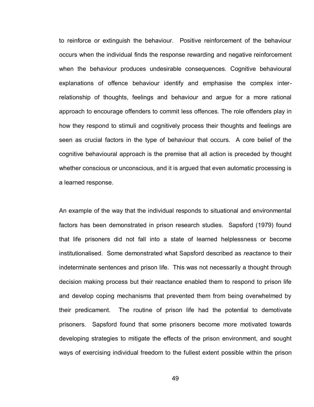to reinforce or extinguish the behaviour. Positive reinforcement of the behaviour occurs when the individual finds the response rewarding and negative reinforcement when the behaviour produces undesirable consequences. Cognitive behavioural explanations of offence behaviour identify and emphasise the complex interrelationship of thoughts, feelings and behaviour and argue for a more rational approach to encourage offenders to commit less offences. The role offenders play in how they respond to stimuli and cognitively process their thoughts and feelings are seen as crucial factors in the type of behaviour that occurs. A core belief of the cognitive behavioural approach is the premise that all action is preceded by thought whether conscious or unconscious, and it is argued that even automatic processing is a learned response.

An example of the way that the individual responds to situational and environmental factors has been demonstrated in prison research studies. Sapsford (1979) found that life prisoners did not fall into a state of learned helplessness or become institutionalised. Some demonstrated what Sapsford described as *reactance* to their indeterminate sentences and prison life. This was not necessarily a thought through decision making process but their reactance enabled them to respond to prison life and develop coping mechanisms that prevented them from being overwhelmed by their predicament. The routine of prison life had the potential to demotivate prisoners. Sapsford found that some prisoners become more motivated towards developing strategies to mitigate the effects of the prison environment, and sought ways of exercising individual freedom to the fullest extent possible within the prison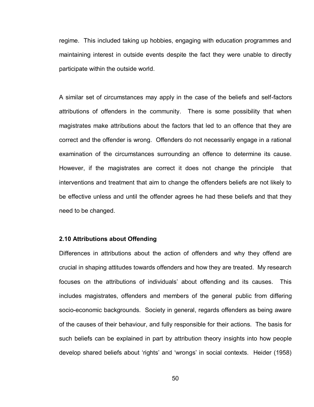regime. This included taking up hobbies, engaging with education programmes and maintaining interest in outside events despite the fact they were unable to directly participate within the outside world.

A similar set of circumstances may apply in the case of the beliefs and self-factors attributions of offenders in the community. There is some possibility that when magistrates make attributions about the factors that led to an offence that they are correct and the offender is wrong. Offenders do not necessarily engage in a rational examination of the circumstances surrounding an offence to determine its cause. However, if the magistrates are correct it does not change the principle that interventions and treatment that aim to change the offenders beliefs are not likely to be effective unless and until the offender agrees he had these beliefs and that they need to be changed.

## **2.10 Attributions about Offending**

Differences in attributions about the action of offenders and why they offend are crucial in shaping attitudes towards offenders and how they are treated. My research focuses on the attributions of individuals" about offending and its causes. This includes magistrates, offenders and members of the general public from differing socio-economic backgrounds. Society in general, regards offenders as being aware of the causes of their behaviour, and fully responsible for their actions. The basis for such beliefs can be explained in part by attribution theory insights into how people develop shared beliefs about "rights" and "wrongs" in social contexts. Heider (1958)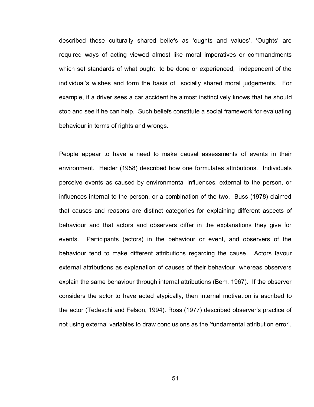described these culturally shared beliefs as "oughts and values". "Oughts" are required ways of acting viewed almost like moral imperatives or commandments which set standards of what ought to be done or experienced, independent of the individual"s wishes and form the basis of socially shared moral judgements. For example, if a driver sees a car accident he almost instinctively knows that he should stop and see if he can help. Such beliefs constitute a social framework for evaluating behaviour in terms of rights and wrongs.

People appear to have a need to make causal assessments of events in their environment. Heider (1958) described how one formulates attributions. Individuals perceive events as caused by environmental influences, external to the person, or influences internal to the person, or a combination of the two. Buss (1978) claimed that causes and reasons are distinct categories for explaining different aspects of behaviour and that actors and observers differ in the explanations they give for events. Participants (actors) in the behaviour or event, and observers of the behaviour tend to make different attributions regarding the cause. Actors favour external attributions as explanation of causes of their behaviour, whereas observers explain the same behaviour through internal attributions (Bem, 1967). If the observer considers the actor to have acted atypically, then internal motivation is ascribed to the actor (Tedeschi and Felson, 1994). Ross (1977) described observer"s practice of not using external variables to draw conclusions as the "fundamental attribution error".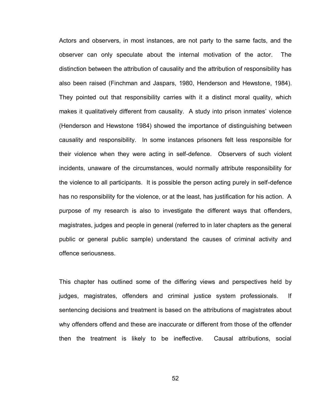Actors and observers, in most instances, are not party to the same facts, and the observer can only speculate about the internal motivation of the actor. The distinction between the attribution of causality and the attribution of responsibility has also been raised (Finchman and Jaspars, 1980, Henderson and Hewstone, 1984). They pointed out that responsibility carries with it a distinct moral quality, which makes it qualitatively different from causality. A study into prison inmates' violence (Henderson and Hewstone 1984) showed the importance of distinguishing between causality and responsibility. In some instances prisoners felt less responsible for their violence when they were acting in self-defence. Observers of such violent incidents, unaware of the circumstances, would normally attribute responsibility for the violence to all participants. It is possible the person acting purely in self-defence has no responsibility for the violence, or at the least, has justification for his action. A purpose of my research is also to investigate the different ways that offenders, magistrates, judges and people in general (referred to in later chapters as the general public or general public sample) understand the causes of criminal activity and offence seriousness.

This chapter has outlined some of the differing views and perspectives held by judges, magistrates, offenders and criminal justice system professionals. If sentencing decisions and treatment is based on the attributions of magistrates about why offenders offend and these are inaccurate or different from those of the offender then the treatment is likely to be ineffective. Causal attributions, social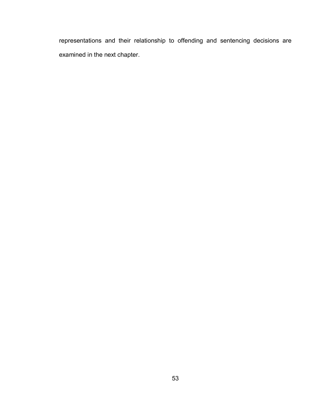representations and their relationship to offending and sentencing decisions are examined in the next chapter.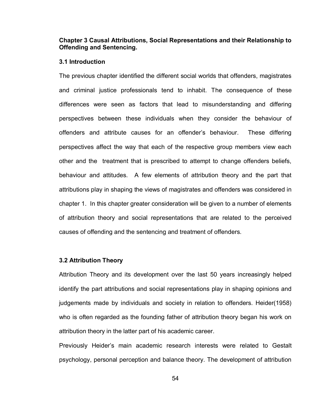# **Chapter 3 Causal Attributions, Social Representations and their Relationship to Offending and Sentencing.**

#### **3.1 Introduction**

The previous chapter identified the different social worlds that offenders, magistrates and criminal justice professionals tend to inhabit. The consequence of these differences were seen as factors that lead to misunderstanding and differing perspectives between these individuals when they consider the behaviour of offenders and attribute causes for an offender"s behaviour. These differing perspectives affect the way that each of the respective group members view each other and the treatment that is prescribed to attempt to change offenders beliefs, behaviour and attitudes. A few elements of attribution theory and the part that attributions play in shaping the views of magistrates and offenders was considered in chapter 1. In this chapter greater consideration will be given to a number of elements of attribution theory and social representations that are related to the perceived causes of offending and the sentencing and treatment of offenders.

#### **3.2 Attribution Theory**

Attribution Theory and its development over the last 50 years increasingly helped identify the part attributions and social representations play in shaping opinions and judgements made by individuals and society in relation to offenders. Heider(1958) who is often regarded as the founding father of attribution theory began his work on attribution theory in the latter part of his academic career.

Previously Heider"s main academic research interests were related to Gestalt psychology, personal perception and balance theory. The development of attribution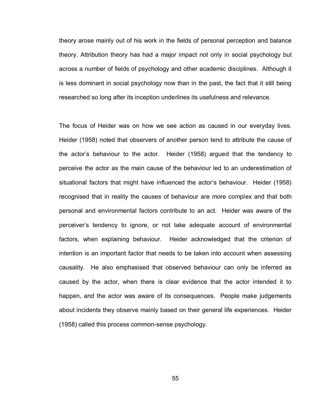theory arose mainly out of his work in the fields of personal perception and balance theory. Attribution theory has had a major impact not only in social psychology but across a number of fields of psychology and other academic disciplines. Although it is less dominant in social psychology now than in the past, the fact that it still being researched so long after its inception underlines its usefulness and relevance.

The focus of Heider was on how we see action as caused in our everyday lives. Heider (1958) noted that observers of another person tend to attribute the cause of the actor"s behaviour to the actor. Heider (1958) argued that the tendency to perceive the actor as the main cause of the behaviour led to an underestimation of situational factors that might have influenced the actor"s behaviour. Heider (1958) recognised that in reality the causes of behaviour are more complex and that both personal and environmental factors contribute to an act. Heider was aware of the perceiver"s tendency to ignore, or not take adequate account of environmental factors, when explaining behaviour. Heider acknowledged that the criterion of intention is an important factor that needs to be taken into account when assessing causality. He also emphasised that observed behaviour can only be inferred as caused by the actor, when there is clear evidence that the actor intended it to happen, and the actor was aware of its consequences. People make judgements about incidents they observe mainly based on their general life experiences. Heider (1958) called this process common-sense psychology.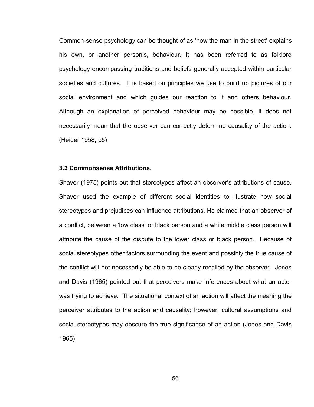Common-sense psychology can be thought of as "how the man in the street" explains his own, or another person's, behaviour. It has been referred to as folklore psychology encompassing traditions and beliefs generally accepted within particular societies and cultures. It is based on principles we use to build up pictures of our social environment and which guides our reaction to it and others behaviour. Although an explanation of perceived behaviour may be possible, it does not necessarily mean that the observer can correctly determine causality of the action. (Heider 1958, p5)

## **3.3 Commonsense Attributions.**

Shaver (1975) points out that stereotypes affect an observer"s attributions of cause. Shaver used the example of different social identities to illustrate how social stereotypes and prejudices can influence attributions. He claimed that an observer of a conflict, between a "low class" or black person and a white middle class person will attribute the cause of the dispute to the lower class or black person. Because of social stereotypes other factors surrounding the event and possibly the true cause of the conflict will not necessarily be able to be clearly recalled by the observer. Jones and Davis (1965) pointed out that perceivers make inferences about what an actor was trying to achieve. The situational context of an action will affect the meaning the perceiver attributes to the action and causality; however, cultural assumptions and social stereotypes may obscure the true significance of an action (Jones and Davis 1965)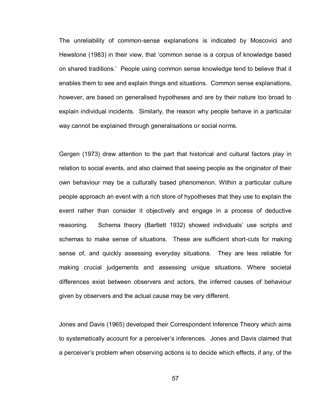The unreliability of common-sense explanations is indicated by Moscovici and Hewstone (1983) in their view, that "common sense is a corpus of knowledge based on shared traditions." People using common sense knowledge tend to believe that it enables them to see and explain things and situations. Common sense explanations, however, are based on generalised hypotheses and are by their nature too broad to explain individual incidents. Similarly, the reason why people behave in a particular way cannot be explained through generalisations or social norms.

Gergen (1973) drew attention to the part that historical and cultural factors play in relation to social events, and also claimed that seeing people as the originator of their own behaviour may be a culturally based phenomenon. Within a particular culture people approach an event with a rich store of hypotheses that they use to explain the event rather than consider it objectively and engage in a process of deductive reasoning. Schema theory (Bartlett 1932) showed individuals" use scripts and schemas to make sense of situations. These are sufficient short-cuts for making sense of, and quickly assessing everyday situations. They are less reliable for making crucial judgements and assessing unique situations. Where societal differences exist between observers and actors, the inferred causes of behaviour given by observers and the actual cause may be very different.

Jones and Davis (1965) developed their Correspondent Inference Theory which aims to systematically account for a perceiver"s inferences. Jones and Davis claimed that a perceiver"s problem when observing actions is to decide which effects, if any, of the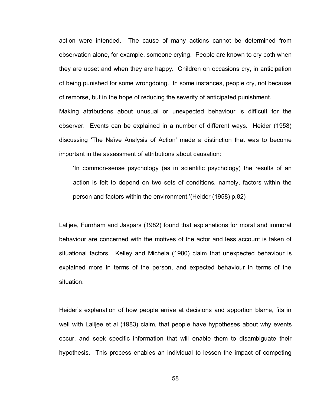action were intended. The cause of many actions cannot be determined from observation alone, for example, someone crying. People are known to cry both when they are upset and when they are happy. Children on occasions cry, in anticipation of being punished for some wrongdoing. In some instances, people cry, not because of remorse, but in the hope of reducing the severity of anticipated punishment. Making attributions about unusual or unexpected behaviour is difficult for the observer. Events can be explained in a number of different ways. Heider (1958) discussing "The Naïve Analysis of Action" made a distinction that was to become

important in the assessment of attributions about causation:

"In common-sense psychology (as in scientific psychology) the results of an action is felt to depend on two sets of conditions, namely, factors within the person and factors within the environment."(Heider (1958) p.82)

Lalljee, Furnham and Jaspars (1982) found that explanations for moral and immoral behaviour are concerned with the motives of the actor and less account is taken of situational factors. Kelley and Michela (1980) claim that unexpected behaviour is explained more in terms of the person, and expected behaviour in terms of the situation.

Heider"s explanation of how people arrive at decisions and apportion blame, fits in well with Lalljee et al (1983) claim, that people have hypotheses about why events occur, and seek specific information that will enable them to disambiguate their hypothesis. This process enables an individual to lessen the impact of competing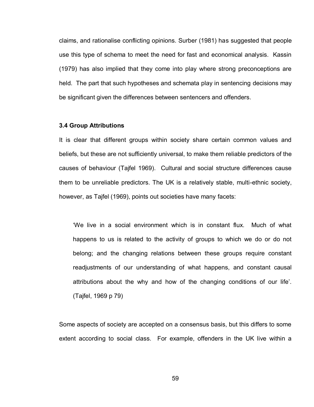claims, and rationalise conflicting opinions. Surber (1981) has suggested that people use this type of schema to meet the need for fast and economical analysis. Kassin (1979) has also implied that they come into play where strong preconceptions are held. The part that such hypotheses and schemata play in sentencing decisions may be significant given the differences between sentencers and offenders.

#### **3.4 Group Attributions**

It is clear that different groups within society share certain common values and beliefs, but these are not sufficiently universal, to make them reliable predictors of the causes of behaviour (Tajfel 1969). Cultural and social structure differences cause them to be unreliable predictors. The UK is a relatively stable, multi-ethnic society, however, as Tajfel (1969), points out societies have many facets:

"We live in a social environment which is in constant flux. Much of what happens to us is related to the activity of groups to which we do or do not belong; and the changing relations between these groups require constant readjustments of our understanding of what happens, and constant causal attributions about the why and how of the changing conditions of our life". (Tajfel, 1969 p 79)

Some aspects of society are accepted on a consensus basis, but this differs to some extent according to social class. For example, offenders in the UK live within a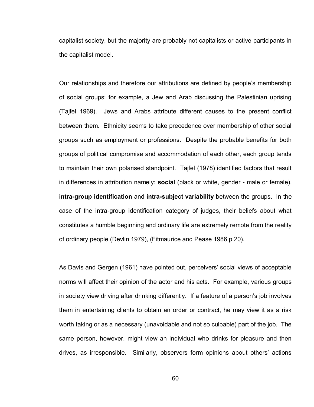capitalist society, but the majority are probably not capitalists or active participants in the capitalist model.

Our relationships and therefore our attributions are defined by people"s membership of social groups; for example, a Jew and Arab discussing the Palestinian uprising (Tajfel 1969). Jews and Arabs attribute different causes to the present conflict between them. Ethnicity seems to take precedence over membership of other social groups such as employment or professions. Despite the probable benefits for both groups of political compromise and accommodation of each other, each group tends to maintain their own polarised standpoint. Tajfel (1978) identified factors that result in differences in attribution namely: **social** (black or white, gender - male or female), **intra-group identification** and **intra-subject variability** between the groups. In the case of the intra-group identification category of judges, their beliefs about what constitutes a humble beginning and ordinary life are extremely remote from the reality of ordinary people (Devlin 1979), (Fitmaurice and Pease 1986 p 20).

As Davis and Gergen (1961) have pointed out, perceivers' social views of acceptable norms will affect their opinion of the actor and his acts. For example, various groups in society view driving after drinking differently. If a feature of a person's job involves them in entertaining clients to obtain an order or contract, he may view it as a risk worth taking or as a necessary (unavoidable and not so culpable) part of the job. The same person, however, might view an individual who drinks for pleasure and then drives, as irresponsible. Similarly, observers form opinions about others" actions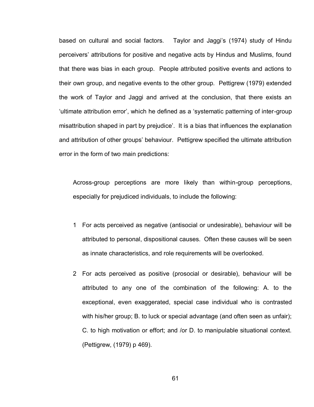based on cultural and social factors. Taylor and Jaggi"s (1974) study of Hindu perceivers" attributions for positive and negative acts by Hindus and Muslims, found that there was bias in each group. People attributed positive events and actions to their own group, and negative events to the other group. Pettigrew (1979) extended the work of Taylor and Jaggi and arrived at the conclusion, that there exists an "ultimate attribution error", which he defined as a "systematic patterning of inter-group misattribution shaped in part by prejudice". It is a bias that influences the explanation and attribution of other groups' behaviour. Pettigrew specified the ultimate attribution error in the form of two main predictions:

Across-group perceptions are more likely than within-group perceptions, especially for prejudiced individuals, to include the following:

- 1 For acts perceived as negative (antisocial or undesirable), behaviour will be attributed to personal, dispositional causes. Often these causes will be seen as innate characteristics, and role requirements will be overlooked.
- 2 For acts perceived as positive (prosocial or desirable), behaviour will be attributed to any one of the combination of the following: A. to the exceptional, even exaggerated, special case individual who is contrasted with his/her group; B. to luck or special advantage (and often seen as unfair); C. to high motivation or effort; and /or D. to manipulable situational context. (Pettigrew, (1979) p 469).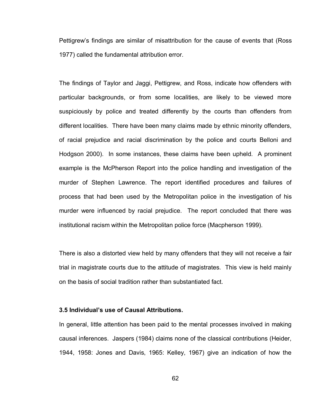Pettigrew"s findings are similar of misattribution for the cause of events that (Ross 1977) called the fundamental attribution error.

The findings of Taylor and Jaggi, Pettigrew, and Ross, indicate how offenders with particular backgrounds, or from some localities, are likely to be viewed more suspiciously by police and treated differently by the courts than offenders from different localities. There have been many claims made by ethnic minority offenders, of racial prejudice and racial discrimination by the police and courts Belloni and Hodgson 2000). In some instances, these claims have been upheld. A prominent example is the McPherson Report into the police handling and investigation of the murder of Stephen Lawrence. The report identified procedures and failures of process that had been used by the Metropolitan police in the investigation of his murder were influenced by racial prejudice. The report concluded that there was institutional racism within the Metropolitan police force (Macpherson 1999).

There is also a distorted view held by many offenders that they will not receive a fair trial in magistrate courts due to the attitude of magistrates. This view is held mainly on the basis of social tradition rather than substantiated fact.

#### **3.5 Individual's use of Causal Attributions.**

In general, little attention has been paid to the mental processes involved in making causal inferences. Jaspers (1984) claims none of the classical contributions (Heider, 1944, 1958: Jones and Davis, 1965: Kelley, 1967) give an indication of how the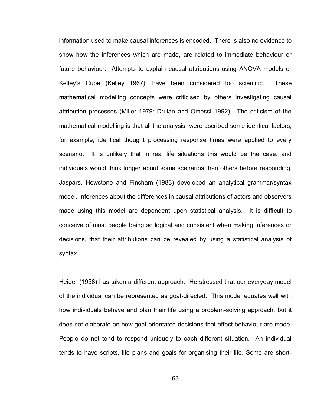information used to make causal inferences is encoded. There is also no evidence to show how the inferences which are made, are related to immediate behaviour or future behaviour. Attempts to explain causal attributions using ANOVA models or Kelley"s Cube (Kelley 1967), have been considered too scientific. These mathematical modelling concepts were criticised by others investigating causal attribution processes (Miller 1979: Druian and Omessi 1992). The criticism of the mathematical modelling is that all the analysis were ascribed some identical factors, for example, identical thought processing response times were applied to every scenario. It is unlikely that in real life situations this would be the case, and individuals would think longer about some scenarios than others before responding. Jaspars, Hewstone and Fincham (1983) developed an analytical grammar/syntax model. Inferences about the differences in causal attributions of actors and observers made using this model are dependent upon statistical analysis. It is difficult to conceive of most people being so logical and consistent when making inferences or decisions, that their attributions can be revealed by using a statistical analysis of syntax.

Heider (1958) has taken a different approach. He stressed that our everyday model of the individual can be represented as goal-directed. This model equates well with how individuals behave and plan their life using a problem-solving approach, but it does not elaborate on how goal-orientated decisions that affect behaviour are made. People do not tend to respond uniquely to each different situation. An individual tends to have scripts, life plans and goals for organising their life. Some are short-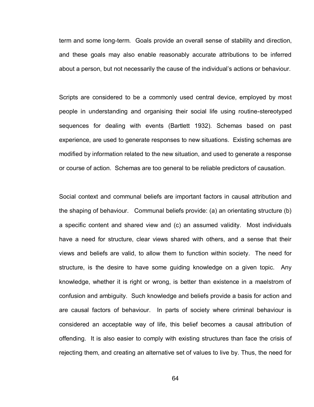term and some long-term. Goals provide an overall sense of stability and direction, and these goals may also enable reasonably accurate attributions to be inferred about a person, but not necessarily the cause of the individual"s actions or behaviour.

Scripts are considered to be a commonly used central device, employed by most people in understanding and organising their social life using routine-stereotyped sequences for dealing with events (Bartlett 1932). Schemas based on past experience, are used to generate responses to new situations. Existing schemas are modified by information related to the new situation, and used to generate a response or course of action. Schemas are too general to be reliable predictors of causation.

Social context and communal beliefs are important factors in causal attribution and the shaping of behaviour. Communal beliefs provide: (a) an orientating structure (b) a specific content and shared view and (c) an assumed validity. Most individuals have a need for structure, clear views shared with others, and a sense that their views and beliefs are valid, to allow them to function within society. The need for structure, is the desire to have some guiding knowledge on a given topic. Any knowledge, whether it is right or wrong, is better than existence in a maelstrom of confusion and ambiguity. Such knowledge and beliefs provide a basis for action and are causal factors of behaviour. In parts of society where criminal behaviour is considered an acceptable way of life, this belief becomes a causal attribution of offending. It is also easier to comply with existing structures than face the crisis of rejecting them, and creating an alternative set of values to live by. Thus, the need for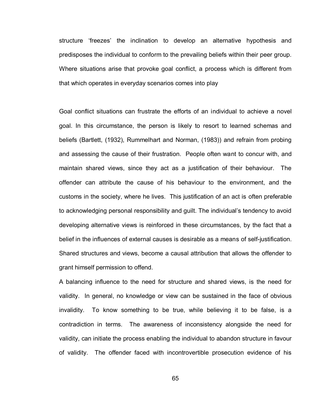structure "freezes" the inclination to develop an alternative hypothesis and predisposes the individual to conform to the prevailing beliefs within their peer group. Where situations arise that provoke goal conflict, a process which is different from that which operates in everyday scenarios comes into play

Goal conflict situations can frustrate the efforts of an individual to achieve a novel goal. In this circumstance, the person is likely to resort to learned schemas and beliefs (Bartlett, (1932), Rummelhart and Norman, (1983)) and refrain from probing and assessing the cause of their frustration. People often want to concur with, and maintain shared views, since they act as a justification of their behaviour. The offender can attribute the cause of his behaviour to the environment, and the customs in the society, where he lives. This justification of an act is often preferable to acknowledging personal responsibility and guilt. The individual"s tendency to avoid developing alternative views is reinforced in these circumstances, by the fact that a belief in the influences of external causes is desirable as a means of self-justification. Shared structures and views, become a causal attribution that allows the offender to grant himself permission to offend.

A balancing influence to the need for structure and shared views, is the need for validity. In general, no knowledge or view can be sustained in the face of obvious invalidity. To know something to be true, while believing it to be false, is a contradiction in terms. The awareness of inconsistency alongside the need for validity, can initiate the process enabling the individual to abandon structure in favour of validity. The offender faced with incontrovertible prosecution evidence of his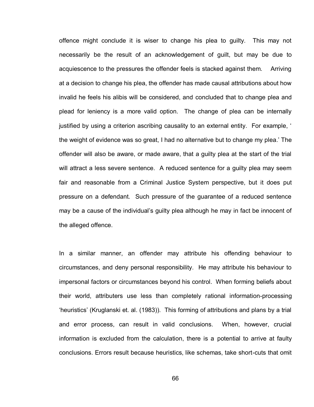offence might conclude it is wiser to change his plea to guilty. This may not necessarily be the result of an acknowledgement of guilt, but may be due to acquiescence to the pressures the offender feels is stacked against them. Arriving at a decision to change his plea, the offender has made causal attributions about how invalid he feels his alibis will be considered, and concluded that to change plea and plead for leniency is a more valid option. The change of plea can be internally justified by using a criterion ascribing causality to an external entity. For example, ' the weight of evidence was so great, I had no alternative but to change my plea." The offender will also be aware, or made aware, that a guilty plea at the start of the trial will attract a less severe sentence. A reduced sentence for a guilty plea may seem fair and reasonable from a Criminal Justice System perspective, but it does put pressure on a defendant. Such pressure of the guarantee of a reduced sentence may be a cause of the individual"s guilty plea although he may in fact be innocent of the alleged offence.

In a similar manner, an offender may attribute his offending behaviour to circumstances, and deny personal responsibility. He may attribute his behaviour to impersonal factors or circumstances beyond his control. When forming beliefs about their world, attributers use less than completely rational information-processing "heuristics" (Kruglanski et. al. (1983)). This forming of attributions and plans by a trial and error process, can result in valid conclusions. When, however, crucial information is excluded from the calculation, there is a potential to arrive at faulty conclusions. Errors result because heuristics, like schemas, take short-cuts that omit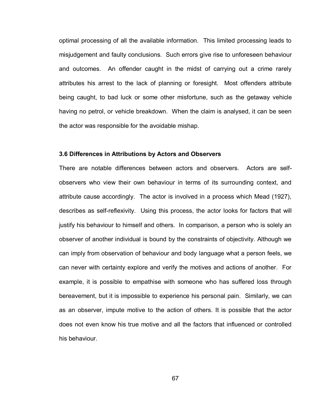optimal processing of all the available information. This limited processing leads to misjudgement and faulty conclusions. Such errors give rise to unforeseen behaviour and outcomes. An offender caught in the midst of carrying out a crime rarely attributes his arrest to the lack of planning or foresight. Most offenders attribute being caught, to bad luck or some other misfortune, such as the getaway vehicle having no petrol, or vehicle breakdown. When the claim is analysed, it can be seen the actor was responsible for the avoidable mishap.

#### **3.6 Differences in Attributions by Actors and Observers**

There are notable differences between actors and observers. Actors are selfobservers who view their own behaviour in terms of its surrounding context, and attribute cause accordingly. The actor is involved in a process which Mead (1927), describes as self-reflexivity. Using this process, the actor looks for factors that will justify his behaviour to himself and others. In comparison, a person who is solely an observer of another individual is bound by the constraints of objectivity. Although we can imply from observation of behaviour and body language what a person feels, we can never with certainty explore and verify the motives and actions of another. For example, it is possible to empathise with someone who has suffered loss through bereavement, but it is impossible to experience his personal pain. Similarly, we can as an observer, impute motive to the action of others. It is possible that the actor does not even know his true motive and all the factors that influenced or controlled his behaviour.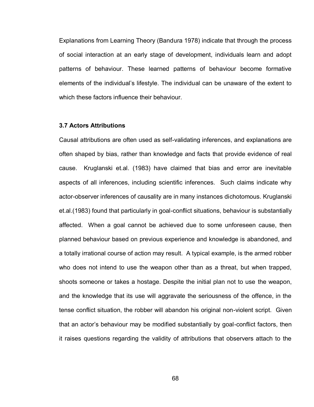Explanations from Learning Theory (Bandura 1978) indicate that through the process of social interaction at an early stage of development, individuals learn and adopt patterns of behaviour. These learned patterns of behaviour become formative elements of the individual"s lifestyle. The individual can be unaware of the extent to which these factors influence their behaviour.

# **3.7 Actors Attributions**

Causal attributions are often used as self-validating inferences, and explanations are often shaped by bias, rather than knowledge and facts that provide evidence of real cause. Kruglanski et.al. (1983) have claimed that bias and error are inevitable aspects of all inferences, including scientific inferences. Such claims indicate why actor-observer inferences of causality are in many instances dichotomous. Kruglanski et.al.(1983) found that particularly in goal-conflict situations, behaviour is substantially affected. When a goal cannot be achieved due to some unforeseen cause, then planned behaviour based on previous experience and knowledge is abandoned, and a totally irrational course of action may result. A typical example, is the armed robber who does not intend to use the weapon other than as a threat, but when trapped, shoots someone or takes a hostage. Despite the initial plan not to use the weapon, and the knowledge that its use will aggravate the seriousness of the offence, in the tense conflict situation, the robber will abandon his original non-violent script. Given that an actor"s behaviour may be modified substantially by goal-conflict factors, then it raises questions regarding the validity of attributions that observers attach to the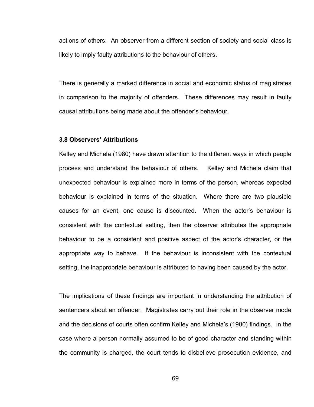actions of others. An observer from a different section of society and social class is likely to imply faulty attributions to the behaviour of others.

There is generally a marked difference in social and economic status of magistrates in comparison to the majority of offenders. These differences may result in faulty causal attributions being made about the offender"s behaviour.

# **3.8 Observers' Attributions**

Kelley and Michela (1980) have drawn attention to the different ways in which people process and understand the behaviour of others. Kelley and Michela claim that unexpected behaviour is explained more in terms of the person, whereas expected behaviour is explained in terms of the situation. Where there are two plausible causes for an event, one cause is discounted. When the actor"s behaviour is consistent with the contextual setting, then the observer attributes the appropriate behaviour to be a consistent and positive aspect of the actor"s character, or the appropriate way to behave. If the behaviour is inconsistent with the contextual setting, the inappropriate behaviour is attributed to having been caused by the actor.

The implications of these findings are important in understanding the attribution of sentencers about an offender. Magistrates carry out their role in the observer mode and the decisions of courts often confirm Kelley and Michela"s (1980) findings. In the case where a person normally assumed to be of good character and standing within the community is charged, the court tends to disbelieve prosecution evidence, and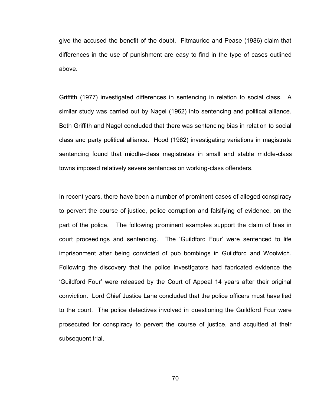give the accused the benefit of the doubt. Fitmaurice and Pease (1986) claim that differences in the use of punishment are easy to find in the type of cases outlined above.

Griffith (1977) investigated differences in sentencing in relation to social class. A similar study was carried out by Nagel (1962) into sentencing and political alliance. Both Griffith and Nagel concluded that there was sentencing bias in relation to social class and party political alliance. Hood (1962) investigating variations in magistrate sentencing found that middle-class magistrates in small and stable middle-class towns imposed relatively severe sentences on working-class offenders.

In recent years, there have been a number of prominent cases of alleged conspiracy to pervert the course of justice, police corruption and falsifying of evidence, on the part of the police. The following prominent examples support the claim of bias in court proceedings and sentencing. The "Guildford Four" were sentenced to life imprisonment after being convicted of pub bombings in Guildford and Woolwich. Following the discovery that the police investigators had fabricated evidence the "Guildford Four" were released by the Court of Appeal 14 years after their original conviction. Lord Chief Justice Lane concluded that the police officers must have lied to the court. The police detectives involved in questioning the Guildford Four were prosecuted for conspiracy to pervert the course of justice, and acquitted at their subsequent trial.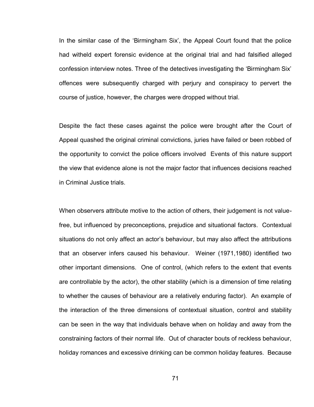In the similar case of the "Birmingham Six", the Appeal Court found that the police had witheld expert forensic evidence at the original trial and had falsified alleged confession interview notes. Three of the detectives investigating the "Birmingham Six" offences were subsequently charged with perjury and conspiracy to pervert the course of justice, however, the charges were dropped without trial.

Despite the fact these cases against the police were brought after the Court of Appeal quashed the original criminal convictions, juries have failed or been robbed of the opportunity to convict the police officers involved Events of this nature support the view that evidence alone is not the major factor that influences decisions reached in Criminal Justice trials.

When observers attribute motive to the action of others, their judgement is not valuefree, but influenced by preconceptions, prejudice and situational factors. Contextual situations do not only affect an actor's behaviour, but may also affect the attributions that an observer infers caused his behaviour. Weiner (1971,1980) identified two other important dimensions. One of control, (which refers to the extent that events are controllable by the actor), the other stability (which is a dimension of time relating to whether the causes of behaviour are a relatively enduring factor). An example of the interaction of the three dimensions of contextual situation, control and stability can be seen in the way that individuals behave when on holiday and away from the constraining factors of their normal life. Out of character bouts of reckless behaviour, holiday romances and excessive drinking can be common holiday features. Because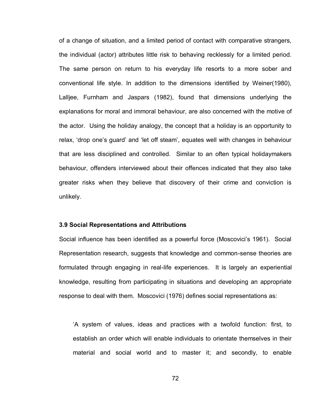of a change of situation, and a limited period of contact with comparative strangers, the individual (actor) attributes little risk to behaving recklessly for a limited period. The same person on return to his everyday life resorts to a more sober and conventional life style. In addition to the dimensions identified by Weiner(1980), Lalljee, Furnham and Jaspars (1982), found that dimensions underlying the explanations for moral and immoral behaviour, are also concerned with the motive of the actor. Using the holiday analogy, the concept that a holiday is an opportunity to relax, "drop one"s guard" and "let off steam", equates well with changes in behaviour that are less disciplined and controlled. Similar to an often typical holidaymakers behaviour, offenders interviewed about their offences indicated that they also take greater risks when they believe that discovery of their crime and conviction is unlikely.

## **3.9 Social Representations and Attributions**

Social influence has been identified as a powerful force (Moscovici"s 1961). Social Representation research, suggests that knowledge and common-sense theories are formulated through engaging in real-life experiences. It is largely an experiential knowledge, resulting from participating in situations and developing an appropriate response to deal with them. Moscovici (1976) defines social representations as:

"A system of values, ideas and practices with a twofold function: first, to establish an order which will enable individuals to orientate themselves in their material and social world and to master it; and secondly, to enable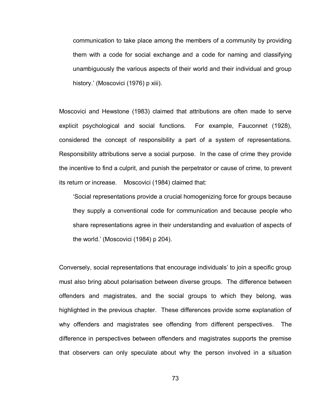communication to take place among the members of a community by providing them with a code for social exchange and a code for naming and classifying unambiguously the various aspects of their world and their individual and group history.' (Moscovici (1976) p xiii).

Moscovici and Hewstone (1983) claimed that attributions are often made to serve explicit psychological and social functions. For example, Fauconnet (1928), considered the concept of responsibility a part of a system of representations. Responsibility attributions serve a social purpose. In the case of crime they provide the incentive to find a culprit, and punish the perpetrator or cause of crime, to prevent its return or increase. Moscovici (1984) claimed that:

"Social representations provide a crucial homogenizing force for groups because they supply a conventional code for communication and because people who share representations agree in their understanding and evaluation of aspects of the world." (Moscovici (1984) p 204).

Conversely, social representations that encourage individuals" to join a specific group must also bring about polarisation between diverse groups. The difference between offenders and magistrates, and the social groups to which they belong, was highlighted in the previous chapter. These differences provide some explanation of why offenders and magistrates see offending from different perspectives. The difference in perspectives between offenders and magistrates supports the premise that observers can only speculate about why the person involved in a situation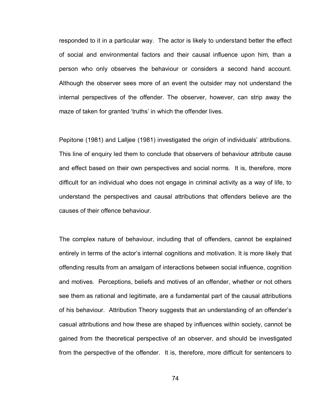responded to it in a particular way. The actor is likely to understand better the effect of social and environmental factors and their causal influence upon him, than a person who only observes the behaviour or considers a second hand account. Although the observer sees more of an event the outsider may not understand the internal perspectives of the offender. The observer, however, can strip away the maze of taken for granted 'truths' in which the offender lives.

Pepitone (1981) and Lalljee (1981) investigated the origin of individuals" attributions. This line of enquiry led them to conclude that observers of behaviour attribute cause and effect based on their own perspectives and social norms. It is, therefore, more difficult for an individual who does not engage in criminal activity as a way of life, to understand the perspectives and causal attributions that offenders believe are the causes of their offence behaviour.

The complex nature of behaviour, including that of offenders, cannot be explained entirely in terms of the actor"s internal cognitions and motivation. It is more likely that offending results from an amalgam of interactions between social influence, cognition and motives. Perceptions, beliefs and motives of an offender, whether or not others see them as rational and legitimate, are a fundamental part of the causal attributions of his behaviour. Attribution Theory suggests that an understanding of an offender"s casual attributions and how these are shaped by influences within society, cannot be gained from the theoretical perspective of an observer, and should be investigated from the perspective of the offender. It is, therefore, more difficult for sentencers to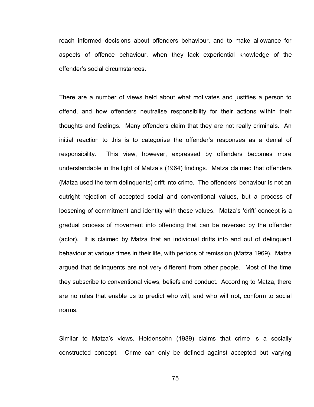reach informed decisions about offenders behaviour, and to make allowance for aspects of offence behaviour, when they lack experiential knowledge of the offender"s social circumstances.

There are a number of views held about what motivates and justifies a person to offend, and how offenders neutralise responsibility for their actions within their thoughts and feelings. Many offenders claim that they are not really criminals. An initial reaction to this is to categorise the offender"s responses as a denial of responsibility. This view, however, expressed by offenders becomes more understandable in the light of Matza"s (1964) findings. Matza claimed that offenders (Matza used the term delinquents) drift into crime. The offenders" behaviour is not an outright rejection of accepted social and conventional values, but a process of loosening of commitment and identity with these values. Matza's 'drift' concept is a gradual process of movement into offending that can be reversed by the offender (actor). It is claimed by Matza that an individual drifts into and out of delinquent behaviour at various times in their life, with periods of remission (Matza 1969). Matza argued that delinquents are not very different from other people. Most of the time they subscribe to conventional views, beliefs and conduct. According to Matza, there are no rules that enable us to predict who will, and who will not, conform to social norms.

Similar to Matza"s views, Heidensohn (1989) claims that crime is a socially constructed concept. Crime can only be defined against accepted but varying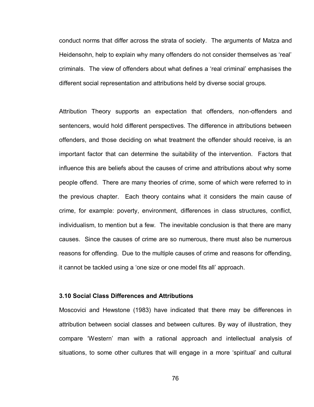conduct norms that differ across the strata of society. The arguments of Matza and Heidensohn, help to explain why many offenders do not consider themselves as 'real' criminals. The view of offenders about what defines a "real criminal" emphasises the different social representation and attributions held by diverse social groups.

Attribution Theory supports an expectation that offenders, non-offenders and sentencers, would hold different perspectives. The difference in attributions between offenders, and those deciding on what treatment the offender should receive, is an important factor that can determine the suitability of the intervention. Factors that influence this are beliefs about the causes of crime and attributions about why some people offend. There are many theories of crime, some of which were referred to in the previous chapter. Each theory contains what it considers the main cause of crime, for example: poverty, environment, differences in class structures, conflict, individualism, to mention but a few. The inevitable conclusion is that there are many causes. Since the causes of crime are so numerous, there must also be numerous reasons for offending. Due to the multiple causes of crime and reasons for offending, it cannot be tackled using a "one size or one model fits all" approach.

# **3.10 Social Class Differences and Attributions**

Moscovici and Hewstone (1983) have indicated that there may be differences in attribution between social classes and between cultures. By way of illustration, they compare "Western" man with a rational approach and intellectual analysis of situations, to some other cultures that will engage in a more 'spiritual' and cultural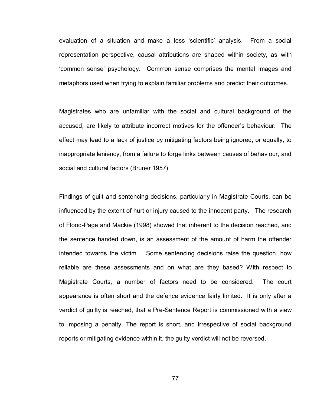evaluation of a situation and make a less "scientific" analysis. From a social representation perspective, causal attributions are shaped within society, as with "common sense" psychology. Common sense comprises the mental images and metaphors used when trying to explain familiar problems and predict their outcomes.

Magistrates who are unfamiliar with the social and cultural background of the accused, are likely to attribute incorrect motives for the offender"s behaviour. The effect may lead to a lack of justice by mitigating factors being ignored, or equally, to inappropriate leniency, from a failure to forge links between causes of behaviour, and social and cultural factors (Bruner 1957).

Findings of guilt and sentencing decisions, particularly in Magistrate Courts, can be influenced by the extent of hurt or injury caused to the innocent party. The research of Flood-Page and Mackie (1998) showed that inherent to the decision reached, and the sentence handed down, is an assessment of the amount of harm the offender intended towards the victim. Some sentencing decisions raise the question, how reliable are these assessments and on what are they based? With respect to Magistrate Courts, a number of factors need to be considered. The court appearance is often short and the defence evidence fairly limited. It is only after a verdict of guilty is reached, that a Pre-Sentence Report is commissioned with a view to imposing a penalty. The report is short, and irrespective of social background reports or mitigating evidence within it, the guilty verdict will not be reversed.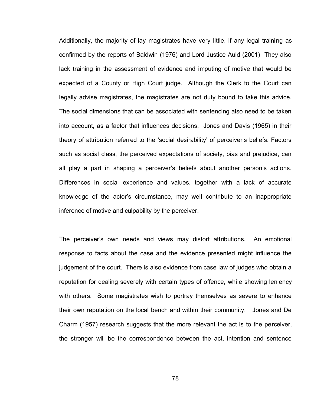Additionally, the majority of lay magistrates have very little, if any legal training as confirmed by the reports of Baldwin (1976) and Lord Justice Auld (2001) They also lack training in the assessment of evidence and imputing of motive that would be expected of a County or High Court judge. Although the Clerk to the Court can legally advise magistrates, the magistrates are not duty bound to take this advice. The social dimensions that can be associated with sentencing also need to be taken into account, as a factor that influences decisions. Jones and Davis (1965) in their theory of attribution referred to the "social desirability" of perceiver"s beliefs. Factors such as social class, the perceived expectations of society, bias and prejudice, can all play a part in shaping a perceiver's beliefs about another person's actions. Differences in social experience and values, together with a lack of accurate knowledge of the actor"s circumstance, may well contribute to an inappropriate inference of motive and culpability by the perceiver.

The perceiver"s own needs and views may distort attributions. An emotional response to facts about the case and the evidence presented might influence the judgement of the court. There is also evidence from case law of judges who obtain a reputation for dealing severely with certain types of offence, while showing leniency with others. Some magistrates wish to portray themselves as severe to enhance their own reputation on the local bench and within their community. Jones and De Charm (1957) research suggests that the more relevant the act is to the perceiver, the stronger will be the correspondence between the act, intention and sentence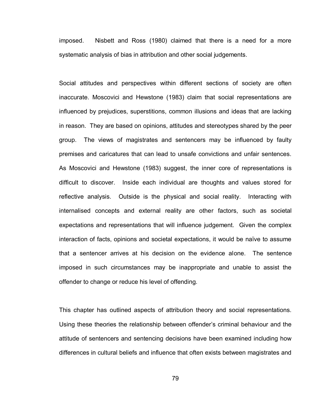imposed. Nisbett and Ross (1980) claimed that there is a need for a more systematic analysis of bias in attribution and other social judgements.

Social attitudes and perspectives within different sections of society are often inaccurate. Moscovici and Hewstone (1983) claim that social representations are influenced by prejudices, superstitions, common illusions and ideas that are lacking in reason. They are based on opinions, attitudes and stereotypes shared by the peer group. The views of magistrates and sentencers may be influenced by faulty premises and caricatures that can lead to unsafe convictions and unfair sentences. As Moscovici and Hewstone (1983) suggest, the inner core of representations is difficult to discover. Inside each individual are thoughts and values stored for reflective analysis. Outside is the physical and social reality. Interacting with internalised concepts and external reality are other factors, such as societal expectations and representations that will influence judgement. Given the complex interaction of facts, opinions and societal expectations, it would be naïve to assume that a sentencer arrives at his decision on the evidence alone. The sentence imposed in such circumstances may be inappropriate and unable to assist the offender to change or reduce his level of offending.

This chapter has outlined aspects of attribution theory and social representations. Using these theories the relationship between offender"s criminal behaviour and the attitude of sentencers and sentencing decisions have been examined including how differences in cultural beliefs and influence that often exists between magistrates and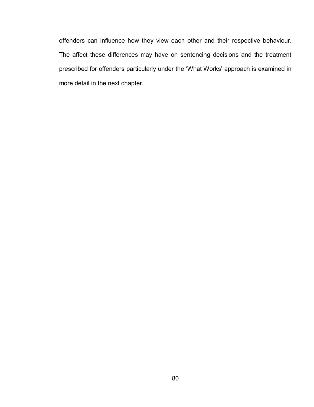offenders can influence how they view each other and their respective behaviour. The affect these differences may have on sentencing decisions and the treatment prescribed for offenders particularly under the "What Works" approach is examined in more detail in the next chapter.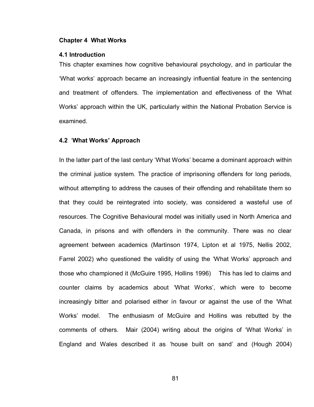# **Chapter 4 What Works**

### **4.1 Introduction**

This chapter examines how cognitive behavioural psychology, and in particular the "What works" approach became an increasingly influential feature in the sentencing and treatment of offenders. The implementation and effectiveness of the "What Works" approach within the UK, particularly within the National Probation Service is examined.

### **4.2** "**What Works' Approach**

In the latter part of the last century "What Works" became a dominant approach within the criminal justice system. The practice of imprisoning offenders for long periods, without attempting to address the causes of their offending and rehabilitate them so that they could be reintegrated into society, was considered a wasteful use of resources. The Cognitive Behavioural model was initially used in North America and Canada, in prisons and with offenders in the community. There was no clear agreement between academics (Martinson 1974, Lipton et al 1975, Nellis 2002, Farrel 2002) who questioned the validity of using the "What Works" approach and those who championed it (McGuire 1995, Hollins 1996) This has led to claims and counter claims by academics about 'What Works', which were to become increasingly bitter and polarised either in favour or against the use of the "What Works" model. The enthusiasm of McGuire and Hollins was rebutted by the comments of others. Mair (2004) writing about the origins of "What Works" in England and Wales described it as "house built on sand" and (Hough 2004)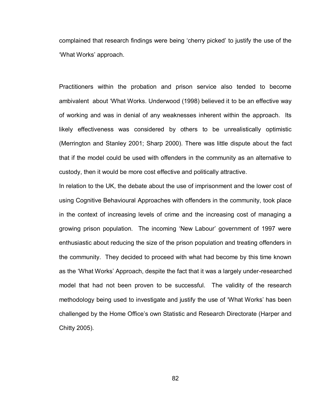complained that research findings were being "cherry picked" to justify the use of the "What Works" approach.

Practitioners within the probation and prison service also tended to become ambivalent about "What Works. Underwood (1998) believed it to be an effective way of working and was in denial of any weaknesses inherent within the approach. Its likely effectiveness was considered by others to be unrealistically optimistic (Merrington and Stanley 2001; Sharp 2000). There was little dispute about the fact that if the model could be used with offenders in the community as an alternative to custody, then it would be more cost effective and politically attractive.

In relation to the UK, the debate about the use of imprisonment and the lower cost of using Cognitive Behavioural Approaches with offenders in the community, took place in the context of increasing levels of crime and the increasing cost of managing a growing prison population. The incoming "New Labour" government of 1997 were enthusiastic about reducing the size of the prison population and treating offenders in the community. They decided to proceed with what had become by this time known as the "What Works" Approach, despite the fact that it was a largely under-researched model that had not been proven to be successful. The validity of the research methodology being used to investigate and justify the use of "What Works" has been challenged by the Home Office"s own Statistic and Research Directorate (Harper and Chitty 2005).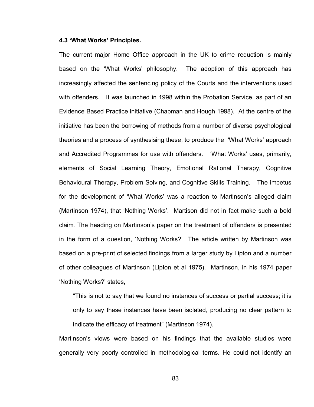# **4.3 'What Works' Principles.**

The current major Home Office approach in the UK to crime reduction is mainly based on the "What Works" philosophy. The adoption of this approach has increasingly affected the sentencing policy of the Courts and the interventions used with offenders. It was launched in 1998 within the Probation Service, as part of an Evidence Based Practice initiative (Chapman and Hough 1998). At the centre of the initiative has been the borrowing of methods from a number of diverse psychological theories and a process of synthesising these, to produce the "What Works" approach and Accredited Programmes for use with offenders. "What Works' uses, primarily, elements of Social Learning Theory, Emotional Rational Therapy, Cognitive Behavioural Therapy, Problem Solving, and Cognitive Skills Training. The impetus for the development of 'What Works' was a reaction to Martinson's alleged claim (Martinson 1974), that "Nothing Works". Martison did not in fact make such a bold claim. The heading on Martinson"s paper on the treatment of offenders is presented in the form of a question, "Nothing Works?" The article written by Martinson was based on a pre-print of selected findings from a larger study by Lipton and a number of other colleagues of Martinson (Lipton et al 1975). Martinson, in his 1974 paper "Nothing Works?" states,

"This is not to say that we found no instances of success or partial success; it is only to say these instances have been isolated, producing no clear pattern to indicate the efficacy of treatment" (Martinson 1974).

Martinson's views were based on his findings that the available studies were generally very poorly controlled in methodological terms. He could not identify an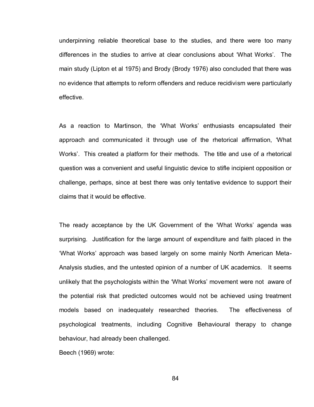underpinning reliable theoretical base to the studies, and there were too many differences in the studies to arrive at clear conclusions about "What Works". The main study (Lipton et al 1975) and Brody (Brody 1976) also concluded that there was no evidence that attempts to reform offenders and reduce recidivism were particularly effective.

As a reaction to Martinson, the 'What Works' enthusiasts encapsulated their approach and communicated it through use of the rhetorical affirmation, "What Works'. This created a platform for their methods. The title and use of a rhetorical question was a convenient and useful linguistic device to stifle incipient opposition or challenge, perhaps, since at best there was only tentative evidence to support their claims that it would be effective.

The ready acceptance by the UK Government of the "What Works" agenda was surprising. Justification for the large amount of expenditure and faith placed in the "What Works" approach was based largely on some mainly North American Meta-Analysis studies, and the untested opinion of a number of UK academics. It seems unlikely that the psychologists within the "What Works" movement were not aware of the potential risk that predicted outcomes would not be achieved using treatment models based on inadequately researched theories. The effectiveness of psychological treatments, including Cognitive Behavioural therapy to change behaviour, had already been challenged.

Beech (1969) wrote: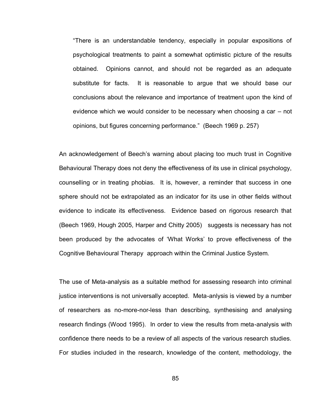"There is an understandable tendency, especially in popular expositions of psychological treatments to paint a somewhat optimistic picture of the results obtained. Opinions cannot, and should not be regarded as an adequate substitute for facts. It is reasonable to argue that we should base our conclusions about the relevance and importance of treatment upon the kind of evidence which we would consider to be necessary when choosing a car – not opinions, but figures concerning performance." (Beech 1969 p. 257)

An acknowledgement of Beech"s warning about placing too much trust in Cognitive Behavioural Therapy does not deny the effectiveness of its use in clinical psychology, counselling or in treating phobias. It is, however, a reminder that success in one sphere should not be extrapolated as an indicator for its use in other fields without evidence to indicate its effectiveness. Evidence based on rigorous research that (Beech 1969, Hough 2005, Harper and Chitty 2005) suggests is necessary has not been produced by the advocates of "What Works" to prove effectiveness of the Cognitive Behavioural Therapy approach within the Criminal Justice System.

The use of Meta-analysis as a suitable method for assessing research into criminal justice interventions is not universally accepted. Meta-anlysis is viewed by a number of researchers as no-more-nor-less than describing, synthesising and analysing research findings (Wood 1995). In order to view the results from meta-analysis with confidence there needs to be a review of all aspects of the various research studies. For studies included in the research, knowledge of the content, methodology, the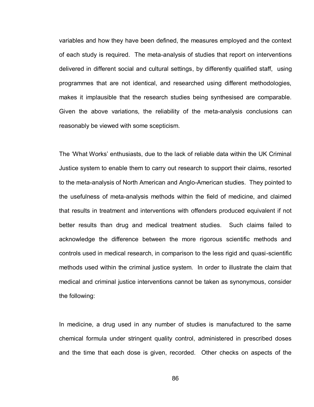variables and how they have been defined, the measures employed and the context of each study is required. The meta-analysis of studies that report on interventions delivered in different social and cultural settings, by differently qualified staff, using programmes that are not identical, and researched using different methodologies, makes it implausible that the research studies being synthesised are comparable. Given the above variations, the reliability of the meta-analysis conclusions can reasonably be viewed with some scepticism.

The "What Works" enthusiasts, due to the lack of reliable data within the UK Criminal Justice system to enable them to carry out research to support their claims, resorted to the meta-analysis of North American and Anglo-American studies. They pointed to the usefulness of meta-analysis methods within the field of medicine, and claimed that results in treatment and interventions with offenders produced equivalent if not better results than drug and medical treatment studies. Such claims failed to acknowledge the difference between the more rigorous scientific methods and controls used in medical research, in comparison to the less rigid and quasi-scientific methods used within the criminal justice system. In order to illustrate the claim that medical and criminal justice interventions cannot be taken as synonymous, consider the following:

In medicine, a drug used in any number of studies is manufactured to the same chemical formula under stringent quality control, administered in prescribed doses and the time that each dose is given, recorded. Other checks on aspects of the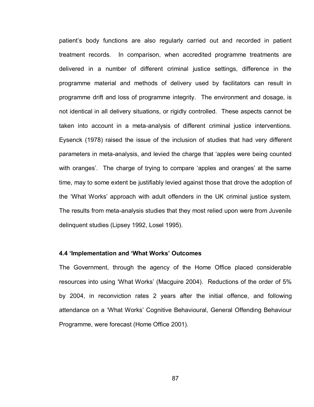patient"s body functions are also regularly carried out and recorded in patient treatment records. In comparison, when accredited programme treatments are delivered in a number of different criminal justice settings, difference in the programme material and methods of delivery used by facilitators can result in programme drift and loss of programme integrity. The environment and dosage, is not identical in all delivery situations, or rigidly controlled. These aspects cannot be taken into account in a meta-analysis of different criminal justice interventions. Eysenck (1978) raised the issue of the inclusion of studies that had very different parameters in meta-analysis, and levied the charge that "apples were being counted with oranges'. The charge of trying to compare 'apples and oranges' at the same time, may to some extent be justifiably levied against those that drove the adoption of the "What Works" approach with adult offenders in the UK criminal justice system. The results from meta-analysis studies that they most relied upon were from Juvenile delinquent studies (Lipsey 1992, Losel 1995).

### **4.4 'Implementation and 'What Works' Outcomes**

The Government, through the agency of the Home Office placed considerable resources into using "What Works" (Macguire 2004). Reductions of the order of 5% by 2004, in reconviction rates 2 years after the initial offence, and following attendance on a "What Works" Cognitive Behavioural, General Offending Behaviour Programme, were forecast (Home Office 2001).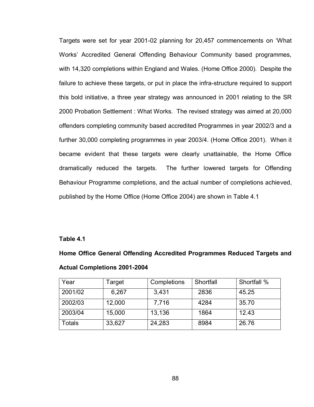Targets were set for year 2001-02 planning for 20,457 commencements on "What Works" Accredited General Offending Behaviour Community based programmes, with 14,320 completions within England and Wales. (Home Office 2000). Despite the failure to achieve these targets, or put in place the infra-structure required to support this bold initiative, a three year strategy was announced in 2001 relating to the SR 2000 Probation Settlement : What Works. The revised strategy was aimed at 20,000 offenders completing community based accredited Programmes in year 2002/3 and a further 30,000 completing programmes in year 2003/4. (Home Office 2001). When it became evident that these targets were clearly unattainable, the Home Office dramatically reduced the targets. The further lowered targets for Offending Behaviour Programme completions, and the actual number of completions achieved, published by the Home Office (Home Office 2004) are shown in Table 4.1

# **Table 4.1**

**Home Office General Offending Accredited Programmes Reduced Targets and Actual Completions 2001-2004** 

| Year    | Гarget | Completions | Shortfall | Shortfall % |
|---------|--------|-------------|-----------|-------------|
| 2001/02 | 6,267  | 3,431       | 2836      | 45.25       |
| 2002/03 | 12,000 | 7,716       | 4284      | 35.70       |
| 2003/04 | 15,000 | 13,136      | 1864      | 12.43       |
| Totals  | 33,627 | 24,283      | 8984      | 26.76       |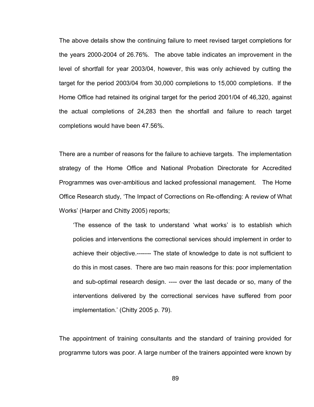The above details show the continuing failure to meet revised target completions for the years 2000-2004 of 26.76%. The above table indicates an improvement in the level of shortfall for year 2003/04, however, this was only achieved by cutting the target for the period 2003/04 from 30,000 completions to 15,000 completions. If the Home Office had retained its original target for the period 2001/04 of 46,320, against the actual completions of 24,283 then the shortfall and failure to reach target completions would have been 47.56%.

There are a number of reasons for the failure to achieve targets. The implementation strategy of the Home Office and National Probation Directorate for Accredited Programmes was over-ambitious and lacked professional management. The Home Office Research study, "The Impact of Corrections on Re-offending: A review of What Works" (Harper and Chitty 2005) reports;

"The essence of the task to understand "what works" is to establish which policies and interventions the correctional services should implement in order to achieve their objective.------- The state of knowledge to date is not sufficient to do this in most cases. There are two main reasons for this: poor implementation and sub-optimal research design. ---- over the last decade or so, many of the interventions delivered by the correctional services have suffered from poor implementation." (Chitty 2005 p. 79).

The appointment of training consultants and the standard of training provided for programme tutors was poor. A large number of the trainers appointed were known by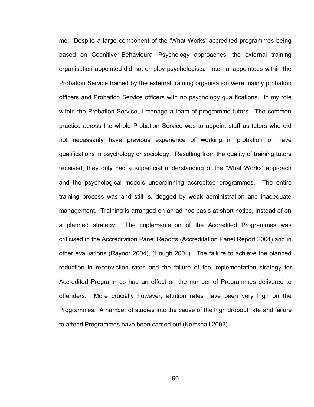me. Despite a large component of the "What Works" accredited programmes being based on Cognitive Behavioural Psychology approaches, the external training organisation appointed did not employ psychologists. Internal appointees within the Probation Service trained by the external training organisation were mainly probation officers and Probation Service officers with no psychology qualifications. In my role within the Probation Service, I manage a team of programme tutors. The common practice across the whole Probation Service was to appoint staff as tutors who did not necessarily have previous experience of working in probation or have qualifications in psychology or sociology. Resulting from the quality of training tutors received, they only had a superficial understanding of the "What Works" approach and the psychological models underpinning accredited programmes. The entire training process was and still is, dogged by weak administration and inadequate management. Training is arranged on an ad hoc basis at short notice, instead of on a planned strategy. The implementation of the Accredited Programmes was criticised in the Accreditation Panel Reports (Accreditation Panel Report 2004) and in other evaluations (Raynor 2004), (Hough 2004). The failure to achieve the planned reduction in reconviction rates and the failure of the implementation strategy for Accredited Programmes had an effect on the number of Programmes delivered to offenders. More crucially however, attrition rates have been very high on the Programmes. A number of studies into the cause of the high dropout rate and failure to attend Programmes have been carried out (Kemshall 2002).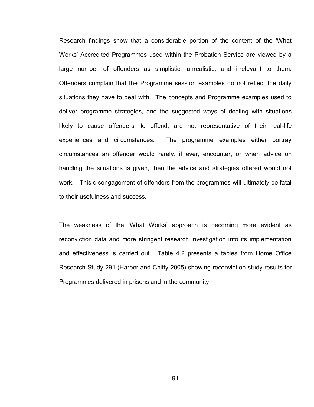Research findings show that a considerable portion of the content of the "What Works" Accredited Programmes used within the Probation Service are viewed by a large number of offenders as simplistic, unrealistic, and irrelevant to them. Offenders complain that the Programme session examples do not reflect the daily situations they have to deal with. The concepts and Programme examples used to deliver programme strategies, and the suggested ways of dealing with situations likely to cause offenders' to offend, are not representative of their real-life experiences and circumstances. The programme examples either portray circumstances an offender would rarely, if ever, encounter, or when advice on handling the situations is given, then the advice and strategies offered would not work. This disengagement of offenders from the programmes will ultimately be fatal to their usefulness and success.

The weakness of the "What Works" approach is becoming more evident as reconviction data and more stringent research investigation into its implementation and effectiveness is carried out. Table 4.2 presents a tables from Home Office Research Study 291 (Harper and Chitty 2005) showing reconviction study results for Programmes delivered in prisons and in the community.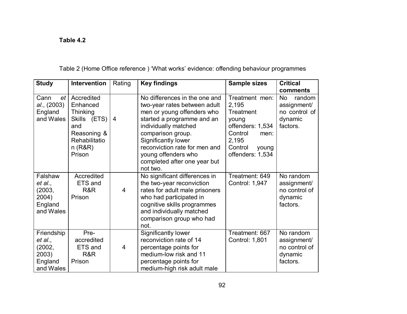# **Table 4.2**

| <b>Study</b> | <b>Intervention</b> | Rating         | <b>Key findings</b>            | <b>Sample sizes</b> | <b>Critical</b>     |
|--------------|---------------------|----------------|--------------------------------|---------------------|---------------------|
|              |                     |                |                                |                     | comments            |
| Cann<br>et   | Accredited          |                | No differences in the one and  | Treatment men:      | <b>No</b><br>random |
| al., (2003)  | Enhanced            |                | two-year rates between adult   | 2,195               | assignment/         |
| England      | Thinking            |                | men or young offenders who     | Treatment           | no control of       |
| and Wales    | Skills (ETS)        | $\overline{4}$ | started a programme and an     | young               | dynamic             |
|              | and                 |                | individually matched           | offenders: 1,534    | factors.            |
|              | Reasoning &         |                | comparison group.              | Control<br>men:     |                     |
|              | Rehabilitatio       |                | Significantly lower            | 2,195               |                     |
|              | n(R&R)              |                | reconviction rate for men and  | Control<br>young    |                     |
|              | Prison              |                | young offenders who            | offenders: 1,534    |                     |
|              |                     |                | completed after one year but   |                     |                     |
|              |                     |                | not two.                       |                     |                     |
| Falshaw      | Accredited          |                | No significant differences in  | Treatment: 649      | No random           |
| et al.,      | ETS and             |                | the two-year reconviction      | Control: 1,947      | assignment/         |
| (2003,       | R&R                 | $\overline{4}$ | rates for adult male prisoners |                     | no control of       |
| 2004)        | Prison              |                | who had participated in        |                     | dynamic             |
| England      |                     |                | cognitive skills programmes    |                     | factors.            |
| and Wales    |                     |                | and individually matched       |                     |                     |
|              |                     |                | comparison group who had       |                     |                     |
|              |                     |                | not.                           |                     |                     |
| Friendship   | Pre-                |                | Significantly lower            | Treatment: 667      | No random           |
| et al.,      | accredited          |                | reconviction rate of 14        | Control: 1,801      | assignment/         |
| (2002,       | ETS and             | 4              | percentage points for          |                     | no control of       |
| 2003)        | R&R                 |                | medium-low risk and 11         |                     | dynamic             |
| England      | Prison              |                | percentage points for          |                     | factors.            |
| and Wales    |                     |                | medium-high risk adult male    |                     |                     |

Table 2 (Home Office reference ) "What works" evidence: offending behaviour programmes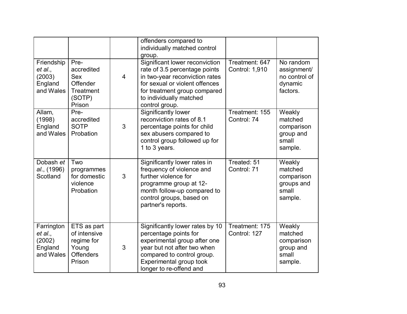|                                                         |                                                                                      |                | offenders compared to<br>individually matched control<br>group.                                                                                                                                                  |                                  |                                                                   |
|---------------------------------------------------------|--------------------------------------------------------------------------------------|----------------|------------------------------------------------------------------------------------------------------------------------------------------------------------------------------------------------------------------|----------------------------------|-------------------------------------------------------------------|
| Friendship<br>et al.,<br>(2003)<br>England<br>and Wales | Pre-<br>accredited<br><b>Sex</b><br>Offender<br><b>Treatment</b><br>(SOTP)<br>Prison | $\overline{4}$ | Significant lower reconviction<br>rate of 3.5 percentage points<br>in two-year reconviction rates<br>for sexual or violent offences<br>for treatment group compared<br>to individually matched<br>control group. | Treatment: 647<br>Control: 1,910 | No random<br>assignment/<br>no control of<br>dynamic<br>factors.  |
| Allam,<br>(1998)<br>England<br>and Wales                | Pre-<br>accredited<br><b>SOTP</b><br>Probation                                       | 3              | Significantly lower<br>reconviction rates of 8.1<br>percentage points for child<br>sex abusers compared to<br>control group followed up for<br>1 to 3 years.                                                     | Treatment: 155<br>Control: 74    | Weakly<br>matched<br>comparison<br>group and<br>small<br>sample.  |
| Dobash et<br>al., (1996)<br>Scotland                    | Two<br>programmes<br>for domestic<br>violence<br>Probation                           | 3              | Significantly lower rates in<br>frequency of violence and<br>further violence for<br>programme group at 12-<br>month follow-up compared to<br>control groups, based on<br>partner's reports.                     | Treated: 51<br>Control: 71       | Weakly<br>matched<br>comparison<br>groups and<br>small<br>sample. |
| Farrington<br>et al.,<br>(2002)<br>England<br>and Wales | ETS as part<br>of intensive<br>regime for<br>Young<br><b>Offenders</b><br>Prison     | 3              | Significantly lower rates by 10<br>percentage points for<br>experimental group after one<br>year but not after two when<br>compared to control group.<br>Experimental group took<br>longer to re-offend and      | Treatment: 175<br>Control: 127   | Weakly<br>matched<br>comparison<br>group and<br>small<br>sample.  |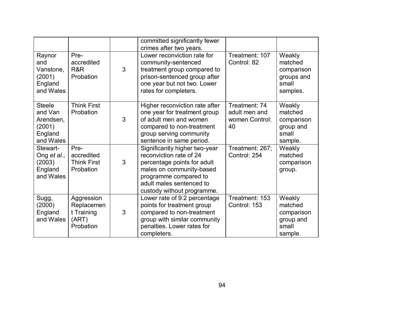|                                                                         |                                                              |   | committed significantly fewer<br>crimes after two years.                                                                                                                                               |                                                        |                                                                    |
|-------------------------------------------------------------------------|--------------------------------------------------------------|---|--------------------------------------------------------------------------------------------------------------------------------------------------------------------------------------------------------|--------------------------------------------------------|--------------------------------------------------------------------|
| Raynor<br>and<br>Vanstone,<br>(2001)<br>England<br>and Wales            | Pre-<br>accredited<br>R&R<br>Probation                       | 3 | Lower reconviction rate for<br>community-sentenced<br>treatment group compared to<br>prison-sentenced group after<br>one year but not two. Lower<br>rates for completers.                              | Treatment: 107<br>Control: 82                          | Weakly<br>matched<br>comparison<br>groups and<br>small<br>samples. |
| <b>Steele</b><br>and Van<br>Arendsen,<br>(2001)<br>England<br>and Wales | <b>Think First</b><br>Probation                              | 3 | Higher reconviction rate after<br>one year for treatment group<br>of adult men and women<br>compared to non-treatment<br>group serving community<br>sentence in same period.                           | Treatment: 74<br>adult men and<br>women Control:<br>40 | Weakly<br>matched<br>comparison<br>group and<br>small<br>sample.   |
| Stewart-<br>Ong et al.,<br>(2003)<br>England<br>and Wales               | Pre-<br>accredited<br><b>Think First</b><br>Probation        | 3 | Significantly higher two-year<br>reconviction rate of 24<br>percentage points for adult<br>males on community-based<br>programme compared to<br>adult males sentenced to<br>custody without programme. | Treatment: 267;<br>Control: 254                        | Weakly<br>matched<br>comparison<br>group.                          |
| Sugg,<br>(2000)<br>England<br>and Wales                                 | Aggression<br>Replacemen<br>t Training<br>(ART)<br>Probation | 3 | Lower rate of 9.2 percentage<br>points for treatment group<br>compared to non-treatment<br>group with similar community<br>penalties. Lower rates for<br>completers.                                   | Treatment: 153<br>Control: 153                         | Weakly<br>matched<br>comparison<br>group and<br>small<br>sample.   |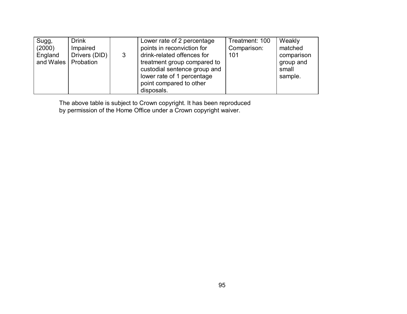| Sugg,     | <b>Drink</b>  |   | Lower rate of 2 percentage   | Treatment: 100 | Weakly     |
|-----------|---------------|---|------------------------------|----------------|------------|
| (2000)    | Impaired      |   | points in reconviction for   | Comparison:    | matched    |
| England   | Drivers (DID) | 3 | drink-related offences for   | 101            | comparison |
| and Wales | Probation     |   | treatment group compared to  |                | group and  |
|           |               |   | custodial sentence group and |                | small      |
|           |               |   | lower rate of 1 percentage   |                | sample.    |
|           |               |   | point compared to other      |                |            |
|           |               |   | disposals.                   |                |            |

The above table is subject to Crown copyright. It has been reproduced by permission of the Home Office under a Crown copyright waiver.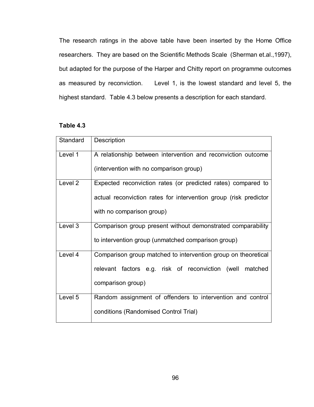The research ratings in the above table have been inserted by the Home Office researchers. They are based on the Scientific Methods Scale (Sherman et.al.,1997), but adapted for the purpose of the Harper and Chitty report on programme outcomes as measured by reconviction. Level 1, is the lowest standard and level 5, the highest standard. Table 4.3 below presents a description for each standard.

# **Table 4.3**

| Standard | Description                                                      |
|----------|------------------------------------------------------------------|
| Level 1  | A relationship between intervention and reconviction outcome     |
|          | (intervention with no comparison group)                          |
| Level 2  | Expected reconviction rates (or predicted rates) compared to     |
|          | actual reconviction rates for intervention group (risk predictor |
|          | with no comparison group)                                        |
| Level 3  | Comparison group present without demonstrated comparability      |
|          | to intervention group (unmatched comparison group)               |
| Level 4  | Comparison group matched to intervention group on theoretical    |
|          | relevant factors e.g. risk of reconviction (well matched         |
|          | comparison group)                                                |
| Level 5  | Random assignment of offenders to intervention and control       |
|          | conditions (Randomised Control Trial)                            |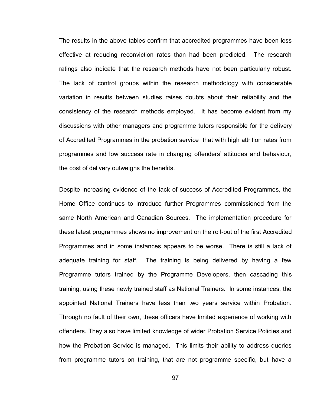The results in the above tables confirm that accredited programmes have been less effective at reducing reconviction rates than had been predicted. The research ratings also indicate that the research methods have not been particularly robust. The lack of control groups within the research methodology with considerable variation in results between studies raises doubts about their reliability and the consistency of the research methods employed. It has become evident from my discussions with other managers and programme tutors responsible for the delivery of Accredited Programmes in the probation service that with high attrition rates from programmes and low success rate in changing offenders" attitudes and behaviour, the cost of delivery outweighs the benefits.

Despite increasing evidence of the lack of success of Accredited Programmes, the Home Office continues to introduce further Programmes commissioned from the same North American and Canadian Sources. The implementation procedure for these latest programmes shows no improvement on the roll-out of the first Accredited Programmes and in some instances appears to be worse. There is still a lack of adequate training for staff. The training is being delivered by having a few Programme tutors trained by the Programme Developers, then cascading this training, using these newly trained staff as National Trainers. In some instances, the appointed National Trainers have less than two years service within Probation. Through no fault of their own, these officers have limited experience of working with offenders. They also have limited knowledge of wider Probation Service Policies and how the Probation Service is managed. This limits their ability to address queries from programme tutors on training, that are not programme specific, but have a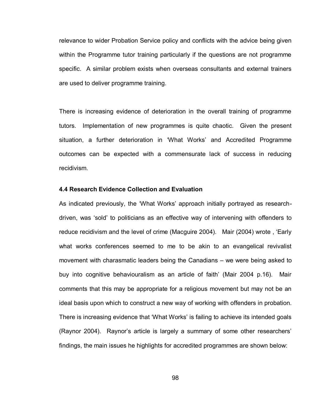relevance to wider Probation Service policy and conflicts with the advice being given within the Programme tutor training particularly if the questions are not programme specific. A similar problem exists when overseas consultants and external trainers are used to deliver programme training.

There is increasing evidence of deterioration in the overall training of programme tutors. Implementation of new programmes is quite chaotic. Given the present situation, a further deterioration in 'What Works' and Accredited Programme outcomes can be expected with a commensurate lack of success in reducing recidivism.

# **4.4 Research Evidence Collection and Evaluation**

As indicated previously, the "What Works" approach initially portrayed as researchdriven, was "sold" to politicians as an effective way of intervening with offenders to reduce recidivism and the level of crime (Macguire 2004). Mair (2004) wrote , "Early what works conferences seemed to me to be akin to an evangelical revivalist movement with charasmatic leaders being the Canadians – we were being asked to buy into cognitive behaviouralism as an article of faith" (Mair 2004 p.16). Mair comments that this may be appropriate for a religious movement but may not be an ideal basis upon which to construct a new way of working with offenders in probation. There is increasing evidence that "What Works" is failing to achieve its intended goals (Raynor 2004). Raynor"s article is largely a summary of some other researchers" findings, the main issues he highlights for accredited programmes are shown below: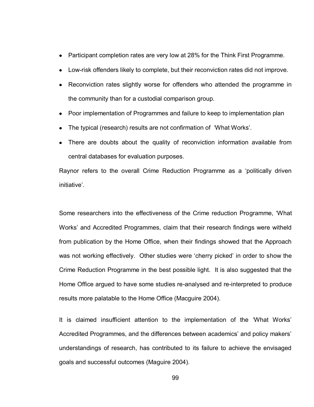- Participant completion rates are very low at 28% for the Think First Programme.
- Low-risk offenders likely to complete, but their reconviction rates did not improve.
- Reconviction rates slightly worse for offenders who attended the programme in the community than for a custodial comparison group.
- Poor implementation of Programmes and failure to keep to implementation plan
- The typical (research) results are not confirmation of "What Works".
- There are doubts about the quality of reconviction information available from central databases for evaluation purposes.

Raynor refers to the overall Crime Reduction Programme as a "politically driven initiative".

Some researchers into the effectiveness of the Crime reduction Programme, "What Works" and Accredited Programmes, claim that their research findings were witheld from publication by the Home Office, when their findings showed that the Approach was not working effectively. Other studies were "cherry picked" in order to show the Crime Reduction Programme in the best possible light. It is also suggested that the Home Office argued to have some studies re-analysed and re-interpreted to produce results more palatable to the Home Office (Macguire 2004).

It is claimed insufficient attention to the implementation of the "What Works" Accredited Programmes, and the differences between academics' and policy makers' understandings of research, has contributed to its failure to achieve the envisaged goals and successful outcomes (Maguire 2004).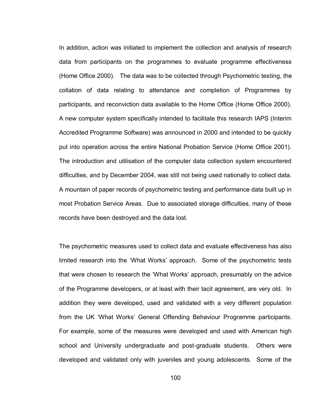In addition, action was initiated to implement the collection and analysis of research data from participants on the programmes to evaluate programme effectiveness (Home Office 2000). The data was to be collected through Psychometric testing, the collation of data relating to attendance and completion of Programmes by participants, and reconviction data available to the Home Office (Home Office 2000). A new computer system specifically intended to facilitate this research IAPS (Interim Accredited Programme Software) was announced in 2000 and intended to be quickly put into operation across the entire National Probation Service (Home Office 2001). The introduction and utilisation of the computer data collection system encountered difficulties, and by December 2004, was still not being used nationally to collect data. A mountain of paper records of psychometric testing and performance data built up in most Probation Service Areas. Due to associated storage difficulties, many of these records have been destroyed and the data lost.

The psychometric measures used to collect data and evaluate effectiveness has also limited research into the "What Works" approach. Some of the psychometric tests that were chosen to research the "What Works" approach, presumably on the advice of the Programme developers, or at least with their tacit agreement, are very old. In addition they were developed, used and validated with a very different population from the UK "What Works" General Offending Behaviour Programme participants. For example, some of the measures were developed and used with American high school and University undergraduate and post-graduate students. Others were developed and validated only with juveniles and young adolescents. Some of the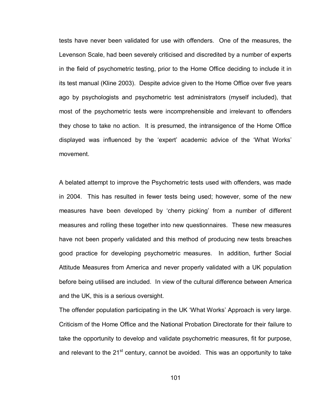tests have never been validated for use with offenders. One of the measures, the Levenson Scale, had been severely criticised and discredited by a number of experts in the field of psychometric testing, prior to the Home Office deciding to include it in its test manual (Kline 2003). Despite advice given to the Home Office over five years ago by psychologists and psychometric test administrators (myself included), that most of the psychometric tests were incomprehensible and irrelevant to offenders they chose to take no action. It is presumed, the intransigence of the Home Office displayed was influenced by the "expert" academic advice of the "What Works" movement.

A belated attempt to improve the Psychometric tests used with offenders, was made in 2004. This has resulted in fewer tests being used; however, some of the new measures have been developed by 'cherry picking' from a number of different measures and rolling these together into new questionnaires. These new measures have not been properly validated and this method of producing new tests breaches good practice for developing psychometric measures. In addition, further Social Attitude Measures from America and never properly validated with a UK population before being utilised are included. In view of the cultural difference between America and the UK, this is a serious oversight.

The offender population participating in the UK "What Works" Approach is very large. Criticism of the Home Office and the National Probation Directorate for their failure to take the opportunity to develop and validate psychometric measures, fit for purpose, and relevant to the 21<sup>st</sup> century, cannot be avoided. This was an opportunity to take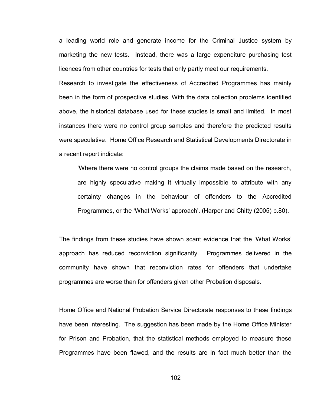a leading world role and generate income for the Criminal Justice system by marketing the new tests. Instead, there was a large expenditure purchasing test licences from other countries for tests that only partly meet our requirements.

Research to investigate the effectiveness of Accredited Programmes has mainly been in the form of prospective studies. With the data collection problems identified above, the historical database used for these studies is small and limited. In most instances there were no control group samples and therefore the predicted results were speculative. Home Office Research and Statistical Developments Directorate in a recent report indicate:

"Where there were no control groups the claims made based on the research, are highly speculative making it virtually impossible to attribute with any certainty changes in the behaviour of offenders to the Accredited Programmes, or the "What Works" approach". (Harper and Chitty (2005) p.80).

The findings from these studies have shown scant evidence that the "What Works" approach has reduced reconviction significantly. Programmes delivered in the community have shown that reconviction rates for offenders that undertake programmes are worse than for offenders given other Probation disposals.

Home Office and National Probation Service Directorate responses to these findings have been interesting. The suggestion has been made by the Home Office Minister for Prison and Probation, that the statistical methods employed to measure these Programmes have been flawed, and the results are in fact much better than the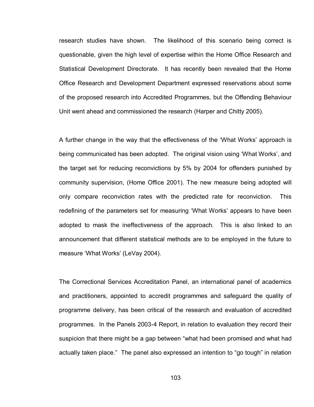research studies have shown. The likelihood of this scenario being correct is questionable, given the high level of expertise within the Home Office Research and Statistical Development Directorate. It has recently been revealed that the Home Office Research and Development Department expressed reservations about some of the proposed research into Accredited Programmes, but the Offending Behaviour Unit went ahead and commissioned the research (Harper and Chitty 2005).

A further change in the way that the effectiveness of the "What Works" approach is being communicated has been adopted. The original vision using "What Works", and the target set for reducing reconvictions by 5% by 2004 for offenders punished by community supervision, (Home Office 2001). The new measure being adopted will only compare reconviction rates with the predicted rate for reconviction. This redefining of the parameters set for measuring "What Works" appears to have been adopted to mask the ineffectiveness of the approach. This is also linked to an announcement that different statistical methods are to be employed in the future to measure "What Works" (LeVay 2004).

The Correctional Services Accreditation Panel, an international panel of academics and practitioners, appointed to accredit programmes and safeguard the quality of programme delivery, has been critical of the research and evaluation of accredited programmes. In the Panels 2003-4 Report, in relation to evaluation they record their suspicion that there might be a gap between "what had been promised and what had actually taken place." The panel also expressed an intention to "go tough" in relation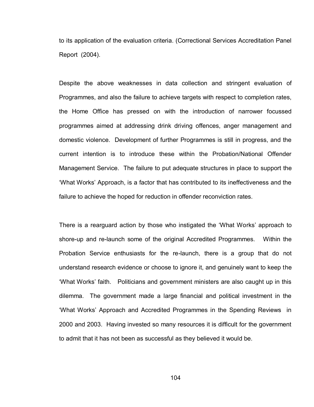to its application of the evaluation criteria. (Correctional Services Accreditation Panel Report (2004).

Despite the above weaknesses in data collection and stringent evaluation of Programmes, and also the failure to achieve targets with respect to completion rates, the Home Office has pressed on with the introduction of narrower focussed programmes aimed at addressing drink driving offences, anger management and domestic violence. Development of further Programmes is still in progress, and the current intention is to introduce these within the Probation/National Offender Management Service. The failure to put adequate structures in place to support the "What Works" Approach, is a factor that has contributed to its ineffectiveness and the failure to achieve the hoped for reduction in offender reconviction rates.

There is a rearguard action by those who instigated the "What Works" approach to shore-up and re-launch some of the original Accredited Programmes. Within the Probation Service enthusiasts for the re-launch, there is a group that do not understand research evidence or choose to ignore it, and genuinely want to keep the "What Works" faith. Politicians and government ministers are also caught up in this dilemma. The government made a large financial and political investment in the "What Works" Approach and Accredited Programmes in the Spending Reviews in 2000 and 2003. Having invested so many resources it is difficult for the government to admit that it has not been as successful as they believed it would be.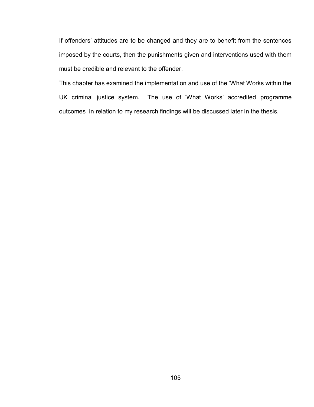If offenders' attitudes are to be changed and they are to benefit from the sentences imposed by the courts, then the punishments given and interventions used with them must be credible and relevant to the offender.

This chapter has examined the implementation and use of the "What Works within the UK criminal justice system. The use of "What Works" accredited programme outcomes in relation to my research findings will be discussed later in the thesis.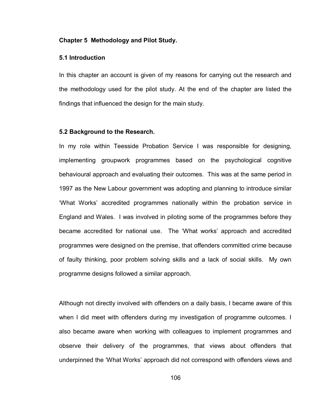### **Chapter 5 Methodology and Pilot Study.**

# **5.1 Introduction**

In this chapter an account is given of my reasons for carrying out the research and the methodology used for the pilot study. At the end of the chapter are listed the findings that influenced the design for the main study.

### **5.2 Background to the Research.**

In my role within Teesside Probation Service I was responsible for designing, implementing groupwork programmes based on the psychological cognitive behavioural approach and evaluating their outcomes. This was at the same period in 1997 as the New Labour government was adopting and planning to introduce similar "What Works" accredited programmes nationally within the probation service in England and Wales. I was involved in piloting some of the programmes before they became accredited for national use. The "What works" approach and accredited programmes were designed on the premise, that offenders committed crime because of faulty thinking, poor problem solving skills and a lack of social skills. My own programme designs followed a similar approach.

Although not directly involved with offenders on a daily basis, I became aware of this when I did meet with offenders during my investigation of programme outcomes. I also became aware when working with colleagues to implement programmes and observe their delivery of the programmes, that views about offenders that underpinned the "What Works" approach did not correspond with offenders views and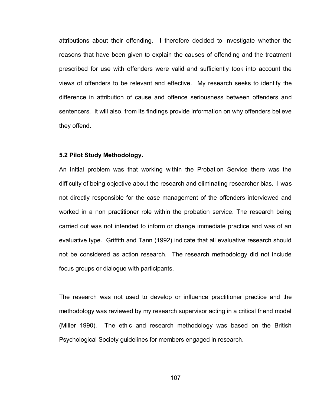attributions about their offending. I therefore decided to investigate whether the reasons that have been given to explain the causes of offending and the treatment prescribed for use with offenders were valid and sufficiently took into account the views of offenders to be relevant and effective. My research seeks to identify the difference in attribution of cause and offence seriousness between offenders and sentencers. It will also, from its findings provide information on why offenders believe they offend.

### **5.2 Pilot Study Methodology.**

An initial problem was that working within the Probation Service there was the difficulty of being objective about the research and eliminating researcher bias. I was not directly responsible for the case management of the offenders interviewed and worked in a non practitioner role within the probation service. The research being carried out was not intended to inform or change immediate practice and was of an evaluative type. Griffith and Tann (1992) indicate that all evaluative research should not be considered as action research. The research methodology did not include focus groups or dialogue with participants.

The research was not used to develop or influence practitioner practice and the methodology was reviewed by my research supervisor acting in a critical friend model (Miller 1990). The ethic and research methodology was based on the British Psychological Society guidelines for members engaged in research.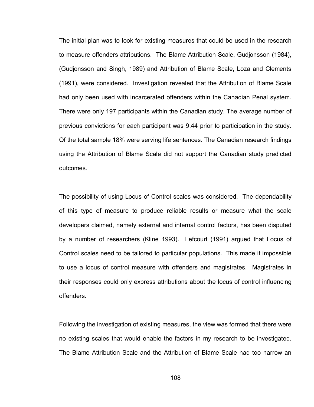The initial plan was to look for existing measures that could be used in the research to measure offenders attributions. The Blame Attribution Scale, Gudjonsson (1984), (Gudjonsson and Singh, 1989) and Attribution of Blame Scale, Loza and Clements (1991), were considered. Investigation revealed that the Attribution of Blame Scale had only been used with incarcerated offenders within the Canadian Penal system. There were only 197 participants within the Canadian study. The average number of previous convictions for each participant was 9.44 prior to participation in the study. Of the total sample 18% were serving life sentences. The Canadian research findings using the Attribution of Blame Scale did not support the Canadian study predicted outcomes.

The possibility of using Locus of Control scales was considered. The dependability of this type of measure to produce reliable results or measure what the scale developers claimed, namely external and internal control factors, has been disputed by a number of researchers (Kline 1993). Lefcourt (1991) argued that Locus of Control scales need to be tailored to particular populations. This made it impossible to use a locus of control measure with offenders and magistrates. Magistrates in their responses could only express attributions about the locus of control influencing offenders.

Following the investigation of existing measures, the view was formed that there were no existing scales that would enable the factors in my research to be investigated. The Blame Attribution Scale and the Attribution of Blame Scale had too narrow an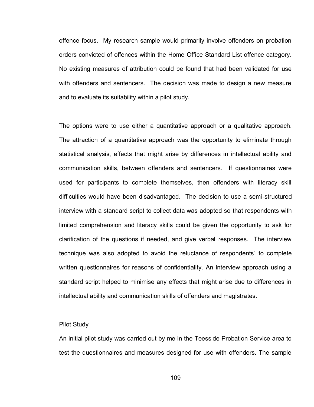offence focus. My research sample would primarily involve offenders on probation orders convicted of offences within the Home Office Standard List offence category. No existing measures of attribution could be found that had been validated for use with offenders and sentencers. The decision was made to design a new measure and to evaluate its suitability within a pilot study.

The options were to use either a quantitative approach or a qualitative approach. The attraction of a quantitative approach was the opportunity to eliminate through statistical analysis, effects that might arise by differences in intellectual ability and communication skills, between offenders and sentencers. If questionnaires were used for participants to complete themselves, then offenders with literacy skill difficulties would have been disadvantaged. The decision to use a semi-structured interview with a standard script to collect data was adopted so that respondents with limited comprehension and literacy skills could be given the opportunity to ask for clarification of the questions if needed, and give verbal responses. The interview technique was also adopted to avoid the reluctance of respondents" to complete written questionnaires for reasons of confidentiality. An interview approach using a standard script helped to minimise any effects that might arise due to differences in intellectual ability and communication skills of offenders and magistrates.

### Pilot Study

An initial pilot study was carried out by me in the Teesside Probation Service area to test the questionnaires and measures designed for use with offenders. The sample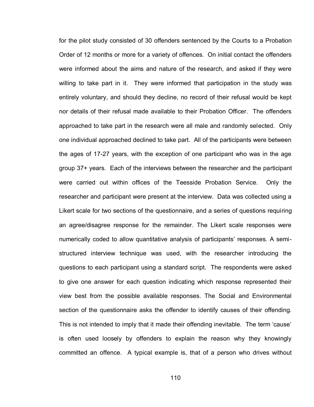for the pilot study consisted of 30 offenders sentenced by the Courts to a Probation Order of 12 months or more for a variety of offences. On initial contact the offenders were informed about the aims and nature of the research, and asked if they were willing to take part in it. They were informed that participation in the study was entirely voluntary, and should they decline, no record of their refusal would be kept nor details of their refusal made available to their Probation Officer. The offenders approached to take part in the research were all male and randomly selected. Only one individual approached declined to take part. All of the participants were between the ages of 17-27 years, with the exception of one participant who was in the age group 37+ years. Each of the interviews between the researcher and the participant were carried out within offices of the Teesside Probation Service. Only the researcher and participant were present at the interview. Data was collected using a Likert scale for two sections of the questionnaire, and a series of questions requiring an agree/disagree response for the remainder. The Likert scale responses were numerically coded to allow quantitative analysis of participants' responses. A semistructured interview technique was used, with the researcher introducing the questions to each participant using a standard script. The respondents were asked to give one answer for each question indicating which response represented their view best from the possible available responses. The Social and Environmental section of the questionnaire asks the offender to identify causes of their offending. This is not intended to imply that it made their offending inevitable. The term 'cause' is often used loosely by offenders to explain the reason why they knowingly committed an offence. A typical example is, that of a person who drives without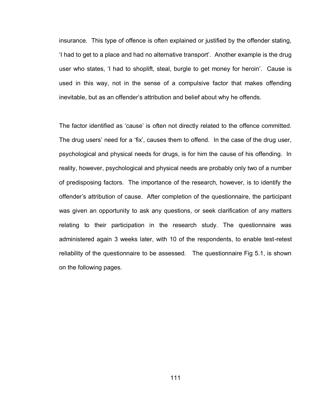insurance. This type of offence is often explained or justified by the offender stating, "I had to get to a place and had no alternative transport". Another example is the drug user who states, 'I had to shoplift, steal, burgle to get money for heroin'. Cause is used in this way, not in the sense of a compulsive factor that makes offending inevitable, but as an offender"s attribution and belief about why he offends.

The factor identified as 'cause' is often not directly related to the offence committed. The drug users' need for a 'fix', causes them to offend. In the case of the drug user, psychological and physical needs for drugs, is for him the cause of his offending. In reality, however, psychological and physical needs are probably only two of a number of predisposing factors. The importance of the research, however, is to identify the offender"s attribution of cause. After completion of the questionnaire, the participant was given an opportunity to ask any questions, or seek clarification of any matters relating to their participation in the research study. The questionnaire was administered again 3 weeks later, with 10 of the respondents, to enable test-retest reliability of the questionnaire to be assessed. The questionnaire Fig 5.1, is shown on the following pages.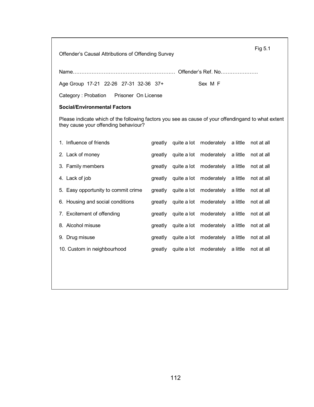Offender"s Causal Attributions of Offending Survey

Name…………………………………………………… Offender"s Ref. No………………….

Age Group 17-21 22-26 27-31 32-36 37+ Sex M F

Category : Probation Prisoner On License

### **Social/Environmental Factors**

Please indicate which of the following factors you see as cause of your offendingand to what extent they cause your offending behaviour?

| 1. Influence of friends             | greatly | quite a lot moderately a little not at all         |            |
|-------------------------------------|---------|----------------------------------------------------|------------|
| 2. Lack of money                    | areatly | quite a lot moderately a little not at all         |            |
| 3. Family members                   | greatly | quite a lot moderately a little                    | not at all |
| 4. Lack of job                      | greatly | quite a lot moderately a little                    | not at all |
| 5. Easy opportunity to commit crime |         | greatly quite a lot moderately a little not at all |            |
| 6. Housing and social conditions    | greatly | quite a lot moderately a little not at all         |            |
| 7. Excitement of offending          | areatly | quite a lot moderately a little not at all         |            |
| 8. Alcohol misuse                   | greatly | quite a lot moderately a little                    | not at all |
| 9. Drug misuse                      | greatly | quite a lot moderately a little                    | not at all |
| 10. Custom in neighbourhood         | greatly | quite a lot moderately a little not at all         |            |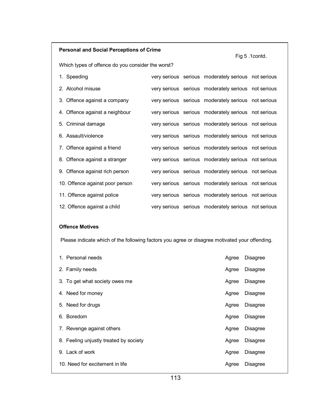# **Personal and Social Perceptions of Crime**

Fig 5 .1contd.

Which types of offence do you consider the worst?

| 1. Speeding                     |  | very serious serious moderately serious not serious |  |
|---------------------------------|--|-----------------------------------------------------|--|
| 2. Alcohol misuse               |  | very serious serious moderately serious not serious |  |
| 3. Offence against a company    |  | very serious serious moderately serious not serious |  |
| 4. Offence against a neighbour  |  | very serious serious moderately serious not serious |  |
| 5. Criminal damage              |  | very serious serious moderately serious not serious |  |
| 6. Assault/violence             |  | very serious serious moderately serious not serious |  |
| 7. Offence against a friend     |  | very serious serious moderately serious not serious |  |
| 8. Offence against a stranger   |  | very serious serious moderately serious not serious |  |
| 9. Offence against rich person  |  | very serious serious moderately serious not serious |  |
| 10. Offence against poor person |  | very serious serious moderately serious not serious |  |
| 11. Offence against police      |  | very serious serious moderately serious not serious |  |
| 12. Offence against a child     |  | very serious serious moderately serious not serious |  |

### **Offence Motives**

Please indicate which of the following factors you agree or disagree motivated your offending.

| 1. Personal needs                      | Agree | <b>Disagree</b> |
|----------------------------------------|-------|-----------------|
| 2. Family needs                        | Agree | <b>Disagree</b> |
| 3. To get what society owes me         | Agree | <b>Disagree</b> |
| 4. Need for money                      | Agree | <b>Disagree</b> |
| 5. Need for drugs                      | Agree | <b>Disagree</b> |
| 6. Boredom                             | Agree | <b>Disagree</b> |
| 7. Revenge against others              | Agree | <b>Disagree</b> |
| 8. Feeling unjustly treated by society | Agree | <b>Disagree</b> |
| 9. Lack of work                        | Agree | <b>Disagree</b> |
| 10. Need for excitement in life        | Agree | Disagree        |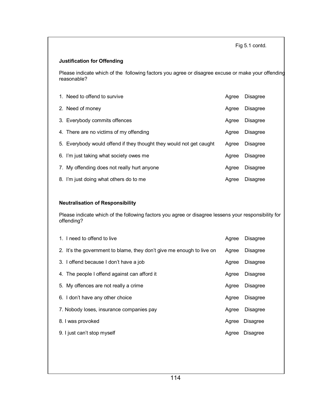Fig 5.1 contd.

### **Justification for Offending**

Please indicate which of the following factors you agree or disagree excuse or make your offending reasonable?

| 1. Need to offend to survive                                        | Agree | <b>Disagree</b> |
|---------------------------------------------------------------------|-------|-----------------|
| 2. Need of money                                                    | Agree | <b>Disagree</b> |
| 3. Everybody commits offences                                       | Agree | <b>Disagree</b> |
| 4. There are no victims of my offending                             | Agree | <b>Disagree</b> |
| 5. Everybody would offend if they thought they would not get caught | Agree | <b>Disagree</b> |
| 6. I'm just taking what society owes me                             | Agree | <b>Disagree</b> |
| 7. My offending does not really hurt anyone                         | Agree | <b>Disagree</b> |
| 8. I'm just doing what others do to me                              | Agree | <b>Disagree</b> |

### **Neutralisation of Responsibility**

Please indicate which of the following factors you agree or disagree lessens your responsibility for offending?

| 1. I need to offend to live                                           | Agree | <b>Disagree</b> |
|-----------------------------------------------------------------------|-------|-----------------|
| 2. It's the government to blame, they don't give me enough to live on | Agree | <b>Disagree</b> |
| 3. I offend because I don't have a job                                | Agree | Disagree        |
| 4. The people I offend against can afford it                          | Agree | Disagree        |
| 5. My offences are not really a crime                                 | Agree | <b>Disagree</b> |
| 6. I don't have any other choice                                      | Agree | <b>Disagree</b> |
| 7. Nobody loses, insurance companies pay                              | Agree | <b>Disagree</b> |
| 8. I was provoked                                                     | Agree | <b>Disagree</b> |
| 9. I just can't stop myself                                           | Agree | <b>Disagree</b> |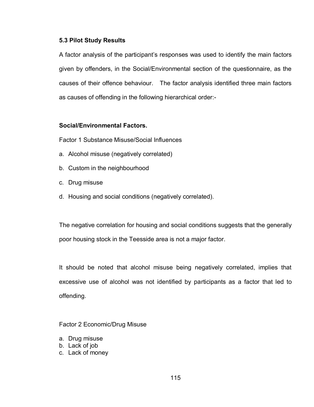# **5.3 Pilot Study Results**

A factor analysis of the participant"s responses was used to identify the main factors given by offenders, in the Social/Environmental section of the questionnaire, as the causes of their offence behaviour. The factor analysis identified three main factors as causes of offending in the following hierarchical order:-

# **Social/Environmental Factors.**

Factor 1 Substance Misuse/Social Influences

- a. Alcohol misuse (negatively correlated)
- b. Custom in the neighbourhood
- c. Drug misuse
- d. Housing and social conditions (negatively correlated).

The negative correlation for housing and social conditions suggests that the generally poor housing stock in the Teesside area is not a major factor.

It should be noted that alcohol misuse being negatively correlated, implies that excessive use of alcohol was not identified by participants as a factor that led to offending.

Factor 2 Economic/Drug Misuse

- a. Drug misuse
- b. Lack of job
- c. Lack of money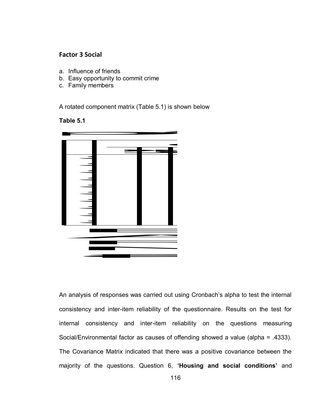# **Factor 3 Social**

- a. Influence of friends
- b. Easy opportunity to commit crime
- c. Family members

A rotated component matrix (Table 5.1) is shown below

# **Table 5.1**



An analysis of responses was carried out using Cronbach"s alpha to test the internal consistency and inter-item reliability of the questionnaire. Results on the test for internal consistency and inter-item reliability on the questions measuring Social/Environmental factor as causes of offending showed a value (alpha = .4333). The Covariance Matrix indicated that there was a positive covariance between the majority of the questions. Question 6, **'Housing and social conditions'** and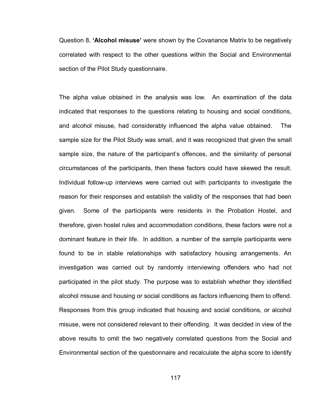Question 8, **'Alcohol misuse'** were shown by the Covariance Matrix to be negatively correlated with respect to the other questions within the Social and Environmental section of the Pilot Study questionnaire.

The alpha value obtained in the analysis was low. An examination of the data indicated that responses to the questions relating to housing and social conditions, and alcohol misuse, had considerably influenced the alpha value obtained. The sample size for the Pilot Study was small, and it was recognized that given the small sample size, the nature of the participant's offences, and the similarity of personal circumstances of the participants, then these factors could have skewed the result. Individual follow-up interviews were carried out with participants to investigate the reason for their responses and establish the validity of the responses that had been given. Some of the participants were residents in the Probation Hostel, and therefore, given hostel rules and accommodation conditions, these factors were not a dominant feature in their life. In addition, a number of the sample participants were found to be in stable relationships with satisfactory housing arrangements. An investigation was carried out by randomly interviewing offenders who had not participated in the pilot study. The purpose was to establish whether they identified alcohol misuse and housing or social conditions as factors influencing them to offend. Responses from this group indicated that housing and social conditions, or alcohol misuse, were not considered relevant to their offending. It was decided in view of the above results to omit the two negatively correlated questions from the Social and Environmental section of the questionnaire and recalculate the alpha score to identify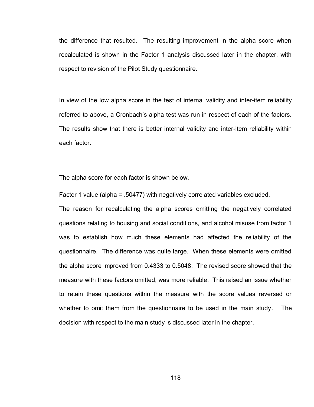the difference that resulted. The resulting improvement in the alpha score when recalculated is shown in the Factor 1 analysis discussed later in the chapter, with respect to revision of the Pilot Study questionnaire.

In view of the low alpha score in the test of internal validity and inter-item reliability referred to above, a Cronbach"s alpha test was run in respect of each of the factors. The results show that there is better internal validity and inter-item reliability within each factor.

The alpha score for each factor is shown below.

Factor 1 value (alpha = .50477) with negatively correlated variables excluded.

The reason for recalculating the alpha scores omitting the negatively correlated questions relating to housing and social conditions, and alcohol misuse from factor 1 was to establish how much these elements had affected the reliability of the questionnaire. The difference was quite large. When these elements were omitted the alpha score improved from 0.4333 to 0.5048. The revised score showed that the measure with these factors omitted, was more reliable. This raised an issue whether to retain these questions within the measure with the score values reversed or whether to omit them from the questionnaire to be used in the main study. The decision with respect to the main study is discussed later in the chapter.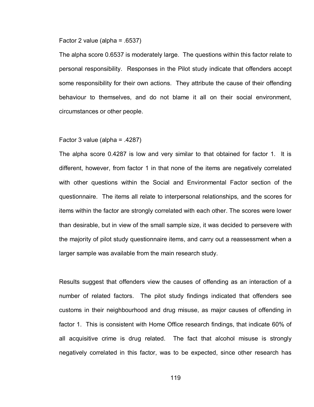### Factor 2 value (alpha = .6537)

The alpha score 0.6537 is moderately large. The questions within this factor relate to personal responsibility. Responses in the Pilot study indicate that offenders accept some responsibility for their own actions. They attribute the cause of their offending behaviour to themselves, and do not blame it all on their social environment, circumstances or other people.

### Factor 3 value (alpha = .4287)

The alpha score 0.4287 is low and very similar to that obtained for factor 1. It is different, however, from factor 1 in that none of the items are negatively correlated with other questions within the Social and Environmental Factor section of the questionnaire. The items all relate to interpersonal relationships, and the scores for items within the factor are strongly correlated with each other. The scores were lower than desirable, but in view of the small sample size, it was decided to persevere with the majority of pilot study questionnaire items, and carry out a reassessment when a larger sample was available from the main research study.

Results suggest that offenders view the causes of offending as an interaction of a number of related factors. The pilot study findings indicated that offenders see customs in their neighbourhood and drug misuse, as major causes of offending in factor 1. This is consistent with Home Office research findings, that indicate 60% of all acquisitive crime is drug related. The fact that alcohol misuse is strongly negatively correlated in this factor, was to be expected, since other research has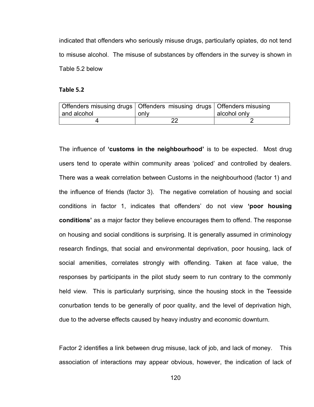indicated that offenders who seriously misuse drugs, particularly opiates, do not tend to misuse alcohol. The misuse of substances by offenders in the survey is shown in Table 5.2 below

### **Table 5.2**

|             | Offenders misusing drugs   Offenders misusing drugs   Offenders misusing |              |
|-------------|--------------------------------------------------------------------------|--------------|
| and alcohol | only                                                                     | alcohol only |
|             |                                                                          |              |

The influence of **'customs in the neighbourhood'** is to be expected. Most drug users tend to operate within community areas "policed" and controlled by dealers. There was a weak correlation between Customs in the neighbourhood (factor 1) and the influence of friends (factor 3). The negative correlation of housing and social conditions in factor 1, indicates that offenders" do not view **'poor housing conditions'** as a major factor they believe encourages them to offend. The response on housing and social conditions is surprising. It is generally assumed in criminology research findings, that social and environmental deprivation, poor housing, lack of social amenities, correlates strongly with offending. Taken at face value, the responses by participants in the pilot study seem to run contrary to the commonly held view. This is particularly surprising, since the housing stock in the Teesside conurbation tends to be generally of poor quality, and the level of deprivation high, due to the adverse effects caused by heavy industry and economic downturn.

Factor 2 identifies a link between drug misuse, lack of job, and lack of money. This association of interactions may appear obvious, however, the indication of lack of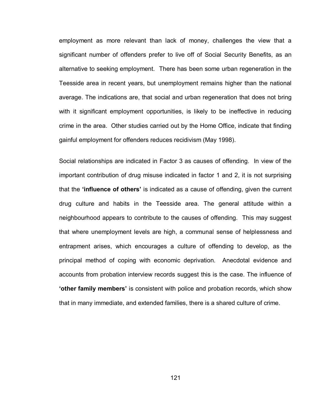employment as more relevant than lack of money, challenges the view that a significant number of offenders prefer to live off of Social Security Benefits, as an alternative to seeking employment. There has been some urban regeneration in the Teesside area in recent years, but unemployment remains higher than the national average. The indications are, that social and urban regeneration that does not bring with it significant employment opportunities, is likely to be ineffective in reducing crime in the area. Other studies carried out by the Home Office, indicate that finding gainful employment for offenders reduces recidivism (May 1998).

Social relationships are indicated in Factor 3 as causes of offending. In view of the important contribution of drug misuse indicated in factor 1 and 2, it is not surprising that the **'influence of others'** is indicated as a cause of offending, given the current drug culture and habits in the Teesside area. The general attitude within a neighbourhood appears to contribute to the causes of offending. This may suggest that where unemployment levels are high, a communal sense of helplessness and entrapment arises, which encourages a culture of offending to develop, as the principal method of coping with economic deprivation. Anecdotal evidence and accounts from probation interview records suggest this is the case. The influence of **'other family members'** is consistent with police and probation records, which show that in many immediate, and extended families, there is a shared culture of crime.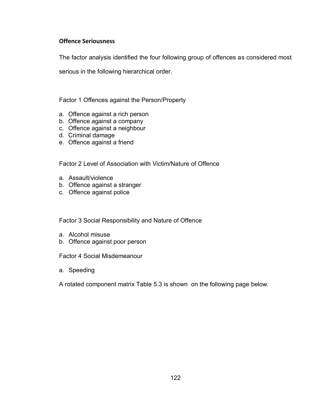# **Offence Seriousness**

The factor analysis identified the four following group of offences as considered most

serious in the following hierarchical order.

Factor 1 Offences against the Person/Property

- a. Offence against a rich person
- b. Offence against a company
- c. Offence against a neighbour
- d. Criminal damage
- e. Offence against a friend

Factor 2 Level of Association with Victim/Nature of Offence

- a. Assault/violence
- b. Offence against a stranger
- c. Offence against police

Factor 3 Social Responsibility and Nature of Offence

- a. Alcohol misuse
- b. Offence against poor person

Factor 4 Social Misdemeanour

a. Speeding

A rotated component matrix Table 5.3 is shown on the following page below.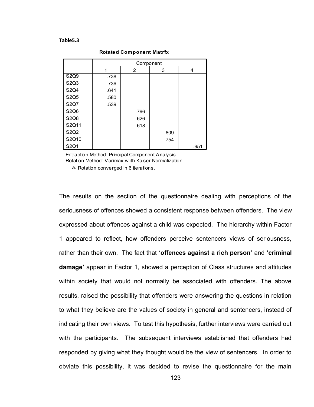### **Table5.3**

|                               | Component |                |      |      |  |
|-------------------------------|-----------|----------------|------|------|--|
|                               |           | $\overline{2}$ | 3    | 4    |  |
| S2Q9                          | .738      |                |      |      |  |
| S2Q3                          | .736      |                |      |      |  |
| S2Q4                          | .641      |                |      |      |  |
| S2Q5                          | .580      |                |      |      |  |
| <b>S2Q7</b>                   | .539      |                |      |      |  |
| S2Q6                          |           | .796           |      |      |  |
| S2Q8                          |           | .626           |      |      |  |
| S2Q11                         |           | .618           |      |      |  |
| S <sub>2</sub> Q <sub>2</sub> |           |                | .809 |      |  |
| S2Q10                         |           |                | .754 |      |  |
| S2Q1                          |           |                |      | .951 |  |

**Rotated Component Matrix** 

Extraction Method: Principal Component Analysis. Rotation Method: Varimax w ith Kaiser Normalization.

a. Rotation converged in 6 iterations.

The results on the section of the questionnaire dealing with perceptions of the seriousness of offences showed a consistent response between offenders. The view expressed about offences against a child was expected. The hierarchy within Factor 1 appeared to reflect, how offenders perceive sentencers views of seriousness, rather than their own. The fact that **'offences against a rich person'** and **'criminal damage'** appear in Factor 1, showed a perception of Class structures and attitudes within society that would not normally be associated with offenders. The above results, raised the possibility that offenders were answering the questions in relation to what they believe are the values of society in general and sentencers, instead of indicating their own views. To test this hypothesis, further interviews were carried out with the participants. The subsequent interviews established that offenders had responded by giving what they thought would be the view of sentencers. In order to obviate this possibility, it was decided to revise the questionnaire for the main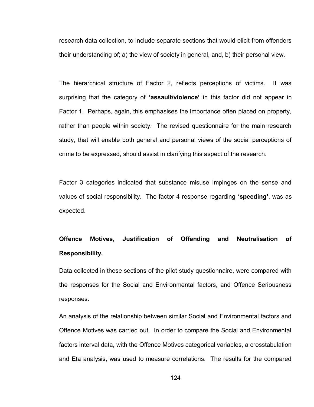research data collection, to include separate sections that would elicit from offenders their understanding of; a) the view of society in general, and, b) their personal view.

The hierarchical structure of Factor 2, reflects perceptions of victims. It was surprising that the category of **'assault/violence'** in this factor did not appear in Factor 1. Perhaps, again, this emphasises the importance often placed on property, rather than people within society. The revised questionnaire for the main research study, that will enable both general and personal views of the social perceptions of crime to be expressed, should assist in clarifying this aspect of the research.

Factor 3 categories indicated that substance misuse impinges on the sense and values of social responsibility. The factor 4 response regarding **'speeding'**, was as expected.

# **Offence Motives, Justification of Offending and Neutralisation of Responsibility.**

Data collected in these sections of the pilot study questionnaire, were compared with the responses for the Social and Environmental factors, and Offence Seriousness responses.

An analysis of the relationship between similar Social and Environmental factors and Offence Motives was carried out. In order to compare the Social and Environmental factors interval data, with the Offence Motives categorical variables, a crosstabulation and Eta analysis, was used to measure correlations. The results for the compared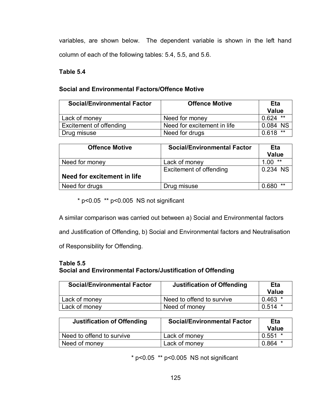variables, are shown below. The dependent variable is shown in the left hand column of each of the following tables: 5.4, 5.5, and 5.6.

# **Table 5.4**

# **Social and Environmental Factors/Offence Motive**

| <b>Social/Environmental Factor</b> | <b>Offence Motive</b>       | Eta<br><b>Value</b> |  |
|------------------------------------|-----------------------------|---------------------|--|
| Lack of money                      | Need for money              | $0.624$ **          |  |
| Excitement of offending            | Need for excitement in life | 0.084 NS            |  |
| Drug misuse                        | Need for drugs              | $***$<br>0.618      |  |

| <b>Offence Motive</b>       | <b>Social/Environmental Factor</b> | Eta<br><b>Value</b> |
|-----------------------------|------------------------------------|---------------------|
| Need for money              | Lack of money                      | **<br>1.00          |
|                             | Excitement of offending            | 0.234 NS            |
| Need for excitement in life |                                    |                     |
| Need for drugs              | Drug misuse                        | **<br>0.680         |

 $*$  p<0.05  $*$  p<0.005 NS not significant

A similar comparison was carried out between a) Social and Environmental factors

and Justification of Offending, b) Social and Environmental factors and Neutralisation

of Responsibility for Offending.

# **Table 5.5 Social and Environmental Factors/Justification of Offending**

| <b>Social/Environmental Factor</b> | <b>Justification of Offending</b> | Eta<br>Value |
|------------------------------------|-----------------------------------|--------------|
| Lack of money                      | Need to offend to survive         | $0.463$ *    |
| Lack of money                      | Need of money                     | 0.514        |

| <b>Justification of Offending</b> | <b>Social/Environmental Factor</b> | Eta<br>Value |
|-----------------------------------|------------------------------------|--------------|
| Need to offend to survive         | Lack of money                      | 0.551        |
| Need of money                     | Lack of money                      | 0.864        |

 $*$  p<0.05  $**$  p<0.005 NS not significant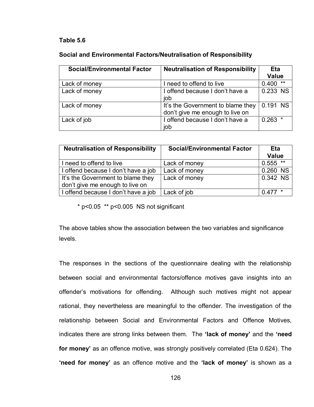# **Table 5.6**

| Social and Environmental Factors/Neutralisation of Responsibility |  |
|-------------------------------------------------------------------|--|
|-------------------------------------------------------------------|--|

| <b>Social/Environmental Factor</b> | <b>Neutralisation of Responsibility</b> | Eta            |
|------------------------------------|-----------------------------------------|----------------|
|                                    |                                         | <b>Value</b>   |
| Lack of money                      | I need to offend to live                | $***$<br>0.400 |
| Lack of money                      | I offend because I don't have a         | 0.233 NS       |
|                                    | job                                     |                |
| Lack of money                      | It's the Government to blame they       | 0.191 NS       |
|                                    | don't give me enough to live on         |                |
| Lack of job                        | I offend because I don't have a         | $0.263$ *      |
|                                    | job                                     |                |

| <b>Neutralisation of Responsibility</b> | <b>Social/Environmental Factor</b> | <b>Eta</b>   |  |
|-----------------------------------------|------------------------------------|--------------|--|
|                                         |                                    | <b>Value</b> |  |
| I need to offend to live                | Lack of money                      | $0.555$ **   |  |
| I offend because I don't have a job     | Lack of money                      | 0.260 NS     |  |
| It's the Government to blame they       | Lack of money                      | $0.342$ NS   |  |
| don't give me enough to live on         |                                    |              |  |
| I offend because I don't have a job     | Lack of job                        | $0.477*$     |  |

 $*$  p<0.05  $*$  $*$  p<0.005 NS not significant

The above tables show the association between the two variables and significance levels.

The responses in the sections of the questionnaire dealing with the relationship between social and environmental factors/offence motives gave insights into an offender"s motivations for offending. Although such motives might not appear rational, they nevertheless are meaningful to the offender. The investigation of the relationship between Social and Environmental Factors and Offence Motives, indicates there are strong links between them. The **'lack of money'** and the **'need for money'** as an offence motive, was strongly positively correlated (Eta 0.624). The **'need for money'** as an offence motive and the **'lack of money'** is shown as a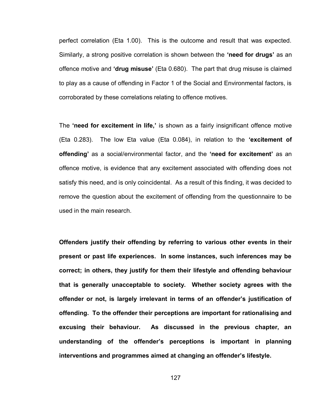perfect correlation (Eta 1.00). This is the outcome and result that was expected. Similarly, a strong positive correlation is shown between the **'need for drugs'** as an offence motive and **'drug misuse'** (Eta 0.680). The part that drug misuse is claimed to play as a cause of offending in Factor 1 of the Social and Environmental factors, is corroborated by these correlations relating to offence motives.

The **'need for excitement in life,'** is shown as a fairly insignificant offence motive (Eta 0.283). The low Eta value (Eta 0.084), in relation to the **'excitement of offending'** as a social/environmental factor, and the **'need for excitement'** as an offence motive, is evidence that any excitement associated with offending does not satisfy this need, and is only coincidental. As a result of this finding, it was decided to remove the question about the excitement of offending from the questionnaire to be used in the main research.

**Offenders justify their offending by referring to various other events in their present or past life experiences. In some instances, such inferences may be correct; in others, they justify for them their lifestyle and offending behaviour that is generally unacceptable to society. Whether society agrees with the offender or not, is largely irrelevant in terms of an offender's justification of offending. To the offender their perceptions are important for rationalising and excusing their behaviour. As discussed in the previous chapter, an understanding of the offender's perceptions is important in planning interventions and programmes aimed at changing an offender's lifestyle.**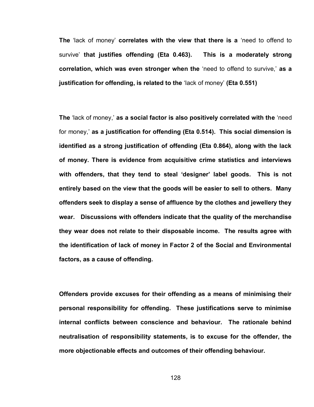**The** "lack of money" **correlates with the view that there is a** "need to offend to survive" **that justifies offending (Eta 0.463). This is a moderately strong correlation, which was even stronger when the** "need to offend to survive," **as a justification for offending, is related to the** "lack of money" **(Eta 0.551)** 

**The** "lack of money," **as a social factor is also positively correlated with the** "need for money," **as a justification for offending (Eta 0.514). This social dimension is identified as a strong justification of offending (Eta 0.864), along with the lack of money. There is evidence from acquisitive crime statistics and interviews with offenders, that they tend to steal 'designer' label goods. This is not entirely based on the view that the goods will be easier to sell to others. Many offenders seek to display a sense of affluence by the clothes and jewellery they wear. Discussions with offenders indicate that the quality of the merchandise they wear does not relate to their disposable income. The results agree with the identification of lack of money in Factor 2 of the Social and Environmental factors, as a cause of offending.** 

**Offenders provide excuses for their offending as a means of minimising their personal responsibility for offending. These justifications serve to minimise internal conflicts between conscience and behaviour. The rationale behind neutralisation of responsibility statements, is to excuse for the offender, the more objectionable effects and outcomes of their offending behaviour.**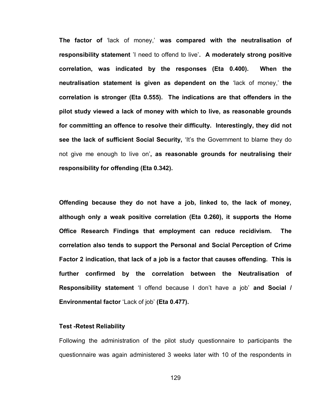**The factor of** "lack of money," **was compared with the neutralisation of responsibility statement** "I need to offend to live"**. A moderately strong positive correlation, was indicated by the responses (Eta 0.400). When the neutralisation statement is given as dependent on the** "lack of money," **the correlation is stronger (Eta 0.555). The indications are that offenders in the pilot study viewed a lack of money with which to live, as reasonable grounds for committing an offence to resolve their difficulty. Interestingly, they did not see the lack of sufficient Social Security, 'It's the Government to blame they do** not give me enough to live on"**, as reasonable grounds for neutralising their responsibility for offending (Eta 0.342).** 

**Offending because they do not have a job, linked to, the lack of money, although only a weak positive correlation (Eta 0.260), it supports the Home Office Research Findings that employment can reduce recidivism. The correlation also tends to support the Personal and Social Perception of Crime Factor 2 indication, that lack of a job is a factor that causes offending. This is further confirmed by the correlation between the Neutralisation of Responsibility statement** 'I offend because I don't have a job' and Social / **Environmental factor** "Lack of job" **(Eta 0.477).** 

### **Test -Retest Reliability**

Following the administration of the pilot study questionnaire to participants the questionnaire was again administered 3 weeks later with 10 of the respondents in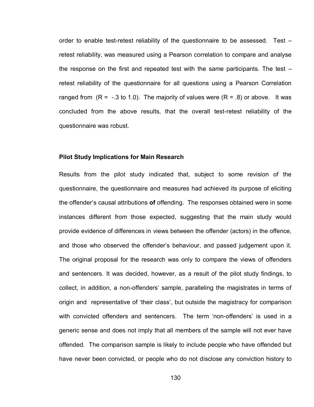order to enable test-retest reliability of the questionnaire to be assessed. Test – retest reliability, was measured using a Pearson correlation to compare and analyse the response on the first and repeated test with the same participants. The test – retest reliability of the questionnaire for all questions using a Pearson Correlation ranged from  $(R = -0.3$  to 1.0). The majority of values were  $(R = 0.8)$  or above. It was concluded from the above results, that the overall test-retest reliability of the questionnaire was robust.

### **Pilot Study Implications for Main Research**

Results from the pilot study indicated that, subject to some revision of the questionnaire, the questionnaire and measures had achieved its purpose of eliciting the offender"s causal attributions **of** offending.The responses obtained were in some instances different from those expected, suggesting that the main study would provide evidence of differences in views between the offender (actors) in the offence, and those who observed the offender"s behaviour, and passed judgement upon it. The original proposal for the research was only to compare the views of offenders and sentencers. It was decided, however, as a result of the pilot study findings, to collect, in addition, a non-offenders' sample, paralleling the magistrates in terms of origin and representative of "their class", but outside the magistracy for comparison with convicted offenders and sentencers. The term 'non-offenders' is used in a generic sense and does not imply that all members of the sample will not ever have offended. The comparison sample is likely to include people who have offended but have never been convicted, or people who do not disclose any conviction history to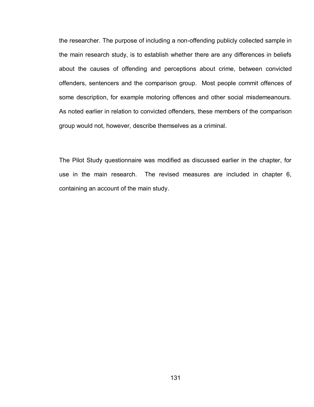the researcher. The purpose of including a non-offending publicly collected sample in the main research study, is to establish whether there are any differences in beliefs about the causes of offending and perceptions about crime, between convicted offenders, sentencers and the comparison group. Most people commit offences of some description, for example motoring offences and other social misdemeanours. As noted earlier in relation to convicted offenders, these members of the comparison group would not, however, describe themselves as a criminal.

The Pilot Study questionnaire was modified as discussed earlier in the chapter, for use in the main research. The revised measures are included in chapter 6, containing an account of the main study.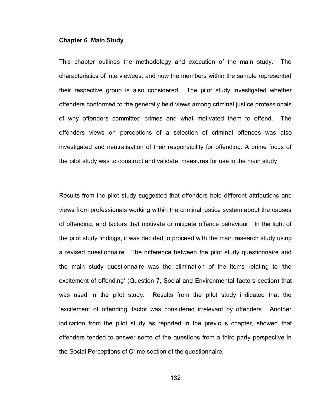### **Chapter 6 Main Study**

This chapter outlines the methodology and execution of the main study. The characteristics of interviewees, and how the members within the sample represented their respective group is also considered. The pilot study investigated whether offenders conformed to the generally held views among criminal justice professionals of why offenders committed crimes and what motivated them to offend. The offenders views on perceptions of a selection of criminal offences was also investigated and neutralisation of their responsibility for offending. A prime focus of the pilot study was to construct and validate measures for use in the main study.

Results from the pilot study suggested that offenders held different attributions and views from professionals working within the criminal justice system about the causes of offending, and factors that motivate or mitigate offence behaviour. In the light of the pilot study findings, it was decided to proceed with the main research study using a revised questionnaire. The difference between the pilot study questionnaire and the main study questionnaire was the elimination of the items relating to "the excitement of offending" (Question 7, Social and Environmental factors section) that was used in the pilot study. Results from the pilot study indicated that the "excitement of offending" factor was considered irrelevant by offenders. Another indication from the pilot study as reported in the previous chapter, showed that offenders tended to answer some of the questions from a third party perspective in the Social Perceptions of Crime section of the questionnaire.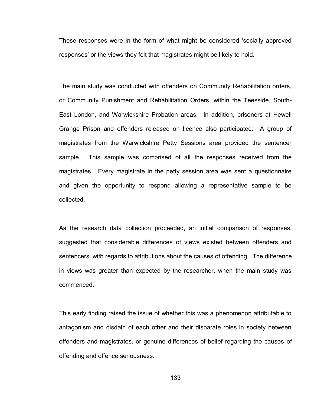These responses were in the form of what might be considered "socially approved responses" or the views they felt that magistrates might be likely to hold.

The main study was conducted with offenders on Community Rehabilitation orders, or Community Punishment and Rehabilitation Orders, within the Teesside, South-East London, and Warwickshire Probation areas. In addition, prisoners at Hewell Grange Prison and offenders released on licence also participated. A group of magistrates from the Warwickshire Petty Sessions area provided the sentencer sample. This sample was comprised of all the responses received from the magistrates. Every magistrate in the petty session area was sent a questionnaire and given the opportunity to respond allowing a representative sample to be collected.

As the research data collection proceeded, an initial comparison of responses, suggested that considerable differences of views existed between offenders and sentencers, with regards to attributions about the causes of offending. The difference in views was greater than expected by the researcher, when the main study was commenced.

This early finding raised the issue of whether this was a phenomenon attributable to antagonism and disdain of each other and their disparate roles in society between offenders and magistrates, or genuine differences of belief regarding the causes of offending and offence seriousness.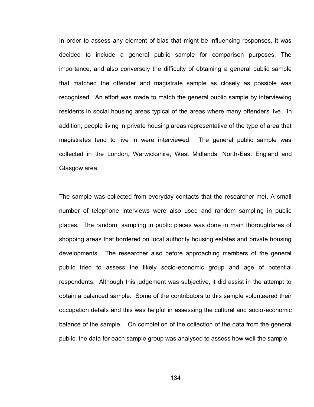In order to assess any element of bias that might be influencing responses, it was decided to include a general public sample for comparison purposes. The importance, and also conversely the difficulty of obtaining a general public sample that matched the offender and magistrate sample as closely as possible was recognised. An effort was made to match the general public sample by interviewing residents in social housing areas typical of the areas where many offenders live. In addition, people living in private housing areas representative of the type of area that magistrates tend to live in were interviewed. The general public sample was collected in the London, Warwickshire, West Midlands, North-East England and Glasgow area.

The sample was collected from everyday contacts that the researcher met. A small number of telephone interviews were also used and random sampling in public places. The random sampling in public places was done in main thoroughfares of shopping areas that bordered on local authority housing estates and private housing developments. The researcher also before approaching members of the general public tried to assess the likely socio-economic group and age of potential respondents. Although this judgement was subjective, it did assist in the attempt to obtain a balanced sample. Some of the contributors to this sample volunteered their occupation details and this was helpful in assessing the cultural and socio-economic balance of the sample. On completion of the collection of the data from the general public, the data for each sample group was analysed to assess how well the sample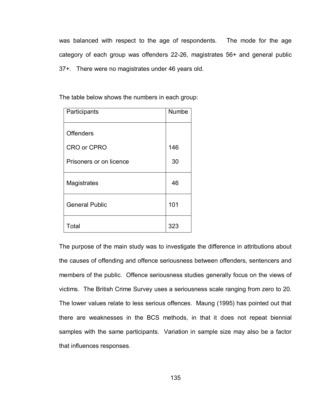was balanced with respect to the age of respondents. The mode for the age category of each group was offenders 22-26, magistrates 56+ and general public 37+. There were no magistrates under 46 years old.

The table below shows the numbers in each group:

| Participants            | Numbe |
|-------------------------|-------|
| <b>Offenders</b>        |       |
| <b>CRO or CPRO</b>      | 146   |
| Prisoners or on licence | 30    |
| Magistrates             | 46    |
| <b>General Public</b>   | 101   |
| Total                   | 323   |

The purpose of the main study was to investigate the difference in attributions about the causes of offending and offence seriousness between offenders, sentencers and members of the public. Offence seriousness studies generally focus on the views of victims. The British Crime Survey uses a seriousness scale ranging from zero to 20. The lower values relate to less serious offences. Maung (1995) has pointed out that there are weaknesses in the BCS methods, in that it does not repeat biennial samples with the same participants. Variation in sample size may also be a factor that influences responses.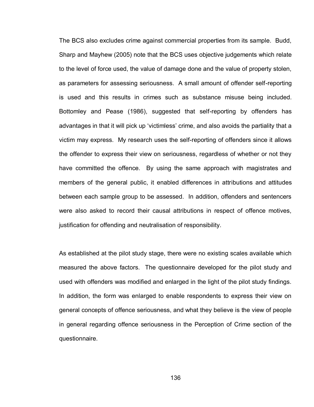The BCS also excludes crime against commercial properties from its sample. Budd, Sharp and Mayhew (2005) note that the BCS uses objective judgements which relate to the level of force used, the value of damage done and the value of property stolen, as parameters for assessing seriousness. A small amount of offender self-reporting is used and this results in crimes such as substance misuse being included. Bottomley and Pease (1986), suggested that self-reporting by offenders has advantages in that it will pick up "victimless" crime, and also avoids the partiality that a victim may express. My research uses the self-reporting of offenders since it allows the offender to express their view on seriousness, regardless of whether or not they have committed the offence. By using the same approach with magistrates and members of the general public, it enabled differences in attributions and attitudes between each sample group to be assessed. In addition, offenders and sentencers were also asked to record their causal attributions in respect of offence motives, justification for offending and neutralisation of responsibility.

As established at the pilot study stage, there were no existing scales available which measured the above factors. The questionnaire developed for the pilot study and used with offenders was modified and enlarged in the light of the pilot study findings. In addition, the form was enlarged to enable respondents to express their view on general concepts of offence seriousness, and what they believe is the view of people in general regarding offence seriousness in the Perception of Crime section of the questionnaire.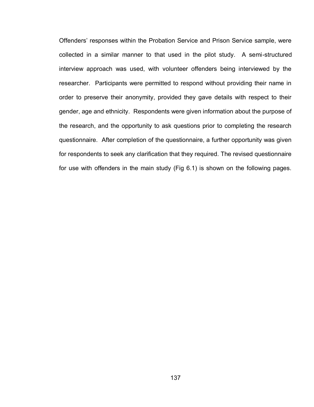Offenders" responses within the Probation Service and Prison Service sample, were collected in a similar manner to that used in the pilot study. A semi-structured interview approach was used, with volunteer offenders being interviewed by the researcher. Participants were permitted to respond without providing their name in order to preserve their anonymity, provided they gave details with respect to their gender, age and ethnicity. Respondents were given information about the purpose of the research, and the opportunity to ask questions prior to completing the research questionnaire. After completion of the questionnaire, a further opportunity was given for respondents to seek any clarification that they required. The revised questionnaire for use with offenders in the main study (Fig 6.1) is shown on the following pages.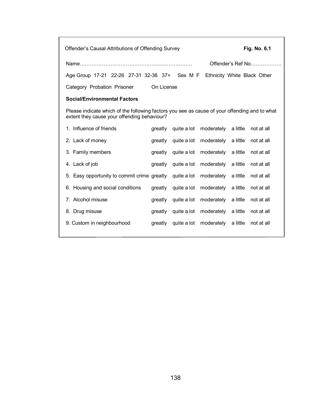Offender"s Causal Attributions of Offending Survey **Fig. No. 6.1**  Name………………………………………………………… Offender"s Ref No……………… Age Group 17-21 22-26 27-31 32-36 37+ Sex M F Ethnicity White Black Other Category Probation Prisoner On License **Social/Environmental Factors**  Please indicate which of the following factors you see as cause of your offending and to what extent they cause your offending behaviour? 1. Influence of friends The greatly quite a lot moderately a little not at all 2. Lack of money **greatly** quite a lot moderately a little not at all 3. Family members greatly quite a lot moderately a little not at all 4. Lack of job greatly quite a lot moderately a little not at all 5. Easy opportunity to commit crime greatly quite a lot moderately a little not at all 6. Housing and social conditions greatly quite a lot moderately a little not at all 7. Alcohol misuse greatly quite a lot moderately a little not at all 8. Drug misuse **greatly** quite a lot moderately a little not at all 9. Custom in neighbourhood greatly quite a lot moderately a little not at all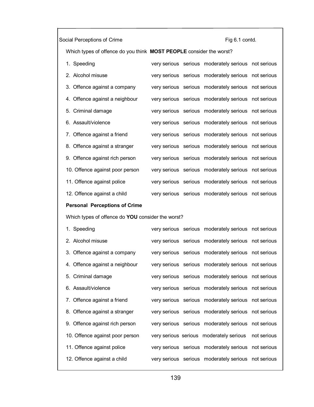# Social Perceptions of Crime **Fig 6.1 contd.**

Which types of offence do you think **MOST PEOPLE** consider the worst?

| 1. Speeding                     |  | very serious serious moderately serious not serious |  |
|---------------------------------|--|-----------------------------------------------------|--|
| 2. Alcohol misuse               |  | very serious serious moderately serious not serious |  |
| 3. Offence against a company    |  | very serious serious moderately serious not serious |  |
| 4. Offence against a neighbour  |  | very serious serious moderately serious not serious |  |
| 5. Criminal damage              |  | very serious serious moderately serious not serious |  |
| 6. Assault/violence             |  | very serious serious moderately serious not serious |  |
| 7. Offence against a friend     |  | very serious serious moderately serious not serious |  |
| 8. Offence against a stranger   |  | very serious serious moderately serious not serious |  |
| 9. Offence against rich person  |  | very serious serious moderately serious not serious |  |
| 10. Offence against poor person |  | very serious serious moderately serious not serious |  |
| 11. Offence against police      |  | very serious serious moderately serious not serious |  |
| 12. Offence against a child     |  | very serious serious moderately serious not serious |  |
|                                 |  |                                                     |  |

# **Personal Perceptions of Crime**

Which types of offence do **YOU** consider the worst?

| 1. Speeding                     |  | very serious serious moderately serious not serious |  |
|---------------------------------|--|-----------------------------------------------------|--|
| 2. Alcohol misuse               |  | very serious serious moderately serious not serious |  |
| 3. Offence against a company    |  | very serious serious moderately serious not serious |  |
| 4. Offence against a neighbour  |  | very serious serious moderately serious not serious |  |
| 5. Criminal damage              |  | very serious serious moderately serious not serious |  |
| 6. Assault/violence             |  | very serious serious moderately serious not serious |  |
| 7. Offence against a friend     |  | very serious serious moderately serious not serious |  |
| 8. Offence against a stranger   |  | very serious serious moderately serious not serious |  |
| 9. Offence against rich person  |  | very serious serious moderately serious not serious |  |
| 10. Offence against poor person |  | very serious serious moderately serious not serious |  |
| 11. Offence against police      |  | very serious serious moderately serious not serious |  |
| 12. Offence against a child     |  | very serious serious moderately serious not serious |  |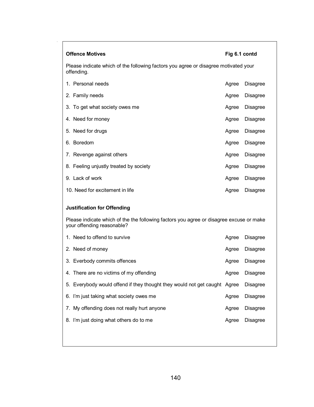| <b>Offence Motives</b><br>Fig 6.1 contd                                                                               |       |                 |  |  |  |
|-----------------------------------------------------------------------------------------------------------------------|-------|-----------------|--|--|--|
| Please indicate which of the following factors you agree or disagree motivated your<br>offending.                     |       |                 |  |  |  |
| 1. Personal needs                                                                                                     | Agree | <b>Disagree</b> |  |  |  |
| 2. Family needs                                                                                                       | Agree | <b>Disagree</b> |  |  |  |
| 3. To get what society owes me                                                                                        | Agree | <b>Disagree</b> |  |  |  |
| 4. Need for money                                                                                                     | Agree | <b>Disagree</b> |  |  |  |
| 5. Need for drugs                                                                                                     | Agree | <b>Disagree</b> |  |  |  |
| 6. Boredom                                                                                                            | Agree | <b>Disagree</b> |  |  |  |
| 7. Revenge against others                                                                                             | Agree | <b>Disagree</b> |  |  |  |
| 8. Feeling unjustly treated by society                                                                                | Agree | <b>Disagree</b> |  |  |  |
| 9. Lack of work                                                                                                       | Agree | <b>Disagree</b> |  |  |  |
| 10. Need for excitement in life                                                                                       | Agree | <b>Disagree</b> |  |  |  |
| <b>Justification for Offending</b>                                                                                    |       |                 |  |  |  |
| Please indicate which of the the following factors you agree or disagree excuse or make<br>your offending reasonable? |       |                 |  |  |  |
| 1. Need to offend to survive                                                                                          | Agree | <b>Disagree</b> |  |  |  |
| 2. Need of money                                                                                                      | Agree | <b>Disagree</b> |  |  |  |
| 3. Everbody commits offences                                                                                          | Agree | <b>Disagree</b> |  |  |  |
| 4. There are no victims of my offending                                                                               | Agree | <b>Disagree</b> |  |  |  |
| 5. Everybody would offend if they thought they would not get caught Agree                                             |       | <b>Disagree</b> |  |  |  |
| 6. I'm just taking what society owes me                                                                               | Agree | <b>Disagree</b> |  |  |  |
| 7. My offending does not really hurt anyone                                                                           | Agree | <b>Disagree</b> |  |  |  |
| 8. I'm just doing what others do to me                                                                                | Agree | <b>Disagree</b> |  |  |  |
|                                                                                                                       |       |                 |  |  |  |

 $\ddot{\phantom{0}}$ Г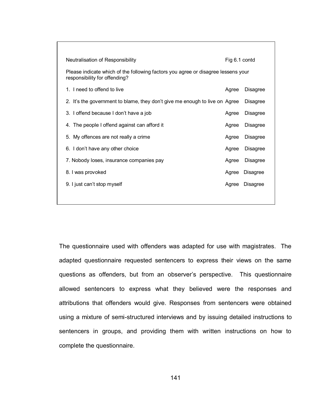| <b>Disagree</b>                    |
|------------------------------------|
| <b>Disagree</b>                    |
| <b>Disagree</b>                    |
| <b>Disagree</b>                    |
| <b>Disagree</b>                    |
| <b>Disagree</b>                    |
| <b>Disagree</b>                    |
|                                    |
|                                    |
|                                    |
| <b>Disagree</b><br><b>Disagree</b> |

The questionnaire used with offenders was adapted for use with magistrates. The adapted questionnaire requested sentencers to express their views on the same questions as offenders, but from an observer"s perspective. This questionnaire allowed sentencers to express what they believed were the responses and attributions that offenders would give. Responses from sentencers were obtained using a mixture of semi-structured interviews and by issuing detailed instructions to sentencers in groups, and providing them with written instructions on how to complete the questionnaire.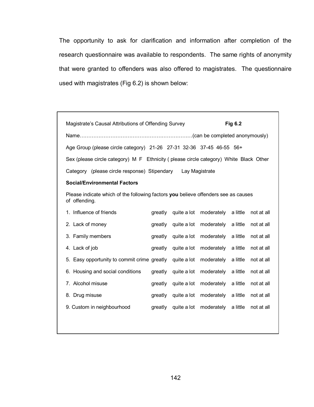The opportunity to ask for clarification and information after completion of the research questionnaire was available to respondents. The same rights of anonymity that were granted to offenders was also offered to magistrates. The questionnaire used with magistrates (Fig 6.2) is shown below:

| Magistrate's Causal Attributions of Offending Survey                                                |         |             |                                 | Fig 6.2  |            |
|-----------------------------------------------------------------------------------------------------|---------|-------------|---------------------------------|----------|------------|
|                                                                                                     |         |             |                                 |          |            |
| Age Group (please circle category) 21-26 27-31 32-36 37-45 46-55 56+                                |         |             |                                 |          |            |
| Sex (please circle category) M F Ethnicity (please circle category) White Black Other               |         |             |                                 |          |            |
| Category (please circle response) Stipendary Lay Magistrate                                         |         |             |                                 |          |            |
| <b>Social/Environmental Factors</b>                                                                 |         |             |                                 |          |            |
| Please indicate which of the following factors you believe offenders see as causes<br>of offending. |         |             |                                 |          |            |
| 1. Influence of friends                                                                             | greatly | quite a lot | moderately                      | a little | not at all |
| 2. Lack of money                                                                                    | greatly | quite a lot | moderately                      | a little | not at all |
| 3. Family members                                                                                   | greatly | quite a lot | moderately                      | a little | not at all |
| 4. Lack of job                                                                                      | greatly | quite a lot | moderately                      | a little | not at all |
| 5. Easy opportunity to commit crime greatly                                                         |         | quite a lot | moderately                      | a little | not at all |
| 6. Housing and social conditions                                                                    | greatly | quite a lot | moderately                      | a little | not at all |
| 7. Alcohol misuse                                                                                   | greatly | quite a lot | moderately                      | a little | not at all |
| 8. Drug misuse                                                                                      | greatly | quite a lot | moderately a little             |          | not at all |
| 9. Custom in neighbourhood                                                                          | greatly |             | quite a lot moderately a little |          | not at all |
|                                                                                                     |         |             |                                 |          |            |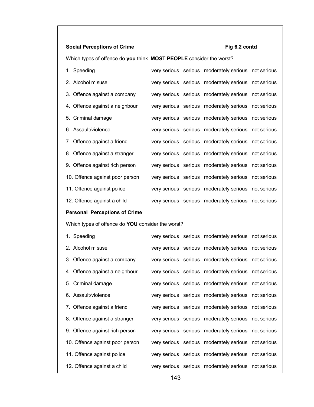# **Social Perceptions of Crime** Fig 6.2 contd

Which types of offence do **you** think **MOST PEOPLE** consider the worst?

| 1. Speeding                     |  | very serious serious moderately serious not serious |  |
|---------------------------------|--|-----------------------------------------------------|--|
| 2. Alcohol misuse               |  | very serious serious moderately serious not serious |  |
| 3. Offence against a company    |  | very serious serious moderately serious not serious |  |
| 4. Offence against a neighbour  |  | very serious serious moderately serious not serious |  |
| 5. Criminal damage              |  | very serious serious moderately serious not serious |  |
| 6. Assault/violence             |  | very serious serious moderately serious not serious |  |
| 7. Offence against a friend     |  | very serious serious moderately serious not serious |  |
| 8. Offence against a stranger   |  | very serious serious moderately serious not serious |  |
| 9. Offence against rich person  |  | very serious serious moderately serious not serious |  |
| 10. Offence against poor person |  | very serious serious moderately serious not serious |  |
| 11. Offence against police      |  | very serious serious moderately serious not serious |  |
| 12. Offence against a child     |  | very serious serious moderately serious not serious |  |
|                                 |  |                                                     |  |

# **Personal Perceptions of Crime**

Which types of offence do **YOU** consider the worst?

| 1. Speeding                     |  | very serious serious moderately serious not serious |  |
|---------------------------------|--|-----------------------------------------------------|--|
| 2. Alcohol misuse               |  | very serious serious moderately serious not serious |  |
| 3. Offence against a company    |  | very serious serious moderately serious not serious |  |
| 4. Offence against a neighbour  |  | very serious serious moderately serious not serious |  |
| 5. Criminal damage              |  | very serious serious moderately serious not serious |  |
| 6. Assault/violence             |  | very serious serious moderately serious not serious |  |
| 7. Offence against a friend     |  | very serious serious moderately serious not serious |  |
| 8. Offence against a stranger   |  | very serious serious moderately serious not serious |  |
| 9. Offence against rich person  |  | very serious serious moderately serious not serious |  |
| 10. Offence against poor person |  | very serious serious moderately serious not serious |  |
| 11. Offence against police      |  | very serious serious moderately serious not serious |  |
| 12. Offence against a child     |  | very serious serious moderately serious not serious |  |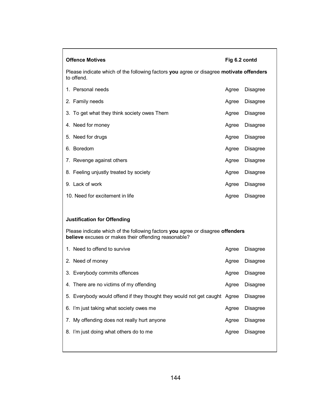| <b>Offence Motives</b><br>Fig 6.2 contd                                                                                                |       |                 |  |  |  |
|----------------------------------------------------------------------------------------------------------------------------------------|-------|-----------------|--|--|--|
| Please indicate which of the following factors you agree or disagree motivate offenders<br>to offend.                                  |       |                 |  |  |  |
| 1. Personal needs                                                                                                                      | Agree | <b>Disagree</b> |  |  |  |
| 2. Family needs                                                                                                                        | Agree | <b>Disagree</b> |  |  |  |
| 3. To get what they think society owes Them                                                                                            | Agree | <b>Disagree</b> |  |  |  |
| 4. Need for money                                                                                                                      | Agree | <b>Disagree</b> |  |  |  |
| 5. Need for drugs                                                                                                                      | Agree | <b>Disagree</b> |  |  |  |
| 6. Boredom                                                                                                                             | Agree | <b>Disagree</b> |  |  |  |
| 7. Revenge against others                                                                                                              | Agree | <b>Disagree</b> |  |  |  |
| 8. Feeling unjustly treated by society                                                                                                 | Agree | <b>Disagree</b> |  |  |  |
| 9. Lack of work                                                                                                                        | Agree | <b>Disagree</b> |  |  |  |
| 10. Need for excitement in life                                                                                                        | Agree | <b>Disagree</b> |  |  |  |
|                                                                                                                                        |       |                 |  |  |  |
| <b>Justification for Offending</b>                                                                                                     |       |                 |  |  |  |
| Please indicate which of the following factors you agree or disagree offenders<br>believe excuses or makes their offending reasonable? |       |                 |  |  |  |
| 1. Need to offend to survive                                                                                                           | Agree | <b>Disagree</b> |  |  |  |
| 2. Need of money                                                                                                                       | Agree | <b>Disagree</b> |  |  |  |
| 3. Everybody commits offences                                                                                                          | Agree | <b>Disagree</b> |  |  |  |
| 4. There are no victims of my offending                                                                                                | Agree | Disagree        |  |  |  |
| 5. Everybody would offend if they thought they would not get caught Agree                                                              |       | <b>Disagree</b> |  |  |  |
| 6. I'm just taking what society owes me                                                                                                | Agree | <b>Disagree</b> |  |  |  |
| 7. My offending does not really hurt anyone                                                                                            | Agree | <b>Disagree</b> |  |  |  |
| 8. I'm just doing what others do to me                                                                                                 | Agree | <b>Disagree</b> |  |  |  |
|                                                                                                                                        |       |                 |  |  |  |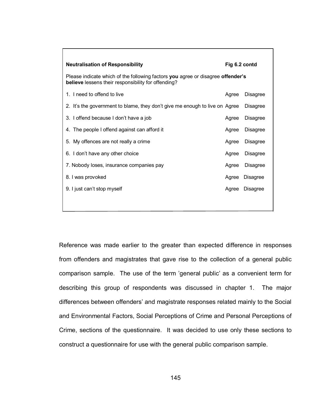| <b>Neutralisation of Responsibility</b>                                                                                                | Fig 6.2 contd |                 |  |  |  |
|----------------------------------------------------------------------------------------------------------------------------------------|---------------|-----------------|--|--|--|
| Please indicate which of the following factors you agree or disagree offender's<br>believe lessens their responsibility for offending? |               |                 |  |  |  |
| 1. I need to offend to live                                                                                                            | Agree         | <b>Disagree</b> |  |  |  |
| 2. It's the government to blame, they don't give me enough to live on Agree                                                            |               | <b>Disagree</b> |  |  |  |
| 3. I offend because I don't have a job                                                                                                 | Agree         | <b>Disagree</b> |  |  |  |
| 4. The people I offend against can afford it                                                                                           | Agree         | <b>Disagree</b> |  |  |  |
| 5. My offences are not really a crime                                                                                                  | Agree         | <b>Disagree</b> |  |  |  |
| 6. I don't have any other choice                                                                                                       | Agree         | <b>Disagree</b> |  |  |  |
| 7. Nobody loses, insurance companies pay                                                                                               | Agree         | <b>Disagree</b> |  |  |  |
| 8. I was provoked                                                                                                                      | Agree         | <b>Disagree</b> |  |  |  |
| 9. I just can't stop myself                                                                                                            | Agree         | <b>Disagree</b> |  |  |  |
|                                                                                                                                        |               |                 |  |  |  |

Reference was made earlier to the greater than expected difference in responses from offenders and magistrates that gave rise to the collection of a general public comparison sample. The use of the term "general public" as a convenient term for describing this group of respondents was discussed in chapter 1. The major differences between offenders" and magistrate responses related mainly to the Social and Environmental Factors, Social Perceptions of Crime and Personal Perceptions of Crime, sections of the questionnaire. It was decided to use only these sections to construct a questionnaire for use with the general public comparison sample.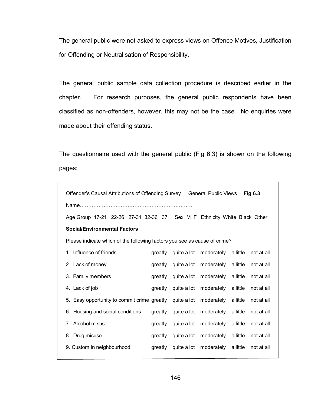The general public were not asked to express views on Offence Motives, Justification for Offending or Neutralisation of Responsibility.

The general public sample data collection procedure is described earlier in the chapter. For research purposes, the general public respondents have been classified as non-offenders, however, this may not be the case. No enquiries were made about their offending status.

The questionnaire used with the general public (Fig 6.3) is shown on the following pages:

| Offender's Causal Attributions of Offending Survey General Public Views Fig 6.3 |  |
|---------------------------------------------------------------------------------|--|
|                                                                                 |  |

Age Group 17-21 22-26 27-31 32-36 37+ Sex M F Ethnicity White Black Other

### **Social/Environmental Factors**

Please indicate which of the following factors you see as cause of crime?

| 1. Influence of friends                                                     | greatly | quite a lot moderately a little not at all         |            |
|-----------------------------------------------------------------------------|---------|----------------------------------------------------|------------|
| 2. Lack of money                                                            | greatly | quite a lot moderately a little not at all         |            |
| 3. Family members                                                           | greatly | quite a lot moderately a little                    | not at all |
| 4. Lack of job                                                              | greatly | quite a lot moderately a little                    | not at all |
| 5. Easy opportunity to commit crime greatly quite a lot moderately a little |         |                                                    | not at all |
| 6. Housing and social conditions                                            | greatly | quite a lot moderately a little                    | not at all |
| 7. Alcohol misuse                                                           | greatly | quite a lot moderately a little                    | not at all |
| 8. Drug misuse                                                              | areatly | quite a lot moderately a little                    | not at all |
| 9. Custom in neighbourhood                                                  |         | greatly quite a lot moderately a little not at all |            |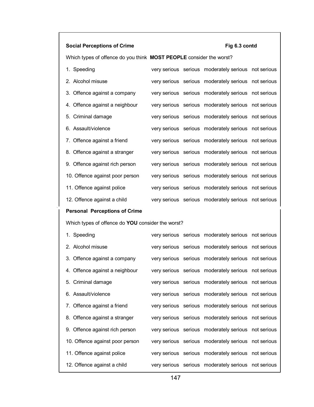# **Social Perceptions of Crime Fig 6.3 contd**

Which types of offence do you think **MOST PEOPLE** consider the worst?

| 1. Speeding                     |  | very serious serious moderately serious not serious |  |
|---------------------------------|--|-----------------------------------------------------|--|
| 2. Alcohol misuse               |  | very serious serious moderately serious not serious |  |
| 3. Offence against a company    |  | very serious serious moderately serious not serious |  |
| 4. Offence against a neighbour  |  | very serious serious moderately serious not serious |  |
| 5. Criminal damage              |  | very serious serious moderately serious not serious |  |
| 6. Assault/violence             |  | very serious serious moderately serious not serious |  |
| 7. Offence against a friend     |  | very serious serious moderately serious not serious |  |
| 8. Offence against a stranger   |  | very serious serious moderately serious not serious |  |
| 9. Offence against rich person  |  | very serious serious moderately serious not serious |  |
| 10. Offence against poor person |  | very serious serious moderately serious not serious |  |
| 11. Offence against police      |  | very serious serious moderately serious not serious |  |
| 12. Offence against a child     |  | very serious serious moderately serious not serious |  |
|                                 |  |                                                     |  |

# **Personal Perceptions of Crime**

Which types of offence do **YOU** consider the worst?

| 1. Speeding                     |  | very serious serious moderately serious not serious |  |
|---------------------------------|--|-----------------------------------------------------|--|
| 2. Alcohol misuse               |  | very serious serious moderately serious not serious |  |
| 3. Offence against a company    |  | very serious serious moderately serious not serious |  |
| 4. Offence against a neighbour  |  | very serious serious moderately serious not serious |  |
| 5. Criminal damage              |  | very serious serious moderately serious not serious |  |
| 6. Assault/violence             |  | very serious serious moderately serious not serious |  |
| 7. Offence against a friend     |  | very serious serious moderately serious not serious |  |
| 8. Offence against a stranger   |  | very serious serious moderately serious not serious |  |
| 9. Offence against rich person  |  | very serious serious moderately serious not serious |  |
| 10. Offence against poor person |  | very serious serious moderately serious not serious |  |
| 11. Offence against police      |  | very serious serious moderately serious not serious |  |
| 12. Offence against a child     |  | very serious serious moderately serious not serious |  |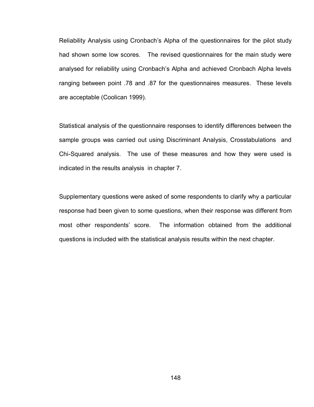Reliability Analysis using Cronbach"s Alpha of the questionnaires for the pilot study had shown some low scores. The revised questionnaires for the main study were analysed for reliability using Cronbach"s Alpha and achieved Cronbach Alpha levels ranging between point .78 and .87 for the questionnaires measures. These levels are acceptable (Coolican 1999).

Statistical analysis of the questionnaire responses to identify differences between the sample groups was carried out using Discriminant Analysis, Crosstabulations and Chi-Squared analysis. The use of these measures and how they were used is indicated in the results analysis in chapter 7.

Supplementary questions were asked of some respondents to clarify why a particular response had been given to some questions, when their response was different from most other respondents' score. The information obtained from the additional questions is included with the statistical analysis results within the next chapter.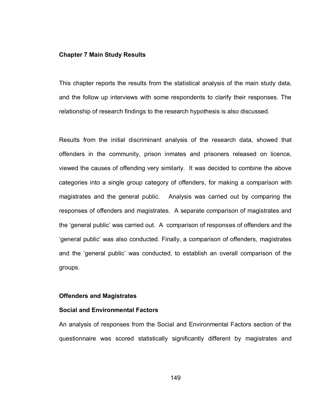### **Chapter 7 Main Study Results**

This chapter reports the results from the statistical analysis of the main study data, and the follow up interviews with some respondents to clarify their responses. The relationship of research findings to the research hypothesis is also discussed.

Results from the initial discriminant analysis of the research data, showed that offenders in the community, prison inmates and prisoners released on licence, viewed the causes of offending very similarly. It was decided to combine the above categories into a single group category of offenders, for making a comparison with magistrates and the general public. Analysis was carried out by comparing the responses of offenders and magistrates. A separate comparison of magistrates and the "general public" was carried out. A comparison of responses of offenders and the "general public" was also conducted. Finally, a comparison of offenders, magistrates and the "general public" was conducted, to establish an overall comparison of the groups.

### **Offenders and Magistrates**

### **Social and Environmental Factors**

An analysis of responses from the Social and Environmental Factors section of the questionnaire was scored statistically significantly different by magistrates and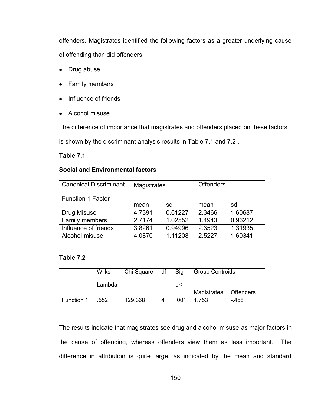offenders. Magistrates identified the following factors as a greater underlying cause of offending than did offenders:

- Drug abuse
- Family members
- Influence of friends
- Alcohol misuse

The difference of importance that magistrates and offenders placed on these factors

is shown by the discriminant analysis results in Table 7.1 and 7.2 .

# **Table 7.1**

# **Social and Environmental factors**

| <b>Canonical Discriminant</b> | Magistrates |         | <b>Offenders</b> |         |
|-------------------------------|-------------|---------|------------------|---------|
| <b>Function 1 Factor</b>      |             |         |                  |         |
|                               | sd<br>mean  |         | mean             | sd      |
| Drug Misuse                   | 4.7391      | 0.61227 | 2.3466           | 1.60687 |
| Family members                | 2.7174      | 1.02552 | 1.4943           | 0.96212 |
| Influence of friends          | 3.8261      | 0.94996 | 2.3523           | 1.31935 |
| Alcohol misuse                | 4.0870      | 1.11208 | 2.5227           | 1.60341 |

# **Table 7.2**

|            | <b>Wilks</b> | Chi-Square | df | Sig  | <b>Group Centroids</b> |                  |
|------------|--------------|------------|----|------|------------------------|------------------|
|            | Lambda       |            |    | p<   |                        |                  |
|            |              |            |    |      | Magistrates            | <b>Offenders</b> |
| Function 1 | .552         | 129.368    |    | .001 | 1.753                  | $-458$           |

The results indicate that magistrates see drug and alcohol misuse as major factors in the cause of offending, whereas offenders view them as less important. The difference in attribution is quite large, as indicated by the mean and standard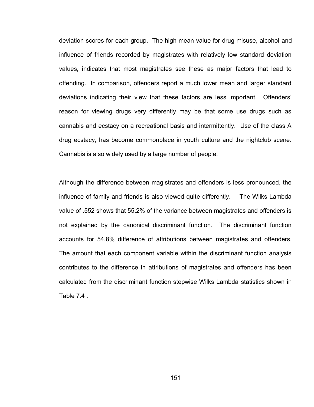deviation scores for each group. The high mean value for drug misuse, alcohol and influence of friends recorded by magistrates with relatively low standard deviation values, indicates that most magistrates see these as major factors that lead to offending. In comparison, offenders report a much lower mean and larger standard deviations indicating their view that these factors are less important. Offenders" reason for viewing drugs very differently may be that some use drugs such as cannabis and ecstacy on a recreational basis and intermittently. Use of the class A drug ecstacy, has become commonplace in youth culture and the nightclub scene. Cannabis is also widely used by a large number of people.

Although the difference between magistrates and offenders is less pronounced, the influence of family and friends is also viewed quite differently. The Wilks Lambda value of .552 shows that 55.2% of the variance between magistrates and offenders is not explained by the canonical discriminant function. The discriminant function accounts for 54.8% difference of attributions between magistrates and offenders. The amount that each component variable within the discriminant function analysis contributes to the difference in attributions of magistrates and offenders has been calculated from the discriminant function stepwise Wilks Lambda statistics shown in Table 7.4 .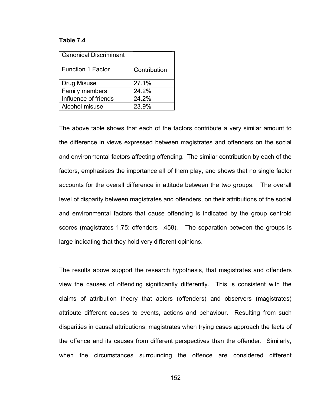### **Table 7.4**

| <b>Canonical Discriminant</b> |              |
|-------------------------------|--------------|
| <b>Function 1 Factor</b>      | Contribution |
| Drug Misuse                   | 27.1%        |
| Family members                | 24.2%        |
| Influence of friends          | 24.2%        |
| Alcohol misuse                | 23.9%        |

The above table shows that each of the factors contribute a very similar amount to the difference in views expressed between magistrates and offenders on the social and environmental factors affecting offending. The similar contribution by each of the factors, emphasises the importance all of them play, and shows that no single factor accounts for the overall difference in attitude between the two groups. The overall level of disparity between magistrates and offenders, on their attributions of the social and environmental factors that cause offending is indicated by the group centroid scores (magistrates 1.75: offenders -.458). The separation between the groups is large indicating that they hold very different opinions.

The results above support the research hypothesis, that magistrates and offenders view the causes of offending significantly differently. This is consistent with the claims of attribution theory that actors (offenders) and observers (magistrates) attribute different causes to events, actions and behaviour. Resulting from such disparities in causal attributions, magistrates when trying cases approach the facts of the offence and its causes from different perspectives than the offender. Similarly, when the circumstances surrounding the offence are considered different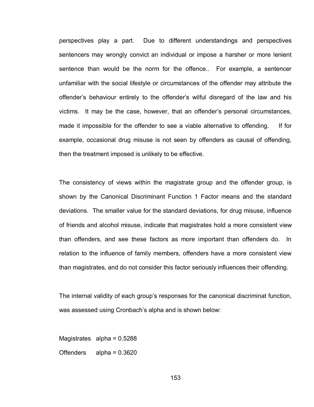perspectives play a part. Due to different understandings and perspectives sentencers may wrongly convict an individual or impose a harsher or more lenient sentence than would be the norm for the offence.. For example, a sentencer unfamiliar with the social lifestyle or circumstances of the offender may attribute the offender"s behaviour entirely to the offender"s wilful disregard of the law and his victims. It may be the case, however, that an offender"s personal circumstances, made it impossible for the offender to see a viable alternative to offending. If for example, occasional drug misuse is not seen by offenders as causal of offending, then the treatment imposed is unlikely to be effective.

The consistency of views within the magistrate group and the offender group, is shown by the Canonical Discriminant Function 1 Factor means and the standard deviations. The smaller value for the standard deviations, for drug misuse, influence of friends and alcohol misuse, indicate that magistrates hold a more consistent view than offenders, and see these factors as more important than offenders do. In relation to the influence of family members, offenders have a more consistent view than magistrates, and do not consider this factor seriously influences their offending.

The internal validity of each group's responses for the canonical discriminat function, was assessed using Cronbach's alpha and is shown below:

Magistrates alpha =  $0.5288$ 

Offenders alpha = 0.3620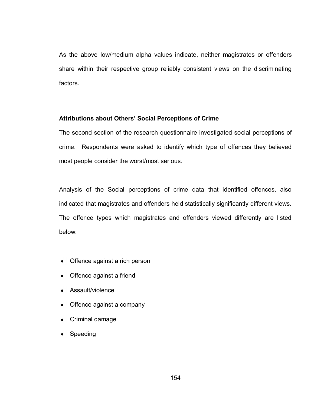As the above low/medium alpha values indicate, neither magistrates or offenders share within their respective group reliably consistent views on the discriminating factors.

## **Attributions about Others' Social Perceptions of Crime**

The second section of the research questionnaire investigated social perceptions of crime. Respondents were asked to identify which type of offences they believed most people consider the worst/most serious.

Analysis of the Social perceptions of crime data that identified offences, also indicated that magistrates and offenders held statistically significantly different views. The offence types which magistrates and offenders viewed differently are listed below:

- Offence against a rich person
- Offence against a friend
- Assault/violence
- Offence against a company
- Criminal damage
- Speeding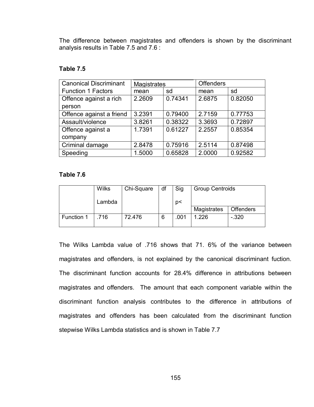The difference between magistrates and offenders is shown by the discriminant analysis results in Table 7.5 and 7.6 :

# **Table 7.5**

| <b>Canonical Discriminant</b> | Magistrates |         | <b>Offenders</b> |         |
|-------------------------------|-------------|---------|------------------|---------|
| <b>Function 1 Factors</b>     | mean        | sd      | mean             | sd      |
| Offence against a rich        | 2.2609      | 0.74341 | 2.6875           | 0.82050 |
| person                        |             |         |                  |         |
| Offence against a friend      | 3.2391      | 0.79400 | 2.7159           | 0.77753 |
| Assault/violence              | 3.8261      | 0.38322 | 3.3693           | 0.72897 |
| Offence against a             | 1.7391      | 0.61227 | 2.2557           | 0.85354 |
| company                       |             |         |                  |         |
| Criminal damage               | 2.8478      | 0.75916 | 2.5114           | 0.87498 |
| Speeding                      | 1.5000      | 0.65828 | 2.0000           | 0.92582 |

### **Table 7.6**

|            | <b>Wilks</b> | Chi-Square | df | Sig  | <b>Group Centroids</b> |                  |
|------------|--------------|------------|----|------|------------------------|------------------|
|            | Lambda       |            |    | p<   |                        |                  |
|            |              |            |    |      | Magistrates            | <b>Offenders</b> |
| Function 1 | .716         | 72.476     | 6  | .001 | 1.226                  | $-320$           |

The Wilks Lambda value of .716 shows that 71. 6% of the variance between magistrates and offenders, is not explained by the canonical discriminant fuction. The discriminant function accounts for 28.4% difference in attributions between magistrates and offenders. The amount that each component variable within the discriminant function analysis contributes to the difference in attributions of magistrates and offenders has been calculated from the discriminant function stepwise Wilks Lambda statistics and is shown in Table 7.7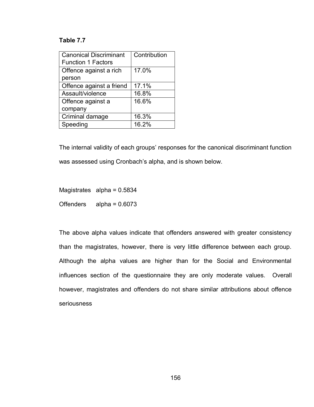# **Table 7.7**

| <b>Canonical Discriminant</b> | Contribution |
|-------------------------------|--------------|
| <b>Function 1 Factors</b>     |              |
| Offence against a rich        | 17.0%        |
| person                        |              |
| Offence against a friend      | 17.1%        |
| Assault/violence              | 16.8%        |
| Offence against a             | 16.6%        |
| company                       |              |
| Criminal damage               | 16.3%        |
| Speeding                      | 16.2%        |

The internal validity of each groups' responses for the canonical discriminant function was assessed using Cronbach's alpha, and is shown below.

Magistrates alpha = 0.5834 Offenders alpha = 0.6073

The above alpha values indicate that offenders answered with greater consistency than the magistrates, however, there is very little difference between each group. Although the alpha values are higher than for the Social and Environmental influences section of the questionnaire they are only moderate values. Overall however, magistrates and offenders do not share similar attributions about offence seriousness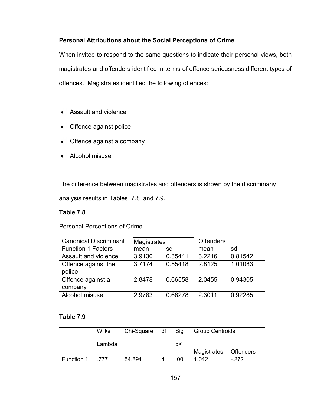# **Personal Attributions about the Social Perceptions of Crime**

When invited to respond to the same questions to indicate their personal views, both magistrates and offenders identified in terms of offence seriousness different types of offences. Magistrates identified the following offences:

- Assault and violence
- Offence against police
- Offence against a company
- Alcohol misuse

The difference between magistrates and offenders is shown by the discriminany

analysis results in Tables 7.8 and 7.9.

# **Table 7.8**

Personal Perceptions of Crime

| <b>Magistrates</b> |         | <b>Offenders</b> |         |
|--------------------|---------|------------------|---------|
| mean               | sd      | mean             | sd      |
| 3.9130             | 0.35441 | 3.2216           | 0.81542 |
| 3.7174             | 0.55418 | 2.8125           | 1.01083 |
|                    |         |                  |         |
| 2.8478             | 0.66558 | 2.0455           | 0.94305 |
|                    |         |                  |         |
| 2.9783             | 0.68278 | 2.3011           | 0.92285 |
|                    |         |                  |         |

# **Table 7.9**

|            | <b>Wilks</b> | Chi-Square | df | Sig  | <b>Group Centroids</b> |                  |
|------------|--------------|------------|----|------|------------------------|------------------|
|            | Lambda       |            |    | p<   |                        |                  |
|            |              |            |    |      | Magistrates            | <b>Offenders</b> |
| Function 1 | .777         | 54.894     |    | .001 | 1.042                  | $-272$           |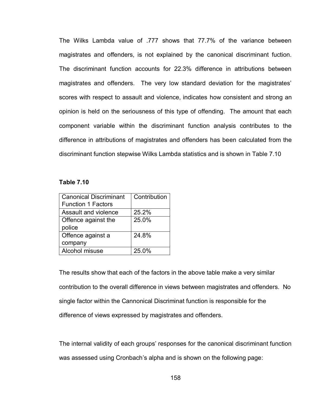The Wilks Lambda value of .777 shows that 77.7% of the variance between magistrates and offenders, is not explained by the canonical discriminant fuction. The discriminant function accounts for 22.3% difference in attributions between magistrates and offenders. The very low standard deviation for the magistrates' scores with respect to assault and violence, indicates how consistent and strong an opinion is held on the seriousness of this type of offending. The amount that each component variable within the discriminant function analysis contributes to the difference in attributions of magistrates and offenders has been calculated from the discriminant function stepwise Wilks Lambda statistics and is shown in Table 7.10

### **Table 7.10**

| <b>Canonical Discriminant</b> | Contribution |
|-------------------------------|--------------|
| <b>Function 1 Factors</b>     |              |
| Assault and violence          | 25.2%        |
| Offence against the           | 25.0%        |
| police                        |              |
| Offence against a             | 24.8%        |
| company                       |              |
| Alcohol misuse                | 25.0%        |
|                               |              |

The results show that each of the factors in the above table make a very similar contribution to the overall difference in views between magistrates and offenders. No single factor within the Cannonical Discriminat function is responsible for the difference of views expressed by magistrates and offenders.

The internal validity of each groups' responses for the canonical discriminant function was assessed using Cronbach"s alpha and is shown on the following page: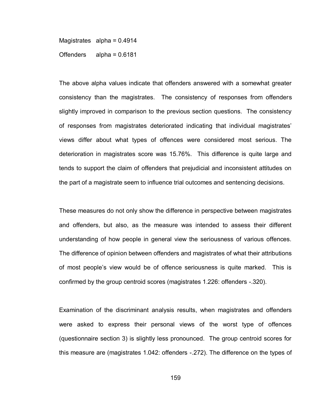Magistrates alpha =  $0.4914$ Offenders alpha = 0.6181

The above alpha values indicate that offenders answered with a somewhat greater consistency than the magistrates. The consistency of responses from offenders slightly improved in comparison to the previous section questions. The consistency of responses from magistrates deteriorated indicating that individual magistrates" views differ about what types of offences were considered most serious. The deterioration in magistrates score was 15.76%. This difference is quite large and tends to support the claim of offenders that prejudicial and inconsistent attitudes on the part of a magistrate seem to influence trial outcomes and sentencing decisions.

These measures do not only show the difference in perspective between magistrates and offenders, but also, as the measure was intended to assess their different understanding of how people in general view the seriousness of various offences. The difference of opinion between offenders and magistrates of what their attributions of most people"s view would be of offence seriousness is quite marked. This is confirmed by the group centroid scores (magistrates 1.226: offenders -.320).

Examination of the discriminant analysis results, when magistrates and offenders were asked to express their personal views of the worst type of offences (questionnaire section 3) is slightly less pronounced. The group centroid scores for this measure are (magistrates 1.042: offenders -.272). The difference on the types of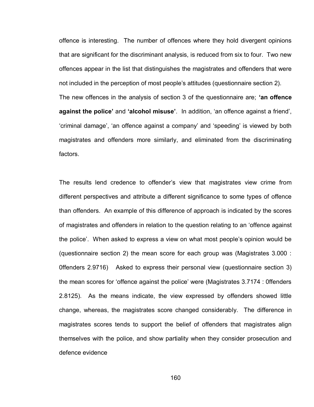offence is interesting. The number of offences where they hold divergent opinions that are significant for the discriminant analysis, is reduced from six to four. Two new offences appear in the list that distinguishes the magistrates and offenders that were not included in the perception of most people"s attitudes (questionnaire section 2). The new offences in the analysis of section 3 of the questionnaire are; **'an offence against the police'** and **'alcohol misuse'**. In addition, "an offence against a friend", "criminal damage", "an offence against a company" and "speeding" is viewed by both magistrates and offenders more similarly, and eliminated from the discriminating factors.

The results lend credence to offender"s view that magistrates view crime from different perspectives and attribute a different significance to some types of offence than offenders. An example of this difference of approach is indicated by the scores of magistrates and offenders in relation to the question relating to an "offence against the police". When asked to express a view on what most people"s opinion would be (questionnaire section 2) the mean score for each group was (Magistrates 3.000 : 0ffenders 2.9716) Asked to express their personal view (questionnaire section 3) the mean scores for "offence against the police" were (Magistrates 3.7174 : 0ffenders 2.8125). As the means indicate, the view expressed by offenders showed little change, whereas, the magistrates score changed considerably. The difference in magistrates scores tends to support the belief of offenders that magistrates align themselves with the police, and show partiality when they consider prosecution and defence evidence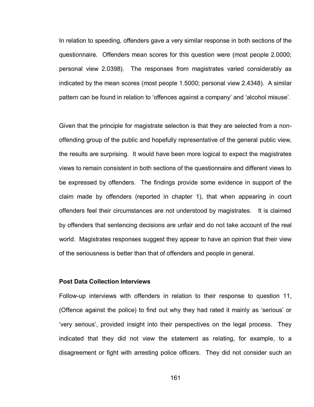In relation to speeding, offenders gave a very similar response in both sections of the questionnaire. Offenders mean scores for this question were (most people 2.0000; personal view 2.0398). The responses from magistrates varied considerably as indicated by the mean scores (most people 1.5000; personal view 2.4348). A similar pattern can be found in relation to "offences against a company" and "alcohol misuse".

Given that the principle for magistrate selection is that they are selected from a nonoffending group of the public and hopefully representative of the general public view, the results are surprising. It would have been more logical to expect the magistrates views to remain consistent in both sections of the questionnaire and different views to be expressed by offenders. The findings provide some evidence in support of the claim made by offenders (reported in chapter 1), that when appearing in court offenders feel their circumstances are not understood by magistrates. It is claimed by offenders that sentencing decisions are unfair and do not take account of the real world. Magistrates responses suggest they appear to have an opinion that their view of the seriousness is better than that of offenders and people in general.

### **Post Data Collection Interviews**

Follow-up interviews with offenders in relation to their response to question 11, (Offence against the police) to find out why they had rated it mainly as "serious" or "very serious", provided insight into their perspectives on the legal process. They indicated that they did not view the statement as relating, for example, to a disagreement or fight with arresting police officers. They did not consider such an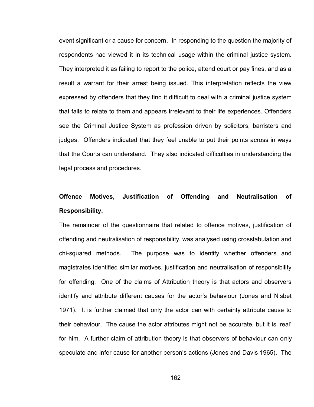event significant or a cause for concern. In responding to the question the majority of respondents had viewed it in its technical usage within the criminal justice system. They interpreted it as failing to report to the police, attend court or pay fines, and as a result a warrant for their arrest being issued. This interpretation reflects the view expressed by offenders that they find it difficult to deal with a criminal justice system that fails to relate to them and appears irrelevant to their life experiences. Offenders see the Criminal Justice System as profession driven by solicitors, barristers and judges. Offenders indicated that they feel unable to put their points across in ways that the Courts can understand. They also indicated difficulties in understanding the legal process and procedures.

# **Offence Motives, Justification of Offending and Neutralisation of Responsibility.**

The remainder of the questionnaire that related to offence motives, justification of offending and neutralisation of responsibility, was analysed using crosstabulation and chi-squared methods. The purpose was to identify whether offenders and magistrates identified similar motives, justification and neutralisation of responsibility for offending. One of the claims of Attribution theory is that actors and observers identify and attribute different causes for the actor"s behaviour (Jones and Nisbet 1971). It is further claimed that only the actor can with certainty attribute cause to their behaviour. The cause the actor attributes might not be accurate, but it is "real" for him. A further claim of attribution theory is that observers of behaviour can only speculate and infer cause for another person"s actions (Jones and Davis 1965). The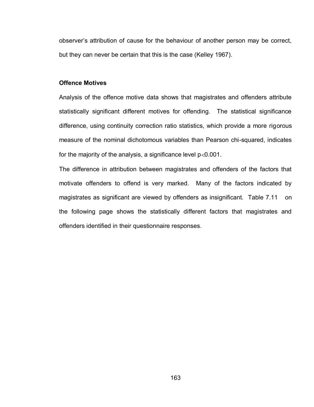observer"s attribution of cause for the behaviour of another person may be correct, but they can never be certain that this is the case (Kelley 1967).

### **Offence Motives**

Analysis of the offence motive data shows that magistrates and offenders attribute statistically significant different motives for offending. The statistical significance difference, using continuity correction ratio statistics, which provide a more rigorous measure of the nominal dichotomous variables than Pearson chi-squared, indicates for the majority of the analysis, a significance level  $p < 0.001$ .

The difference in attribution between magistrates and offenders of the factors that motivate offenders to offend is very marked. Many of the factors indicated by magistrates as significant are viewed by offenders as insignificant. Table 7.11 on the following page shows the statistically different factors that magistrates and offenders identified in their questionnaire responses.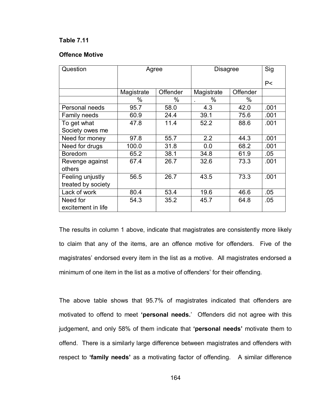# **Table 7.11**

### **Offence Motive**

| Question           | Agree      |          | <b>Disagree</b> | Sig      |      |
|--------------------|------------|----------|-----------------|----------|------|
|                    |            |          |                 | P<       |      |
|                    | Magistrate | Offender | Magistrate      | Offender |      |
|                    | %          | %        | %               | %        |      |
| Personal needs     | 95.7       | 58.0     | 4.3             | 42.0     | .001 |
| Family needs       | 60.9       | 24.4     | 39.1            | 75.6     | .001 |
| To get what        | 47.8       | 11.4     | 52.2            | 88.6     | .001 |
| Society owes me    |            |          |                 |          |      |
| Need for money     | 97.8       | 55.7     | 2.2             | 44.3     | .001 |
| Need for drugs     | 100.0      | 31.8     | 0.0             | 68.2     | .001 |
| <b>Boredom</b>     | 65.2       | 38.1     | 34.8            | 61.9     | .05  |
| Revenge against    | 67.4       | 26.7     | 32.6            | 73.3     | .001 |
| others             |            |          |                 |          |      |
| Feeling unjustly   | 56.5       | 26.7     | 43.5            | 73.3     | .001 |
| treated by society |            |          |                 |          |      |
| Lack of work       | 80.4       | 53.4     | 19.6            | 46.6     | .05  |
| Need for           | 54.3       | 35.2     | 45.7            | 64.8     | .05  |
| excitement in life |            |          |                 |          |      |

The results in column 1 above, indicate that magistrates are consistently more likely to claim that any of the items, are an offence motive for offenders. Five of the magistrates' endorsed every item in the list as a motive. All magistrates endorsed a minimum of one item in the list as a motive of offenders' for their offending.

The above table shows that 95.7% of magistrates indicated that offenders are motivated to offend to meet **'personal needs.**" Offenders did not agree with this judgement, and only 58% of them indicate that **'personal needs'** motivate them to offend. There is a similarly large difference between magistrates and offenders with respect to **'family needs'** as a motivating factor of offending. A similar difference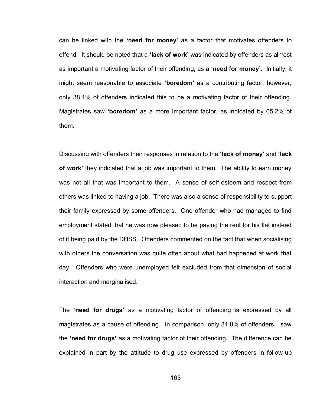can be linked with the **'need for money'** as a factor that motivates offenders to offend. It should be noted that a **'lack of work'** was indicated by offenders as almost as important a motivating factor of their offending, as a "**need for money'**. Initially, it might seem reasonable to associate **'boredom'** as a contributing factor, however, only 38.1% of offenders indicated this to be a motivating factor of their offending. Magistrates saw **'boredom'** as a more important factor, as indicated by 65.2% of them.

Discussing with offenders their responses in relation to the **'lack of money'** and **'lack of work'** they indicated that a job was important to them. The ability to earn money was not all that was important to them. A sense of self-esteem and respect from others was linked to having a job. There was also a sense of responsibility to support their family expressed by some offenders. One offender who had managed to find employment stated that he was now pleased to be paying the rent for his flat instead of it being paid by the DHSS. Offenders commented on the fact that when socialising with others the conversation was quite often about what had happened at work that day. Offenders who were unemployed felt excluded from that dimension of social interaction and marginalised.

The **'need for drugs'** as a motivating factor of offending is expressed by all magistrates as a cause of offending. In comparison, only 31.8% of offenders saw the **'need for drugs'** as a motivating factor of their offending. The difference can be explained in part by the attitude to drug use expressed by offenders in follow-up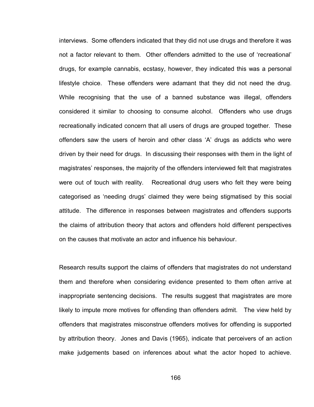interviews. Some offenders indicated that they did not use drugs and therefore it was not a factor relevant to them. Other offenders admitted to the use of "recreational" drugs, for example cannabis, ecstasy, however, they indicated this was a personal lifestyle choice. These offenders were adamant that they did not need the drug. While recognising that the use of a banned substance was illegal, offenders considered it similar to choosing to consume alcohol. Offenders who use drugs recreationally indicated concern that all users of drugs are grouped together. These offenders saw the users of heroin and other class "A" drugs as addicts who were driven by their need for drugs. In discussing their responses with them in the light of magistrates" responses, the majority of the offenders interviewed felt that magistrates were out of touch with reality. Recreational drug users who felt they were being categorised as "needing drugs" claimed they were being stigmatised by this social attitude. The difference in responses between magistrates and offenders supports the claims of attribution theory that actors and offenders hold different perspectives on the causes that motivate an actor and influence his behaviour.

Research results support the claims of offenders that magistrates do not understand them and therefore when considering evidence presented to them often arrive at inappropriate sentencing decisions. The results suggest that magistrates are more likely to impute more motives for offending than offenders admit. The view held by offenders that magistrates misconstrue offenders motives for offending is supported by attribution theory. Jones and Davis (1965), indicate that perceivers of an action make judgements based on inferences about what the actor hoped to achieve.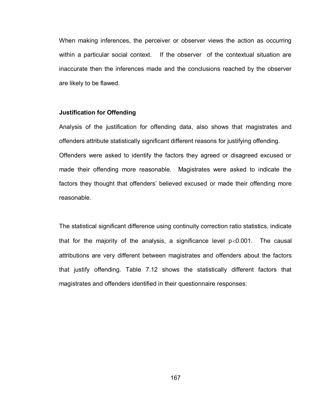When making inferences, the perceiver or observer views the action as occurring within a particular social context. If the observer of the contextual situation are inaccurate then the inferences made and the conclusions reached by the observer are likely to be flawed.

### **Justification for Offending**

Analysis of the justification for offending data, also shows that magistrates and offenders attribute statistically significant different reasons for justifying offending. Offenders were asked to identify the factors they agreed or disagreed excused or made their offending more reasonable. Magistrates were asked to indicate the factors they thought that offenders' believed excused or made their offending more reasonable.

The statistical significant difference using continuity correction ratio statistics, indicate that for the majority of the analysis, a significance level  $p < 0.001$ . The causal attributions are very different between magistrates and offenders about the factors that justify offending. Table 7.12 shows the statistically different factors that magistrates and offenders identified in their questionnaire responses: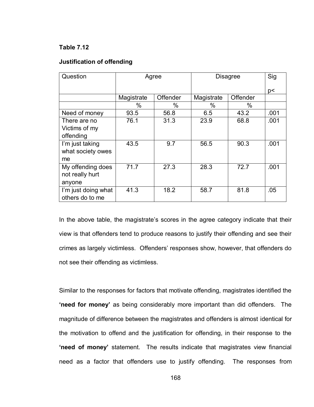# **Table 7.12**

# **Justification of offending**

| Question            | Agree      |          | <b>Disagree</b> | Sig      |      |
|---------------------|------------|----------|-----------------|----------|------|
|                     |            |          |                 |          | p<   |
|                     | Magistrate | Offender | Magistrate      | Offender |      |
|                     | %          | %        | $\%$            | $\%$     |      |
| Need of money       | 93.5       | 56.8     | 6.5             | 43.2     | .001 |
| There are no        | 76.1       | 31.3     | 23.9            | 68.8     | .001 |
| Victims of my       |            |          |                 |          |      |
| offending           |            |          |                 |          |      |
| I'm just taking     | 43.5       | 9.7      | 56.5            | 90.3     | .001 |
| what society owes   |            |          |                 |          |      |
| me                  |            |          |                 |          |      |
| My offending does   | 71.7       | 27.3     | 28.3            | 72.7     | .001 |
| not really hurt     |            |          |                 |          |      |
| anyone              |            |          |                 |          |      |
| I'm just doing what | 41.3       | 18.2     | 58.7            | 81.8     | .05  |
| others do to me     |            |          |                 |          |      |

In the above table, the magistrate's scores in the agree category indicate that their view is that offenders tend to produce reasons to justify their offending and see their crimes as largely victimless. Offenders" responses show, however, that offenders do not see their offending as victimless.

Similar to the responses for factors that motivate offending, magistrates identified the **'need for money'** as being considerably more important than did offenders. The magnitude of difference between the magistrates and offenders is almost identical for the motivation to offend and the justification for offending, in their response to the **'need of money'** statement. The results indicate that magistrates view financial need as a factor that offenders use to justify offending. The responses from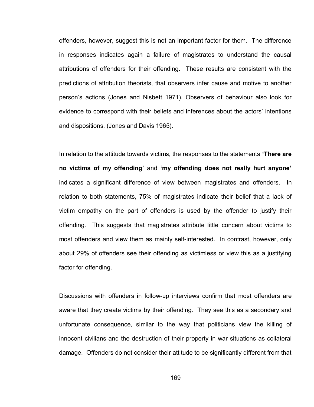offenders, however, suggest this is not an important factor for them. The difference in responses indicates again a failure of magistrates to understand the causal attributions of offenders for their offending. These results are consistent with the predictions of attribution theorists, that observers infer cause and motive to another person"s actions (Jones and Nisbett 1971). Observers of behaviour also look for evidence to correspond with their beliefs and inferences about the actors' intentions and dispositions. (Jones and Davis 1965).

In relation to the attitude towards victims, the responses to the statements **'There are no victims of my offending'** and **'my offending does not really hurt anyone'** indicates a significant difference of view between magistrates and offenders. In relation to both statements, 75% of magistrates indicate their belief that a lack of victim empathy on the part of offenders is used by the offender to justify their offending. This suggests that magistrates attribute little concern about victims to most offenders and view them as mainly self-interested. In contrast, however, only about 29% of offenders see their offending as victimless or view this as a justifying factor for offending.

Discussions with offenders in follow-up interviews confirm that most offenders are aware that they create victims by their offending. They see this as a secondary and unfortunate consequence, similar to the way that politicians view the killing of innocent civilians and the destruction of their property in war situations as collateral damage. Offenders do not consider their attitude to be significantly different from that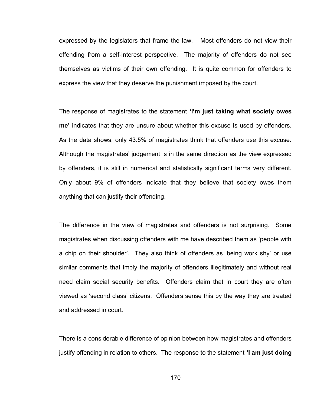expressed by the legislators that frame the law. Most offenders do not view their offending from a self-interest perspective. The majority of offenders do not see themselves as victims of their own offending. It is quite common for offenders to express the view that they deserve the punishment imposed by the court.

The response of magistrates to the statement **'I'm just taking what society owes me'** indicates that they are unsure about whether this excuse is used by offenders. As the data shows, only 43.5% of magistrates think that offenders use this excuse. Although the magistrates" judgement is in the same direction as the view expressed by offenders, it is still in numerical and statistically significant terms very different. Only about 9% of offenders indicate that they believe that society owes them anything that can justify their offending.

The difference in the view of magistrates and offenders is not surprising. Some magistrates when discussing offenders with me have described them as "people with a chip on their shoulder". They also think of offenders as "being work shy" or use similar comments that imply the majority of offenders illegitimately and without real need claim social security benefits. Offenders claim that in court they are often viewed as "second class" citizens. Offenders sense this by the way they are treated and addressed in court.

There is a considerable difference of opinion between how magistrates and offenders justify offending in relation to others. The response to the statement **'I am just doing**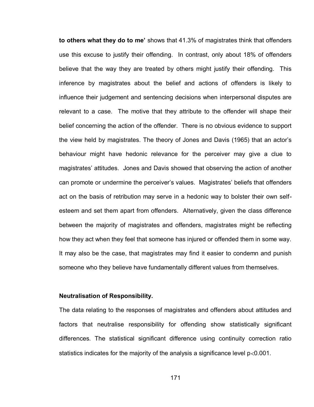**to others what they do to me'** shows that 41.3% of magistrates think that offenders use this excuse to justify their offending. In contrast, only about 18% of offenders believe that the way they are treated by others might justify their offending. This inference by magistrates about the belief and actions of offenders is likely to influence their judgement and sentencing decisions when interpersonal disputes are relevant to a case. The motive that they attribute to the offender will shape their belief concerning the action of the offender. There is no obvious evidence to support the view held by magistrates. The theory of Jones and Davis (1965) that an actor"s behaviour might have hedonic relevance for the perceiver may give a clue to magistrates" attitudes. Jones and Davis showed that observing the action of another can promote or undermine the perceiver"s values. Magistrates" beliefs that offenders act on the basis of retribution may serve in a hedonic way to bolster their own selfesteem and set them apart from offenders. Alternatively, given the class difference between the majority of magistrates and offenders, magistrates might be reflecting how they act when they feel that someone has injured or offended them in some way. It may also be the case, that magistrates may find it easier to condemn and punish someone who they believe have fundamentally different values from themselves.

### **Neutralisation of Responsibility.**

The data relating to the responses of magistrates and offenders about attitudes and factors that neutralise responsibility for offending show statistically significant differences. The statistical significant difference using continuity correction ratio statistics indicates for the majority of the analysis a significance level  $p$ <0.001.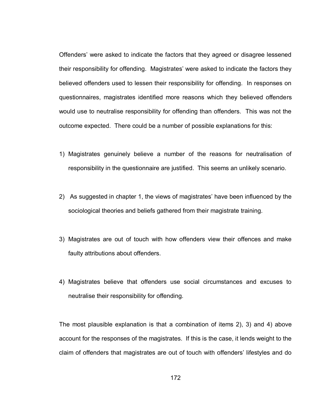Offenders" were asked to indicate the factors that they agreed or disagree lessened their responsibility for offending. Magistrates' were asked to indicate the factors they believed offenders used to lessen their responsibility for offending. In responses on questionnaires, magistrates identified more reasons which they believed offenders would use to neutralise responsibility for offending than offenders. This was not the outcome expected. There could be a number of possible explanations for this:

- 1) Magistrates genuinely believe a number of the reasons for neutralisation of responsibility in the questionnaire are justified. This seems an unlikely scenario.
- 2) As suggested in chapter 1, the views of magistrates" have been influenced by the sociological theories and beliefs gathered from their magistrate training.
- 3) Magistrates are out of touch with how offenders view their offences and make faulty attributions about offenders.
- 4) Magistrates believe that offenders use social circumstances and excuses to neutralise their responsibility for offending.

The most plausible explanation is that a combination of items 2), 3) and 4) above account for the responses of the magistrates. If this is the case, it lends weight to the claim of offenders that magistrates are out of touch with offenders" lifestyles and do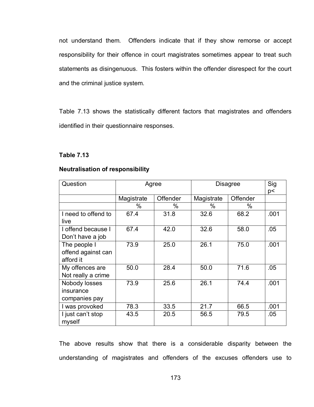not understand them. Offenders indicate that if they show remorse or accept responsibility for their offence in court magistrates sometimes appear to treat such statements as disingenuous. This fosters within the offender disrespect for the court and the criminal justice system.

Table 7.13 shows the statistically different factors that magistrates and offenders identified in their questionnaire responses.

### **Table 7.13**

### **Neutralisation of responsibility**

| Question                                        |            | Agree    | <b>Disagree</b> | Sig<br>p< |      |
|-------------------------------------------------|------------|----------|-----------------|-----------|------|
|                                                 | Magistrate | Offender | Magistrate      | Offender  |      |
|                                                 | %          | %        | %               | $\%$      |      |
| I need to offend to<br>live                     | 67.4       | 31.8     | 32.6            | 68.2      | .001 |
| I offend because I<br>Don't have a job          | 67.4       | 42.0     | 32.6            | 58.0      | .05  |
| The people I<br>offend against can<br>afford it | 73.9       | 25.0     | 26.1            | 75.0      | .001 |
| My offences are<br>Not really a crime           | 50.0       | 28.4     | 50.0            | 71.6      | .05  |
| Nobody losses<br>insurance<br>companies pay     | 73.9       | 25.6     | 26.1            | 74.4      | .001 |
| I was provoked                                  | 78.3       | 33.5     | 21.7            | 66.5      | .001 |
| I just can't stop<br>myself                     | 43.5       | 20.5     | 56.5            | 79.5      | .05  |

The above results show that there is a considerable disparity between the understanding of magistrates and offenders of the excuses offenders use to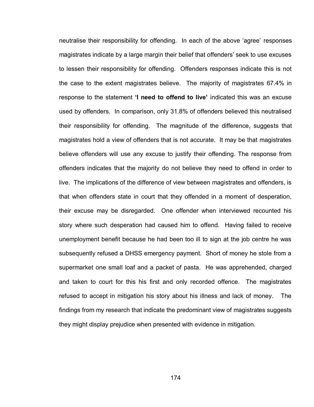neutralise their responsibility for offending. In each of the above "agree" responses magistrates indicate by a large margin their belief that offenders' seek to use excuses to lessen their responsibility for offending. Offenders responses indicate this is not the case to the extent magistrates believe. The majority of magistrates 67.4% in response to the statement **'I need to offend to live'** indicated this was an excuse used by offenders. In comparison, only 31.8% of offenders believed this neutralised their responsibility for offending. The magnitude of the difference, suggests that magistrates hold a view of offenders that is not accurate. It may be that magistrates believe offenders will use any excuse to justify their offending. The response from offenders indicates that the majority do not believe they need to offend in order to live. The implications of the difference of view between magistrates and offenders, is that when offenders state in court that they offended in a moment of desperation, their excuse may be disregarded. One offender when interviewed recounted his story where such desperation had caused him to offend. Having failed to receive unemployment benefit because he had been too ill to sign at the job centre he was subsequently refused a DHSS emergency payment. Short of money he stole from a supermarket one small loaf and a packet of pasta. He was apprehended, charged and taken to court for this his first and only recorded offence. The magistrates refused to accept in mitigation his story about his illness and lack of money. The findings from my research that indicate the predominant view of magistrates suggests they might display prejudice when presented with evidence in mitigation.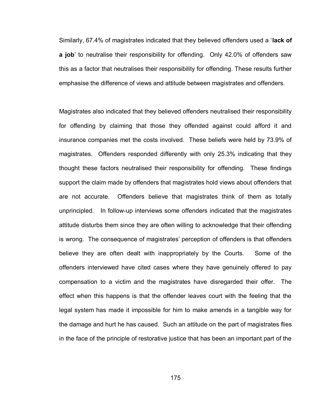Similarly, 67.4% of magistrates indicated that they believed offenders used a "**lack of a job**" to neutralise their responsibility for offending. Only 42.0% of offenders saw this as a factor that neutralises their responsibility for offending. These results further emphasise the difference of views and attitude between magistrates and offenders.

Magistrates also indicated that they believed offenders neutralised their responsibility for offending by claiming that those they offended against could afford it and insurance companies met the costs involved. These beliefs were held by 73.9% of magistrates. Offenders responded differently with only 25.3% indicating that they thought these factors neutralised their responsibility for offending. These findings support the claim made by offenders that magistrates hold views about offenders that are not accurate. Offenders believe that magistrates think of them as totally unprincipled. In follow-up interviews some offenders indicated that the magistrates attitude disturbs them since they are often willing to acknowledge that their offending is wrong. The consequence of magistrates' perception of offenders is that offenders believe they are often dealt with inappropriately by the Courts. Some of the offenders interviewed have cited cases where they have genuinely offered to pay compensation to a victim and the magistrates have disregarded their offer. The effect when this happens is that the offender leaves court with the feeling that the legal system has made it impossible for him to make amends in a tangible way for the damage and hurt he has caused. Such an attitude on the part of magistrates flies in the face of the principle of restorative justice that has been an important part of the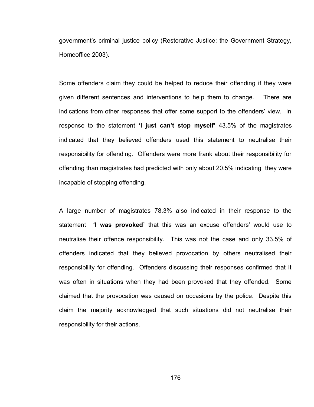government"s criminal justice policy (Restorative Justice: the Government Strategy, Homeoffice 2003).

Some offenders claim they could be helped to reduce their offending if they were given different sentences and interventions to help them to change. There are indications from other responses that offer some support to the offenders" view. In response to the statement **'I just can't stop myself'** 43.5% of the magistrates indicated that they believed offenders used this statement to neutralise their responsibility for offending. Offenders were more frank about their responsibility for offending than magistrates had predicted with only about 20.5% indicating they were incapable of stopping offending.

A large number of magistrates 78.3% also indicated in their response to the statement **'I was provoked'** that this was an excuse offenders" would use to neutralise their offence responsibility. This was not the case and only 33.5% of offenders indicated that they believed provocation by others neutralised their responsibility for offending. Offenders discussing their responses confirmed that it was often in situations when they had been provoked that they offended. Some claimed that the provocation was caused on occasions by the police. Despite this claim the majority acknowledged that such situations did not neutralise their responsibility for their actions.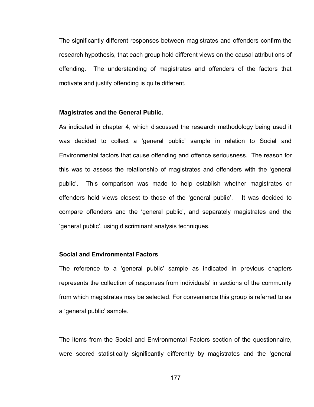The significantly different responses between magistrates and offenders confirm the research hypothesis, that each group hold different views on the causal attributions of offending. The understanding of magistrates and offenders of the factors that motivate and justify offending is quite different.

### **Magistrates and the General Public.**

As indicated in chapter 4, which discussed the research methodology being used it was decided to collect a "general public" sample in relation to Social and Environmental factors that cause offending and offence seriousness. The reason for this was to assess the relationship of magistrates and offenders with the "general public". This comparison was made to help establish whether magistrates or offenders hold views closest to those of the "general public". It was decided to compare offenders and the "general public", and separately magistrates and the "general public", using discriminant analysis techniques.

# **Social and Environmental Factors**

The reference to a "general public" sample as indicated in previous chapters represents the collection of responses from individuals" in sections of the community from which magistrates may be selected. For convenience this group is referred to as a "general public" sample.

The items from the Social and Environmental Factors section of the questionnaire, were scored statistically significantly differently by magistrates and the "general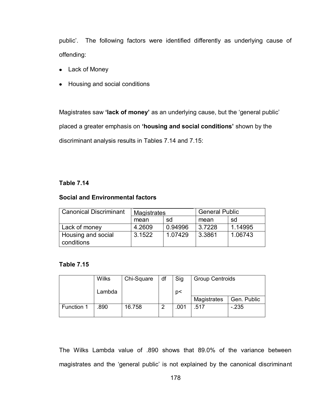public'. The following factors were identified differently as underlying cause of offending:

- Lack of Money
- Housing and social conditions

Magistrates saw **'lack of money'** as an underlying cause, but the "general public" placed a greater emphasis on **'housing and social conditions'** shown by the discriminant analysis results in Tables 7.14 and 7.15:

# **Table 7.14**

# **Social and Environmental factors**

| <b>Canonical Discriminant</b> | Magistrates |         | <b>General Public</b> |         |  |
|-------------------------------|-------------|---------|-----------------------|---------|--|
|                               | mean        | sd      | mean                  | sd      |  |
| Lack of money                 | 4.2609      | 0.94996 | 3.7228                | 1.14995 |  |
| Housing and social            | 3.1522      | 1.07429 | 3.3861                | 1.06743 |  |
| conditions                    |             |         |                       |         |  |

# **Table 7.15**

|            | <b>Wilks</b> | Chi-Square | df | Sig  | <b>Group Centroids</b> |             |
|------------|--------------|------------|----|------|------------------------|-------------|
|            | Lambda       |            |    | p<   |                        |             |
|            |              |            |    |      | Magistrates            | Gen. Public |
| Function 1 | .890         | 16.758     | റ  | .001 | .517                   | $-235$      |

The Wilks Lambda value of .890 shows that 89.0% of the variance between magistrates and the "general public" is not explained by the canonical discriminant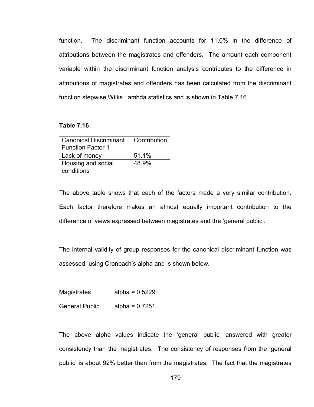function. The discriminant function accounts for 11.0% in the difference of attributions between the magistrates and offenders. The amount each component variable within the discriminant function analysis contributes to the difference in attributions of magistrates and offenders has been calculated from the discriminant function stepwise Wilks Lambda statistics and is shown in Table 7.16 .

### **Table 7.16**

| <b>Canonical Discriminant</b> | Contribution |
|-------------------------------|--------------|
| <b>Function Factor 1</b>      |              |
| Lack of money                 | 51.1%        |
| Housing and social            | 48.9%        |
| conditions                    |              |

The above table shows that each of the factors made a very similar contribution. Each factor therefore makes an almost equally important contribution to the difference of views expressed between magistrates and the "general public".

The internal validity of group responses for the canonical discriminant function was assessed, using Cronbach"s alpha and is shown below.

Magistrates alpha = 0.5229

General Public alpha = 0.7251

The above alpha values indicate the "general public" answered with greater consistency than the magistrates. The consistency of responses from the "general public" is about 92% better than from the magistrates. The fact that the magistrates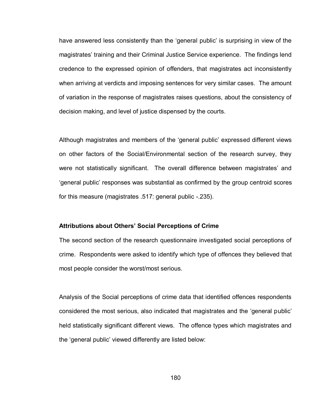have answered less consistently than the "general public" is surprising in view of the magistrates" training and their Criminal Justice Service experience. The findings lend credence to the expressed opinion of offenders, that magistrates act inconsistently when arriving at verdicts and imposing sentences for very similar cases. The amount of variation in the response of magistrates raises questions, about the consistency of decision making, and level of justice dispensed by the courts.

Although magistrates and members of the "general public" expressed different views on other factors of the Social/Environmental section of the research survey, they were not statistically significant. The overall difference between magistrates' and "general public" responses was substantial as confirmed by the group centroid scores for this measure (magistrates .517: general public -.235).

### **Attributions about Others' Social Perceptions of Crime**

The second section of the research questionnaire investigated social perceptions of crime. Respondents were asked to identify which type of offences they believed that most people consider the worst/most serious.

Analysis of the Social perceptions of crime data that identified offences respondents considered the most serious, also indicated that magistrates and the "general public" held statistically significant different views. The offence types which magistrates and the "general public" viewed differently are listed below: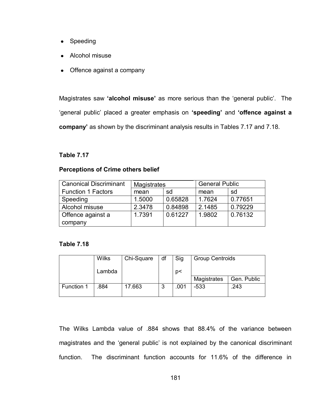- Speeding
- Alcohol misuse
- Offence against a company

Magistrates saw **'alcohol misuse'** as more serious than the "general public". The "general public" placed a greater emphasis on **'speeding'** and **'offence against a company'** as shown by the discriminant analysis results in Tables 7.17 and 7.18.

# **Table 7.17**

# **Perceptions of Crime others belief**

| <b>Canonical Discriminant</b> | Magistrates |         | <b>General Public</b> |         |
|-------------------------------|-------------|---------|-----------------------|---------|
| <b>Function 1 Factors</b>     | sd<br>mean  |         | mean                  | sd      |
| Speeding                      | 1.5000      | 0.65828 | 1.7624                | 0.77651 |
| Alcohol misuse                | 2.3478      | 0.84898 | 2.1485                | 0.79229 |
| Offence against a             | 1.7391      | 0.61227 | 1.9802                | 0.76132 |
| company                       |             |         |                       |         |

# **Table 7.18**

|            | <b>Wilks</b> | Chi-Square | df | Sig  | <b>Group Centroids</b> |             |
|------------|--------------|------------|----|------|------------------------|-------------|
|            | Lambda       |            |    | p<   |                        |             |
|            |              |            |    |      | Magistrates            | Gen. Public |
| Function 1 | .884         | 17.663     | 3  | .001 | -533                   | .243        |

The Wilks Lambda value of .884 shows that 88.4% of the variance between magistrates and the "general public" is not explained by the canonical discriminant function. The discriminant function accounts for 11.6% of the difference in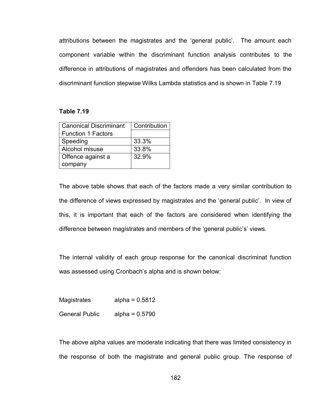attributions between the magistrates and the "general public". The amount each component variable within the discriminant function analysis contributes to the difference in attributions of magistrates and offenders has been calculated from the discriminant function stepwise Wilks Lambda statistics and is shown in Table 7.19

## **Table 7.19**

| <b>Canonical Discriminant</b> | Contribution |
|-------------------------------|--------------|
| <b>Function 1 Factors</b>     |              |
| Speeding                      | 33.3%        |
| Alcohol misuse                | 33.8%        |
| Offence against a             | 32.9%        |
| company                       |              |

The above table shows that each of the factors made a very similar contribution to the difference of views expressed by magistrates and the "general public". In view of this, it is important that each of the factors are considered when identifying the difference between magistrates and members of the 'general public's' views.

The internal validity of each group response for the canonical discriminat function was assessed using Cronbach"s alpha and is shown below:

Magistrates alpha = 0.5812 General Public alpha = 0.5790

The above alpha values are moderate indicating that there was limited consistency in the response of both the magistrate and general public group. The response of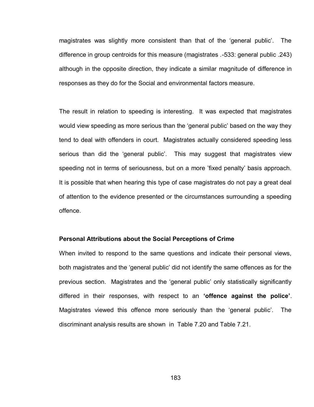magistrates was slightly more consistent than that of the "general public". The difference in group centroids for this measure (magistrates .-533: general public .243) although in the opposite direction, they indicate a similar magnitude of difference in responses as they do for the Social and environmental factors measure.

The result in relation to speeding is interesting. It was expected that magistrates would view speeding as more serious than the "general public" based on the way they tend to deal with offenders in court. Magistrates actually considered speeding less serious than did the 'general public'. This may suggest that magistrates view speeding not in terms of seriousness, but on a more "fixed penalty" basis approach. It is possible that when hearing this type of case magistrates do not pay a great deal of attention to the evidence presented or the circumstances surrounding a speeding offence.

#### **Personal Attributions about the Social Perceptions of Crime**

When invited to respond to the same questions and indicate their personal views, both magistrates and the "general public" did not identify the same offences as for the previous section. Magistrates and the "general public" only statistically significantly differed in their responses, with respect to an **'offence against the police'**. Magistrates viewed this offence more seriously than the "general public". The discriminant analysis results are shown in Table 7.20 and Table 7.21.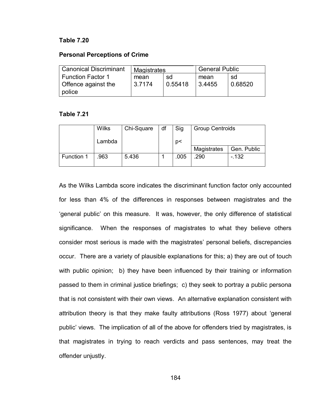### **Table 7.20**

### **Personal Perceptions of Crime**

| <b>Canonical Discriminant</b> | Magistrates |         | <b>General Public</b> |         |
|-------------------------------|-------------|---------|-----------------------|---------|
| <b>Function Factor 1</b>      | sd<br>mean  |         | mean                  | sd      |
| Offence against the           | 3.7174      | 0.55418 | 3.4455                | 0.68520 |
| police                        |             |         |                       |         |

### **Table 7.21**

|            | <b>Wilks</b> | Chi-Square | df | Sig  | <b>Group Centroids</b> |             |
|------------|--------------|------------|----|------|------------------------|-------------|
|            | Lambda       |            |    | p<   |                        |             |
|            |              |            |    |      | Magistrates            | Gen. Public |
| Function 1 | .963         | 5.436      |    | .005 | .290                   | $-132$      |

As the Wilks Lambda score indicates the discriminant function factor only accounted for less than 4% of the differences in responses between magistrates and the "general public" on this measure. It was, however, the only difference of statistical significance. When the responses of magistrates to what they believe others consider most serious is made with the magistrates" personal beliefs, discrepancies occur. There are a variety of plausible explanations for this; a) they are out of touch with public opinion; b) they have been influenced by their training or information passed to them in criminal justice briefings; c) they seek to portray a public persona that is not consistent with their own views. An alternative explanation consistent with attribution theory is that they make faulty attributions (Ross 1977) about "general public' views. The implication of all of the above for offenders tried by magistrates, is that magistrates in trying to reach verdicts and pass sentences, may treat the offender unjustly.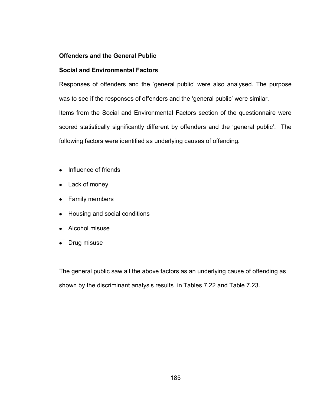# **Offenders and the General Public**

# **Social and Environmental Factors**

Responses of offenders and the "general public" were also analysed. The purpose was to see if the responses of offenders and the 'general public' were similar. Items from the Social and Environmental Factors section of the questionnaire were scored statistically significantly different by offenders and the 'general public'. The following factors were identified as underlying causes of offending.

- Influence of friends
- Lack of money
- Family members
- Housing and social conditions
- Alcohol misuse
- Drug misuse

The general public saw all the above factors as an underlying cause of offending as shown by the discriminant analysis results in Tables 7.22 and Table 7.23.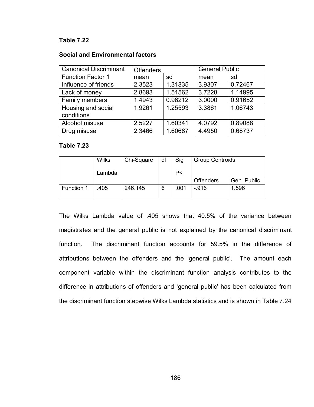## **Table 7.22**

### **Social and Environmental factors**

| <b>Canonical Discriminant</b> | <b>Offenders</b> |         | <b>General Public</b> |         |
|-------------------------------|------------------|---------|-----------------------|---------|
| <b>Function Factor 1</b>      | mean             | sd      | mean                  | sd      |
| Influence of friends          | 2.3523           | 1.31835 | 3.9307                | 0.72467 |
| Lack of money                 | 2.8693           | 1.51562 | 3.7228                | 1.14995 |
| Family members                | 1.4943           | 0.96212 | 3.0000                | 0.91652 |
| Housing and social            | 1.9261           | 1.25593 | 3.3861                | 1.06743 |
| conditions                    |                  |         |                       |         |
| Alcohol misuse                | 2.5227           | 1.60341 | 4.0792                | 0.89088 |
| Drug misuse                   | 2.3466           | 1.60687 | 4.4950                | 0.68737 |

### **Table 7.23**

|            | <b>Wilks</b> | Chi-Square | df | Sig  | <b>Group Centroids</b> |             |
|------------|--------------|------------|----|------|------------------------|-------------|
|            | Lambda       |            |    | P<   |                        |             |
|            |              |            |    |      | <b>Offenders</b>       | Gen. Public |
| Function 1 | .405         | 246.145    | 6  | .001 | $-916$                 | 1.596       |

The Wilks Lambda value of .405 shows that 40.5% of the variance between magistrates and the general public is not explained by the canonical discriminant function. The discriminant function accounts for 59.5% in the difference of attributions between the offenders and the "general public". The amount each component variable within the discriminant function analysis contributes to the difference in attributions of offenders and "general public" has been calculated from the discriminant function stepwise Wilks Lambda statistics and is shown in Table 7.24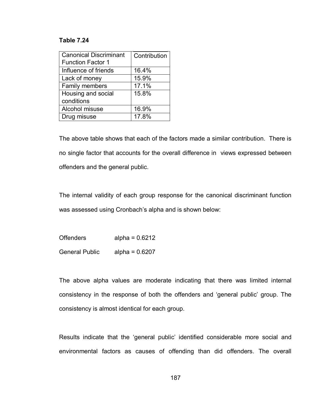### **Table 7.24**

| <b>Canonical Discriminant</b> | Contribution |
|-------------------------------|--------------|
| <b>Function Factor 1</b>      |              |
| Influence of friends          | 16.4%        |
| Lack of money                 | 15.9%        |
| Family members                | 17.1%        |
| Housing and social            | 15.8%        |
| conditions                    |              |
| Alcohol misuse                | 16.9%        |
| Drug misuse                   | 17.8%        |

The above table shows that each of the factors made a similar contribution. There is no single factor that accounts for the overall difference in views expressed between offenders and the general public.

The internal validity of each group response for the canonical discriminant function was assessed using Cronbach's alpha and is shown below:

Offenders alpha = 0.6212 General Public alpha = 0.6207

The above alpha values are moderate indicating that there was limited internal consistency in the response of both the offenders and "general public" group. The consistency is almost identical for each group.

Results indicate that the "general public" identified considerable more social and environmental factors as causes of offending than did offenders. The overall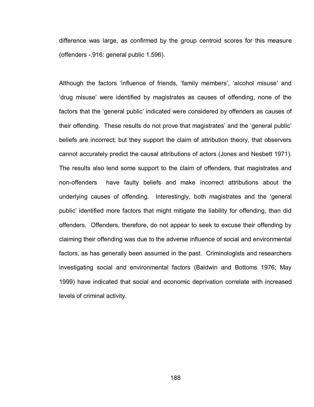difference was large, as confirmed by the group centroid scores for this measure (offenders -.916: general public 1.596).

Although the factors 'influence of friends, 'family members', 'alcohol misuse' and "drug misuse" were identified by magistrates as causes of offending, none of the factors that the "general public" indicated were considered by offenders as causes of their offending. These results do not prove that magistrates' and the 'general public' beliefs are incorrect; but they support the claim of attribution theory, that observers cannot accurately predict the causal attributions of actors (Jones and Nesbett 1971). The results also lend some support to the claim of offenders, that magistrates and non-offenders have faulty beliefs and make incorrect attributions about the underlying causes of offending. Interestingly, both magistrates and the "general public" identified more factors that might mitigate the liability for offending, than did offenders. Offenders, therefore, do not appear to seek to excuse their offending by claiming their offending was due to the adverse influence of social and environmental factors, as has generally been assumed in the past. Criminologists and researchers investigating social and environmental factors (Baldwin and Bottoms 1976; May 1999) have indicated that social and economic deprivation correlate with increased levels of criminal activity.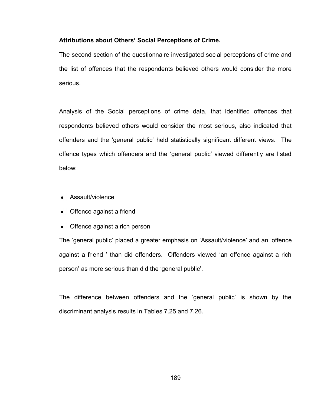## **Attributions about Others' Social Perceptions of Crime.**

The second section of the questionnaire investigated social perceptions of crime and the list of offences that the respondents believed others would consider the more serious.

Analysis of the Social perceptions of crime data, that identified offences that respondents believed others would consider the most serious, also indicated that offenders and the "general public" held statistically significant different views. The offence types which offenders and the "general public" viewed differently are listed below:

- Assault/violence
- Offence against a friend
- Offence against a rich person

The "general public" placed a greater emphasis on "Assault/violence" and an "offence against a friend " than did offenders. Offenders viewed "an offence against a rich person" as more serious than did the "general public".

The difference between offenders and the "general public" is shown by the discriminant analysis results in Tables 7.25 and 7.26.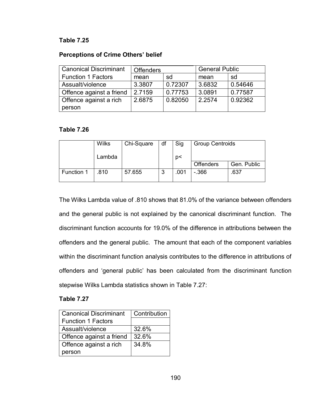# **Table 7.25**

# **Perceptions of Crime Others' belief**

| <b>Canonical Discriminant</b> | <b>Offenders</b> |         | <b>General Public</b> |         |
|-------------------------------|------------------|---------|-----------------------|---------|
| <b>Function 1 Factors</b>     | mean             | sd      | mean                  | sd      |
| Assualt/violence              | 3.3807           | 0.72307 | 3.6832                | 0.54646 |
| Offence against a friend      | 2.7159           | 0.77753 | 3.0891                | 0.77587 |
| Offence against a rich        | 2.6875           | 0.82050 | 2.2574                | 0.92362 |
| person                        |                  |         |                       |         |

# **Table 7.26**

|            | <b>Wilks</b> | Chi-Square | df     | Sig  | <b>Group Centroids</b> |             |
|------------|--------------|------------|--------|------|------------------------|-------------|
|            | Lambda       |            |        | p<   |                        |             |
|            |              |            |        |      | <b>Offenders</b>       | Gen. Public |
| Function 1 | .810         | 57.655     | ≏<br>J | .001 | $-366$                 | .637        |

The Wilks Lambda value of .810 shows that 81.0% of the variance between offenders and the general public is not explained by the canonical discriminant function. The discriminant function accounts for 19.0% of the difference in attributions between the offenders and the general public. The amount that each of the component variables within the discriminant function analysis contributes to the difference in attributions of offenders and "general public" has been calculated from the discriminant function stepwise Wilks Lambda statistics shown in Table 7.27:

# **Table 7.27**

| <b>Canonical Discriminant</b> | Contribution |
|-------------------------------|--------------|
| <b>Function 1 Factors</b>     |              |
| Assualt/violence              | 32.6%        |
| Offence against a friend      | 32.6%        |
| Offence against a rich        | 34.8%        |
| person                        |              |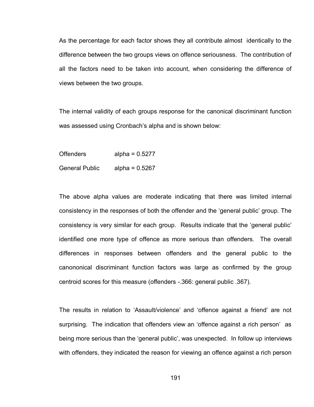As the percentage for each factor shows they all contribute almost identically to the difference between the two groups views on offence seriousness. The contribution of all the factors need to be taken into account, when considering the difference of views between the two groups.

The internal validity of each groups response for the canonical discriminant function was assessed using Cronbach's alpha and is shown below:

Offenders alpha = 0.5277

General Public alpha = 0.5267

The above alpha values are moderate indicating that there was limited internal consistency in the responses of both the offender and the "general public" group. The consistency is very similar for each group. Results indicate that the "general public" identified one more type of offence as more serious than offenders. The overall differences in responses between offenders and the general public to the canononical discriminant function factors was large as confirmed by the group centroid scores for this measure (offenders -.366: general public .367).

The results in relation to "Assault/violence" and "offence against a friend" are not surprising. The indication that offenders view an "offence against a rich person" as being more serious than the "general public", was unexpected. In follow up interviews with offenders, they indicated the reason for viewing an offence against a rich person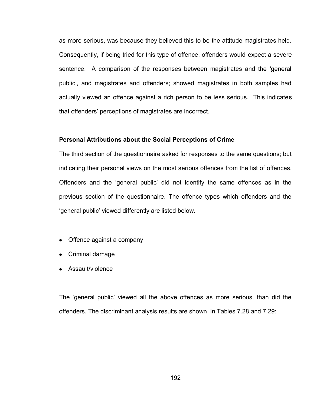as more serious, was because they believed this to be the attitude magistrates held. Consequently, if being tried for this type of offence, offenders would expect a severe sentence. A comparison of the responses between magistrates and the "general public", and magistrates and offenders; showed magistrates in both samples had actually viewed an offence against a rich person to be less serious. This indicates that offenders" perceptions of magistrates are incorrect.

#### **Personal Attributions about the Social Perceptions of Crime**

The third section of the questionnaire asked for responses to the same questions; but indicating their personal views on the most serious offences from the list of offences. Offenders and the "general public" did not identify the same offences as in the previous section of the questionnaire. The offence types which offenders and the "general public" viewed differently are listed below.

- Offence against a company
- Criminal damage
- Assault/violence

The "general public" viewed all the above offences as more serious, than did the offenders. The discriminant analysis results are shown in Tables 7.28 and 7.29: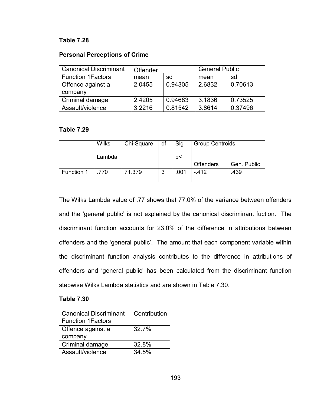# **Table 7.28**

## **Personal Perceptions of Crime**

| <b>Canonical Discriminant</b> | Offender |         | <b>General Public</b> |         |
|-------------------------------|----------|---------|-----------------------|---------|
| <b>Function 1Factors</b>      | mean     | sd      | mean                  | sd      |
| Offence against a             | 2.0455   | 0.94305 | 2.6832                | 0.70613 |
| company                       |          |         |                       |         |
| Criminal damage               | 2.4205   | 0.94683 | 3.1836                | 0.73525 |
| Assault/violence              | 3.2216   | 0.81542 | 3.8614                | 0.37496 |

### **Table 7.29**

|            | <b>Wilks</b> | Chi-Square | df     | Sig  | <b>Group Centroids</b> |             |
|------------|--------------|------------|--------|------|------------------------|-------------|
|            | Lambda       |            |        | p<   |                        |             |
|            |              |            |        |      | <b>Offenders</b>       | Gen. Public |
| Function 1 | .770         | 71.379     | ≏<br>J | .001 | $-412$                 | .439        |

The Wilks Lambda value of .77 shows that 77.0% of the variance between offenders and the "general public" is not explained by the canonical discriminant fuction. The discriminant function accounts for 23.0% of the difference in attributions between offenders and the "general public". The amount that each component variable within the discriminant function analysis contributes to the difference in attributions of offenders and "general public" has been calculated from the discriminant function stepwise Wilks Lambda statistics and are shown in Table 7.30.

# **Table 7.30**

| <b>Canonical Discriminant</b> | Contribution |  |
|-------------------------------|--------------|--|
| <b>Function 1Factors</b>      |              |  |
| Offence against a             | 32.7%        |  |
| company                       |              |  |
| Criminal damage               | 32.8%        |  |
| Assault/violence              | 34.5%        |  |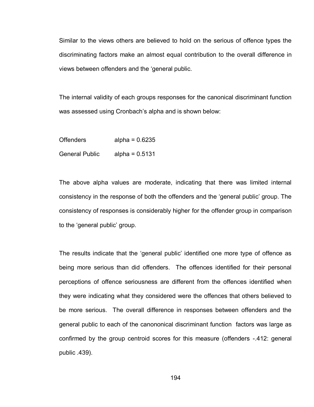Similar to the views others are believed to hold on the serious of offence types the discriminating factors make an almost equal contribution to the overall difference in views between offenders and the "general public.

The internal validity of each groups responses for the canonical discriminant function was assessed using Cronbach's alpha and is shown below:

| <b>Offenders</b>      | alpha = $0.6235$ |
|-----------------------|------------------|
| <b>General Public</b> | alpha = $0.5131$ |

The above alpha values are moderate, indicating that there was limited internal consistency in the response of both the offenders and the "general public" group. The consistency of responses is considerably higher for the offender group in comparison to the 'general public' group.

The results indicate that the "general public" identified one more type of offence as being more serious than did offenders. The offences identified for their personal perceptions of offence seriousness are different from the offences identified when they were indicating what they considered were the offences that others believed to be more serious. The overall difference in responses between offenders and the general public to each of the canononical discriminant function factors was large as confirmed by the group centroid scores for this measure (offenders -.412: general public .439).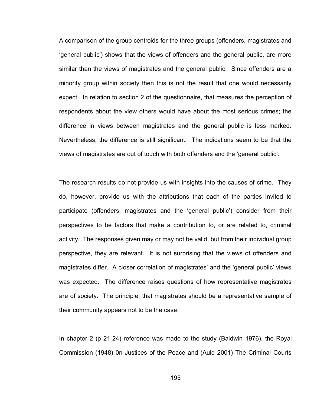A comparison of the group centroids for the three groups (offenders, magistrates and "general public") shows that the views of offenders and the general public, are more similar than the views of magistrates and the general public. Since offenders are a minority group within society then this is not the result that one would necessarily expect. In relation to section 2 of the questionnaire, that measures the perception of respondents about the view others would have about the most serious crimes; the difference in views between magistrates and the general public is less marked. Nevertheless, the difference is still significant. The indications seem to be that the views of magistrates are out of touch with both offenders and the "general public".

The research results do not provide us with insights into the causes of crime. They do, however, provide us with the attributions that each of the parties invited to participate (offenders, magistrates and the "general public") consider from their perspectives to be factors that make a contribution to, or are related to, criminal activity. The responses given may or may not be valid, but from their individual group perspective, they are relevant. It is not surprising that the views of offenders and magistrates differ. A closer correlation of magistrates' and the 'general public' views was expected. The difference raises questions of how representative magistrates are of society. The principle, that magistrates should be a representative sample of their community appears not to be the case.

In chapter 2 (p 21-24) reference was made to the study (Baldwin 1976), the Royal Commission (1948) 0n Justices of the Peace and (Auld 2001) The Criminal Courts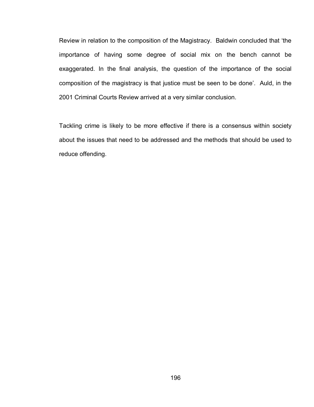Review in relation to the composition of the Magistracy. Baldwin concluded that "the importance of having some degree of social mix on the bench cannot be exaggerated. In the final analysis, the question of the importance of the social composition of the magistracy is that justice must be seen to be done". Auld, in the 2001 Criminal Courts Review arrived at a very similar conclusion.

Tackling crime is likely to be more effective if there is a consensus within society about the issues that need to be addressed and the methods that should be used to reduce offending.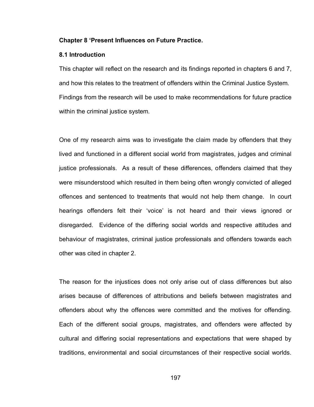#### **Chapter 8 'Present Influences on Future Practice.**

#### **8.1 Introduction**

This chapter will reflect on the research and its findings reported in chapters 6 and 7, and how this relates to the treatment of offenders within the Criminal Justice System. Findings from the research will be used to make recommendations for future practice within the criminal justice system.

One of my research aims was to investigate the claim made by offenders that they lived and functioned in a different social world from magistrates, judges and criminal justice professionals. As a result of these differences, offenders claimed that they were misunderstood which resulted in them being often wrongly convicted of alleged offences and sentenced to treatments that would not help them change. In court hearings offenders felt their "voice" is not heard and their views ignored or disregarded. Evidence of the differing social worlds and respective attitudes and behaviour of magistrates, criminal justice professionals and offenders towards each other was cited in chapter 2.

The reason for the injustices does not only arise out of class differences but also arises because of differences of attributions and beliefs between magistrates and offenders about why the offences were committed and the motives for offending. Each of the different social groups, magistrates, and offenders were affected by cultural and differing social representations and expectations that were shaped by traditions, environmental and social circumstances of their respective social worlds.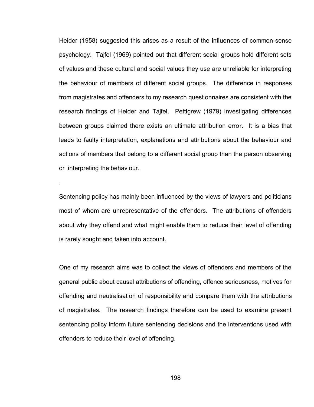Heider (1958) suggested this arises as a result of the influences of common-sense psychology. Tajfel (1969) pointed out that different social groups hold different sets of values and these cultural and social values they use are unreliable for interpreting the behaviour of members of different social groups. The difference in responses from magistrates and offenders to my research questionnaires are consistent with the research findings of Heider and Tajfel. Pettigrew (1979) investigating differences between groups claimed there exists an ultimate attribution error. It is a bias that leads to faulty interpretation, explanations and attributions about the behaviour and actions of members that belong to a different social group than the person observing or interpreting the behaviour.

Sentencing policy has mainly been influenced by the views of lawyers and politicians most of whom are unrepresentative of the offenders. The attributions of offenders about why they offend and what might enable them to reduce their level of offending is rarely sought and taken into account.

.

One of my research aims was to collect the views of offenders and members of the general public about causal attributions of offending, offence seriousness, motives for offending and neutralisation of responsibility and compare them with the attributions of magistrates. The research findings therefore can be used to examine present sentencing policy inform future sentencing decisions and the interventions used with offenders to reduce their level of offending.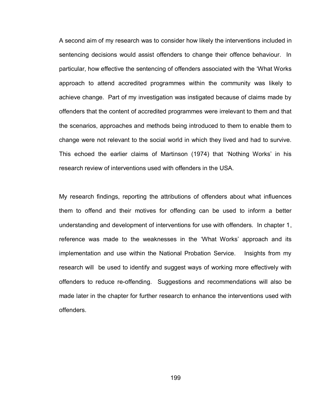A second aim of my research was to consider how likely the interventions included in sentencing decisions would assist offenders to change their offence behaviour. In particular, how effective the sentencing of offenders associated with the "What Works approach to attend accredited programmes within the community was likely to achieve change. Part of my investigation was instigated because of claims made by offenders that the content of accredited programmes were irrelevant to them and that the scenarios, approaches and methods being introduced to them to enable them to change were not relevant to the social world in which they lived and had to survive. This echoed the earlier claims of Martinson (1974) that "Nothing Works" in his research review of interventions used with offenders in the USA.

My research findings, reporting the attributions of offenders about what influences them to offend and their motives for offending can be used to inform a better understanding and development of interventions for use with offenders. In chapter 1, reference was made to the weaknesses in the "What Works" approach and its implementation and use within the National Probation Service. Insights from my research will be used to identify and suggest ways of working more effectively with offenders to reduce re-offending. Suggestions and recommendations will also be made later in the chapter for further research to enhance the interventions used with offenders.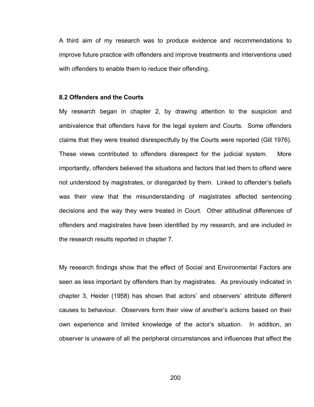A third aim of my research was to produce evidence and recommendations to improve future practice with offenders and improve treatments and interventions used with offenders to enable them to reduce their offending.

#### **8.2 Offenders and the Courts**

My research began in chapter 2, by drawing attention to the suspicion and ambivalence that offenders have for the legal system and Courts. Some offenders claims that they were treated disrespectfully by the Courts were reported (Gill 1976). These views contributed to offenders disrespect for the judicial system. More importantly, offenders believed the situations and factors that led them to offend were not understood by magistrates, or disregarded by them. Linked to offender"s beliefs was their view that the misunderstanding of magistrates affected sentencing decisions and the way they were treated in Court. Other attitudinal differences of offenders and magistrates have been identified by my research, and are included in the research results reported in chapter 7.

My research findings show that the effect of Social and Environmental Factors are seen as less important by offenders than by magistrates. As previously indicated in chapter 3, Heider (1958) has shown that actors" and observers" attribute different causes to behaviour. Observers form their view of another"s actions based on their own experience and limited knowledge of the actor"s situation. In addition, an observer is unaware of all the peripheral circumstances and influences that affect the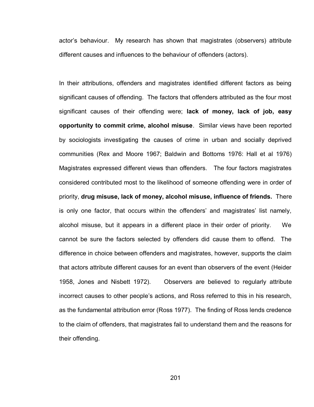actor"s behaviour. My research has shown that magistrates (observers) attribute different causes and influences to the behaviour of offenders (actors).

In their attributions, offenders and magistrates identified different factors as being significant causes of offending. The factors that offenders attributed as the four most significant causes of their offending were; **lack of money, lack of job, easy opportunity to commit crime, alcohol misuse**. Similar views have been reported by sociologists investigating the causes of crime in urban and socially deprived communities (Rex and Moore 1967; Baldwin and Bottoms 1976: Hall et al 1976) Magistrates expressed different views than offenders. The four factors magistrates considered contributed most to the likelihood of someone offending were in order of priority, **drug misuse, lack of money, alcohol misuse, influence of friends.** There is only one factor, that occurs within the offenders' and magistrates' list namely, alcohol misuse, but it appears in a different place in their order of priority. We cannot be sure the factors selected by offenders did cause them to offend. The difference in choice between offenders and magistrates, however, supports the claim that actors attribute different causes for an event than observers of the event (Heider 1958, Jones and Nisbett 1972). Observers are believed to regularly attribute incorrect causes to other people"s actions, and Ross referred to this in his research, as the fundamental attribution error (Ross 1977). The finding of Ross lends credence to the claim of offenders, that magistrates fail to understand them and the reasons for their offending.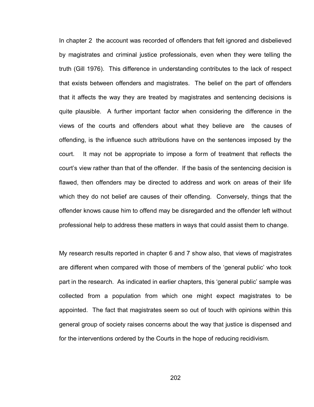In chapter 2 the account was recorded of offenders that felt ignored and disbelieved by magistrates and criminal justice professionals, even when they were telling the truth (Gill 1976). This difference in understanding contributes to the lack of respect that exists between offenders and magistrates. The belief on the part of offenders that it affects the way they are treated by magistrates and sentencing decisions is quite plausible. A further important factor when considering the difference in the views of the courts and offenders about what they believe are the causes of offending, is the influence such attributions have on the sentences imposed by the court. It may not be appropriate to impose a form of treatment that reflects the court"s view rather than that of the offender. If the basis of the sentencing decision is flawed, then offenders may be directed to address and work on areas of their life which they do not belief are causes of their offending. Conversely, things that the offender knows cause him to offend may be disregarded and the offender left without professional help to address these matters in ways that could assist them to change.

My research results reported in chapter 6 and 7 show also, that views of magistrates are different when compared with those of members of the "general public" who took part in the research. As indicated in earlier chapters, this "general public" sample was collected from a population from which one might expect magistrates to be appointed. The fact that magistrates seem so out of touch with opinions within this general group of society raises concerns about the way that justice is dispensed and for the interventions ordered by the Courts in the hope of reducing recidivism.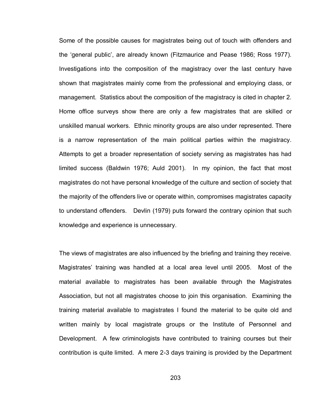Some of the possible causes for magistrates being out of touch with offenders and the "general public", are already known (Fitzmaurice and Pease 1986; Ross 1977). Investigations into the composition of the magistracy over the last century have shown that magistrates mainly come from the professional and employing class, or management. Statistics about the composition of the magistracy is cited in chapter 2. Home office surveys show there are only a few magistrates that are skilled or unskilled manual workers. Ethnic minority groups are also under represented. There is a narrow representation of the main political parties within the magistracy. Attempts to get a broader representation of society serving as magistrates has had limited success (Baldwin 1976; Auld 2001). In my opinion, the fact that most magistrates do not have personal knowledge of the culture and section of society that the majority of the offenders live or operate within, compromises magistrates capacity to understand offenders. Devlin (1979) puts forward the contrary opinion that such knowledge and experience is unnecessary.

The views of magistrates are also influenced by the briefing and training they receive. Magistrates" training was handled at a local area level until 2005. Most of the material available to magistrates has been available through the Magistrates Association, but not all magistrates choose to join this organisation. Examining the training material available to magistrates I found the material to be quite old and written mainly by local magistrate groups or the Institute of Personnel and Development. A few criminologists have contributed to training courses but their contribution is quite limited. A mere 2-3 days training is provided by the Department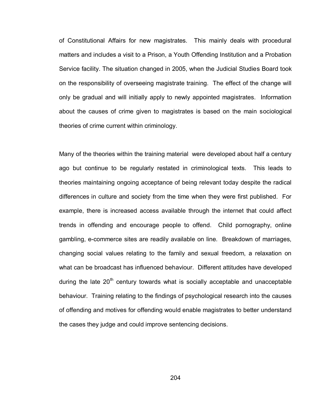of Constitutional Affairs for new magistrates. This mainly deals with procedural matters and includes a visit to a Prison, a Youth Offending Institution and a Probation Service facility. The situation changed in 2005, when the Judicial Studies Board took on the responsibility of overseeing magistrate training. The effect of the change will only be gradual and will initially apply to newly appointed magistrates. Information about the causes of crime given to magistrates is based on the main sociological theories of crime current within criminology.

Many of the theories within the training material were developed about half a century ago but continue to be regularly restated in criminological texts. This leads to theories maintaining ongoing acceptance of being relevant today despite the radical differences in culture and society from the time when they were first published. For example, there is increased access available through the internet that could affect trends in offending and encourage people to offend. Child pornography, online gambling, e-commerce sites are readily available on line. Breakdown of marriages, changing social values relating to the family and sexual freedom, a relaxation on what can be broadcast has influenced behaviour. Different attitudes have developed during the late  $20<sup>th</sup>$  century towards what is socially acceptable and unacceptable behaviour. Training relating to the findings of psychological research into the causes of offending and motives for offending would enable magistrates to better understand the cases they judge and could improve sentencing decisions.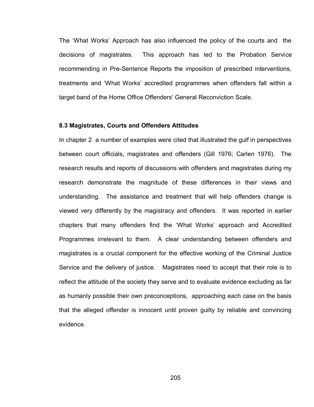The "What Works" Approach has also influenced the policy of the courts and the decisions of magistrates. This approach has led to the Probation Service recommending in Pre-Sentence Reports the imposition of prescribed interventions, treatments and "What Works" accredited programmes when offenders fall within a target band of the Home Office Offenders' General Reconviction Scale.

#### **8.3 Magistrates, Courts and Offenders Attitudes**

In chapter 2 a number of examples were cited that illustrated the gulf in perspectives between court officials, magistrates and offenders (Gill 1976; Carlen 1976). The research results and reports of discussions with offenders and magistrates during my research demonstrate the magnitude of these differences in their views and understanding. The assistance and treatment that will help offenders change is viewed very differently by the magistracy and offenders. It was reported in earlier chapters that many offenders find the "What Works" approach and Accredited Programmes irrelevant to them. A clear understanding between offenders and magistrates is a crucial component for the effective working of the Criminal Justice Service and the delivery of justice. Magistrates need to accept that their role is to reflect the attitude of the society they serve and to evaluate evidence excluding as far as humanly possible their own preconceptions, approaching each case on the basis that the alleged offender is innocent until proven guilty by reliable and convincing evidence.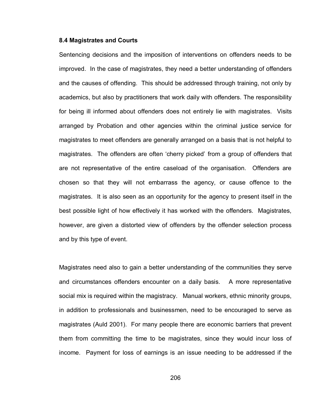#### **8.4 Magistrates and Courts**

Sentencing decisions and the imposition of interventions on offenders needs to be improved. In the case of magistrates, they need a better understanding of offenders and the causes of offending. This should be addressed through training, not only by academics, but also by practitioners that work daily with offenders. The responsibility for being ill informed about offenders does not entirely lie with magistrates. Visits arranged by Probation and other agencies within the criminal justice service for magistrates to meet offenders are generally arranged on a basis that is not helpful to magistrates. The offenders are often "cherry picked" from a group of offenders that are not representative of the entire caseload of the organisation. Offenders are chosen so that they will not embarrass the agency, or cause offence to the magistrates. It is also seen as an opportunity for the agency to present itself in the best possible light of how effectively it has worked with the offenders. Magistrates, however, are given a distorted view of offenders by the offender selection process and by this type of event.

Magistrates need also to gain a better understanding of the communities they serve and circumstances offenders encounter on a daily basis. A more representative social mix is required within the magistracy. Manual workers, ethnic minority groups, in addition to professionals and businessmen, need to be encouraged to serve as magistrates (Auld 2001). For many people there are economic barriers that prevent them from committing the time to be magistrates, since they would incur loss of income. Payment for loss of earnings is an issue needing to be addressed if the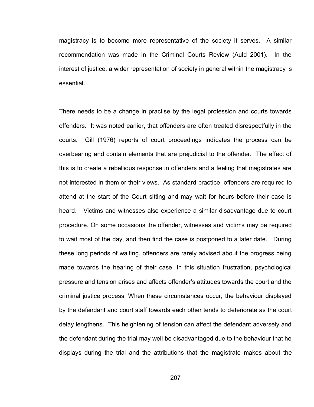magistracy is to become more representative of the society it serves. A similar recommendation was made in the Criminal Courts Review (Auld 2001). In the interest of justice, a wider representation of society in general within the magistracy is essential.

There needs to be a change in practise by the legal profession and courts towards offenders. It was noted earlier, that offenders are often treated disrespectfully in the courts. Gill (1976) reports of court proceedings indicates the process can be overbearing and contain elements that are prejudicial to the offender. The effect of this is to create a rebellious response in offenders and a feeling that magistrates are not interested in them or their views. As standard practice, offenders are required to attend at the start of the Court sitting and may wait for hours before their case is heard. Victims and witnesses also experience a similar disadvantage due to court procedure. On some occasions the offender, witnesses and victims may be required to wait most of the day, and then find the case is postponed to a later date. During these long periods of waiting, offenders are rarely advised about the progress being made towards the hearing of their case. In this situation frustration, psychological pressure and tension arises and affects offender"s attitudes towards the court and the criminal justice process. When these circumstances occur, the behaviour displayed by the defendant and court staff towards each other tends to deteriorate as the court delay lengthens. This heightening of tension can affect the defendant adversely and the defendant during the trial may well be disadvantaged due to the behaviour that he displays during the trial and the attributions that the magistrate makes about the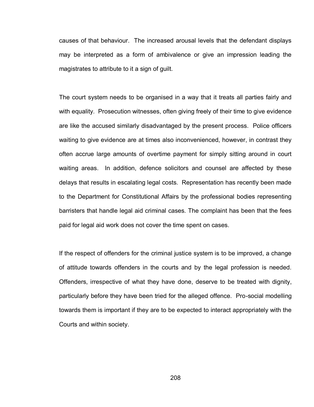causes of that behaviour. The increased arousal levels that the defendant displays may be interpreted as a form of ambivalence or give an impression leading the magistrates to attribute to it a sign of guilt.

The court system needs to be organised in a way that it treats all parties fairly and with equality. Prosecution witnesses, often giving freely of their time to give evidence are like the accused similarly disadvantaged by the present process. Police officers waiting to give evidence are at times also inconvenienced, however, in contrast they often accrue large amounts of overtime payment for simply sitting around in court waiting areas. In addition, defence solicitors and counsel are affected by these delays that results in escalating legal costs. Representation has recently been made to the Department for Constitutional Affairs by the professional bodies representing barristers that handle legal aid criminal cases. The complaint has been that the fees paid for legal aid work does not cover the time spent on cases.

If the respect of offenders for the criminal justice system is to be improved, a change of attitude towards offenders in the courts and by the legal profession is needed. Offenders, irrespective of what they have done, deserve to be treated with dignity, particularly before they have been tried for the alleged offence. Pro-social modelling towards them is important if they are to be expected to interact appropriately with the Courts and within society.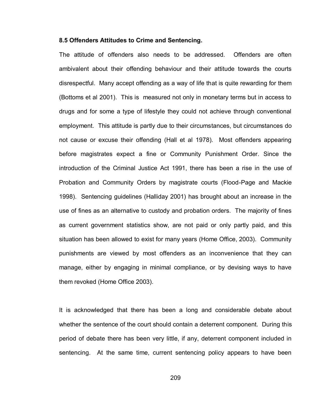#### **8.5 Offenders Attitudes to Crime and Sentencing.**

The attitude of offenders also needs to be addressed. Offenders are often ambivalent about their offending behaviour and their attitude towards the courts disrespectful. Many accept offending as a way of life that is quite rewarding for them (Bottoms et al 2001). This is measured not only in monetary terms but in access to drugs and for some a type of lifestyle they could not achieve through conventional employment. This attitude is partly due to their circumstances, but circumstances do not cause or excuse their offending (Hall et al 1978). Most offenders appearing before magistrates expect a fine or Community Punishment Order. Since the introduction of the Criminal Justice Act 1991, there has been a rise in the use of Probation and Community Orders by magistrate courts (Flood-Page and Mackie 1998). Sentencing guidelines (Halliday 2001) has brought about an increase in the use of fines as an alternative to custody and probation orders. The majority of fines as current government statistics show, are not paid or only partly paid, and this situation has been allowed to exist for many years (Home Office, 2003). Community punishments are viewed by most offenders as an inconvenience that they can manage, either by engaging in minimal compliance, or by devising ways to have them revoked (Home Office 2003).

It is acknowledged that there has been a long and considerable debate about whether the sentence of the court should contain a deterrent component. During this period of debate there has been very little, if any, deterrent component included in sentencing. At the same time, current sentencing policy appears to have been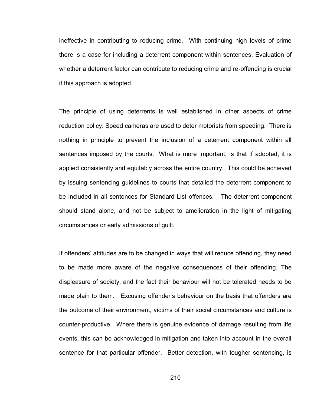ineffective in contributing to reducing crime. With continuing high levels of crime there is a case for including a deterrent component within sentences. Evaluation of whether a deterrent factor can contribute to reducing crime and re-offending is crucial if this approach is adopted.

The principle of using deterrents is well established in other aspects of crime reduction policy. Speed cameras are used to deter motorists from speeding. There is nothing in principle to prevent the inclusion of a deterrent component within all sentences imposed by the courts. What is more important, is that if adopted, it is applied consistently and equitably across the entire country. This could be achieved by issuing sentencing guidelines to courts that detailed the deterrent component to be included in all sentences for Standard List offences. The deterrent component should stand alone, and not be subject to amelioration in the light of mitigating circumstances or early admissions of guilt.

If offenders' attitudes are to be changed in ways that will reduce offending, they need to be made more aware of the negative consequences of their offending. The displeasure of society, and the fact their behaviour will not be tolerated needs to be made plain to them. Excusing offender"s behaviour on the basis that offenders are the outcome of their environment, victims of their social circumstances and culture is counter-productive. Where there is genuine evidence of damage resulting from life events, this can be acknowledged in mitigation and taken into account in the overall sentence for that particular offender. Better detection, with tougher sentencing, is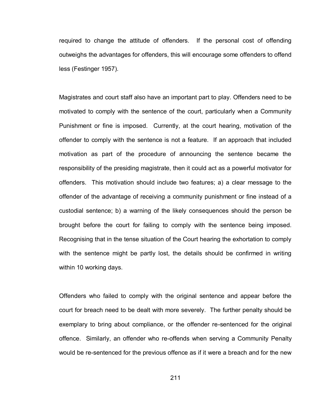required to change the attitude of offenders. If the personal cost of offending outweighs the advantages for offenders, this will encourage some offenders to offend less (Festinger 1957).

Magistrates and court staff also have an important part to play. Offenders need to be motivated to comply with the sentence of the court, particularly when a Community Punishment or fine is imposed. Currently, at the court hearing, motivation of the offender to comply with the sentence is not a feature. If an approach that included motivation as part of the procedure of announcing the sentence became the responsibility of the presiding magistrate, then it could act as a powerful motivator for offenders. This motivation should include two features; a) a clear message to the offender of the advantage of receiving a community punishment or fine instead of a custodial sentence; b) a warning of the likely consequences should the person be brought before the court for failing to comply with the sentence being imposed. Recognising that in the tense situation of the Court hearing the exhortation to comply with the sentence might be partly lost, the details should be confirmed in writing within 10 working days.

Offenders who failed to comply with the original sentence and appear before the court for breach need to be dealt with more severely. The further penalty should be exemplary to bring about compliance, or the offender re-sentenced for the original offence. Similarly, an offender who re-offends when serving a Community Penalty would be re-sentenced for the previous offence as if it were a breach and for the new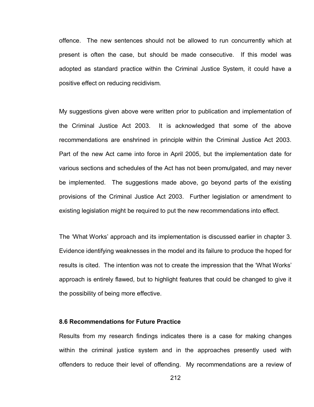offence. The new sentences should not be allowed to run concurrently which at present is often the case, but should be made consecutive. If this model was adopted as standard practice within the Criminal Justice System, it could have a positive effect on reducing recidivism.

My suggestions given above were written prior to publication and implementation of the Criminal Justice Act 2003. It is acknowledged that some of the above recommendations are enshrined in principle within the Criminal Justice Act 2003. Part of the new Act came into force in April 2005, but the implementation date for various sections and schedules of the Act has not been promulgated, and may never be implemented. The suggestions made above, go beyond parts of the existing provisions of the Criminal Justice Act 2003. Further legislation or amendment to existing legislation might be required to put the new recommendations into effect.

The "What Works" approach and its implementation is discussed earlier in chapter 3. Evidence identifying weaknesses in the model and its failure to produce the hoped for results is cited. The intention was not to create the impression that the "What Works" approach is entirely flawed, but to highlight features that could be changed to give it the possibility of being more effective.

### **8.6 Recommendations for Future Practice**

Results from my research findings indicates there is a case for making changes within the criminal justice system and in the approaches presently used with offenders to reduce their level of offending. My recommendations are a review of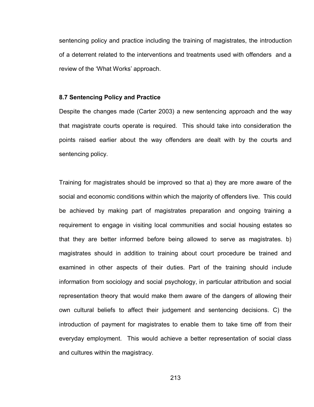sentencing policy and practice including the training of magistrates, the introduction of a deterrent related to the interventions and treatments used with offenders and a review of the 'What Works' approach.

#### **8.7 Sentencing Policy and Practice**

Despite the changes made (Carter 2003) a new sentencing approach and the way that magistrate courts operate is required. This should take into consideration the points raised earlier about the way offenders are dealt with by the courts and sentencing policy.

Training for magistrates should be improved so that a) they are more aware of the social and economic conditions within which the majority of offenders live. This could be achieved by making part of magistrates preparation and ongoing training a requirement to engage in visiting local communities and social housing estates so that they are better informed before being allowed to serve as magistrates. b) magistrates should in addition to training about court procedure be trained and examined in other aspects of their duties. Part of the training should include information from sociology and social psychology, in particular attribution and social representation theory that would make them aware of the dangers of allowing their own cultural beliefs to affect their judgement and sentencing decisions. C) the introduction of payment for magistrates to enable them to take time off from their everyday employment. This would achieve a better representation of social class and cultures within the magistracy.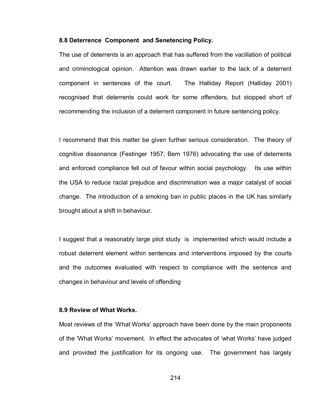#### **8.8 Deterrence Component and Senetencing Policy.**

The use of deterrents is an approach that has suffered from the vacillation of political and criminological opinion. Attention was drawn earlier to the lack of a deterrent component in sentences of the court. The Halliday Report (Halliday 2001) recognised that deterrents could work for some offenders, but stopped short of recommending the inclusion of a deterrent component in future sentencing policy.

I recommend that this matter be given further serious consideration. The theory of cognitive dissonance (Festinger 1957; Bem 1976) advocating the use of deterrents and enforced compliance fell out of favour within social psychology. Its use within the USA to reduce racial prejudice and discrimination was a major catalyst of social change. The introduction of a smoking ban in public places in the UK has similarly brought about a shift in behaviour.

I suggest that a reasonably large pilot study is implemented which would include a robust deterrent element within sentences and interventions imposed by the courts and the outcomes evaluated with respect to compliance with the sentence and changes in behaviour and levels of offending

#### **8.9 Review of What Works.**

Most reviews of the "What Works" approach have been done by the main proponents of the "What Works" movement. In effect the advocates of "what Works" have judged and provided the justification for its ongoing use. The government has largely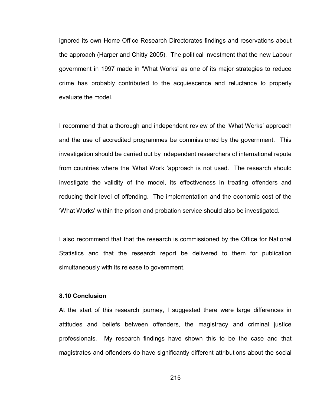ignored its own Home Office Research Directorates findings and reservations about the approach (Harper and Chitty 2005). The political investment that the new Labour government in 1997 made in "What Works" as one of its major strategies to reduce crime has probably contributed to the acquiescence and reluctance to properly evaluate the model.

I recommend that a thorough and independent review of the "What Works" approach and the use of accredited programmes be commissioned by the government. This investigation should be carried out by independent researchers of international repute from countries where the "What Work "approach is not used. The research should investigate the validity of the model, its effectiveness in treating offenders and reducing their level of offending. The implementation and the economic cost of the "What Works" within the prison and probation service should also be investigated.

I also recommend that that the research is commissioned by the Office for National Statistics and that the research report be delivered to them for publication simultaneously with its release to government.

### **8.10 Conclusion**

At the start of this research journey, I suggested there were large differences in attitudes and beliefs between offenders, the magistracy and criminal justice professionals. My research findings have shown this to be the case and that magistrates and offenders do have significantly different attributions about the social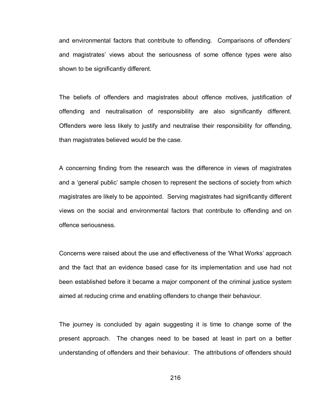and environmental factors that contribute to offending. Comparisons of offenders" and magistrates" views about the seriousness of some offence types were also shown to be significantly different.

The beliefs of offenders and magistrates about offence motives, justification of offending and neutralisation of responsibility are also significantly different. Offenders were less likely to justify and neutralise their responsibility for offending, than magistrates believed would be the case.

A concerning finding from the research was the difference in views of magistrates and a "general public" sample chosen to represent the sections of society from which magistrates are likely to be appointed. Serving magistrates had significantly different views on the social and environmental factors that contribute to offending and on offence seriousness.

Concerns were raised about the use and effectiveness of the "What Works" approach and the fact that an evidence based case for its implementation and use had not been established before it became a major component of the criminal justice system aimed at reducing crime and enabling offenders to change their behaviour.

The journey is concluded by again suggesting it is time to change some of the present approach. The changes need to be based at least in part on a better understanding of offenders and their behaviour. The attributions of offenders should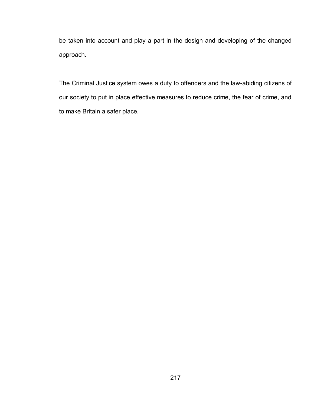be taken into account and play a part in the design and developing of the changed approach.

The Criminal Justice system owes a duty to offenders and the law-abiding citizens of our society to put in place effective measures to reduce crime, the fear of crime, and to make Britain a safer place.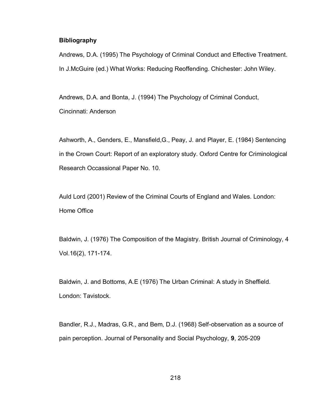## **Bibliography**

Andrews, D.A. (1995) The Psychology of Criminal Conduct and Effective Treatment. In J.McGuire (ed.) What Works: Reducing Reoffending. Chichester: John Wiley.

Andrews, D.A. and Bonta, J. (1994) The Psychology of Criminal Conduct, Cincinnati: Anderson

Ashworth, A., Genders, E., Mansfield,G., Peay, J. and Player, E. (1984) Sentencing in the Crown Court: Report of an exploratory study. Oxford Centre for Criminological Research Occassional Paper No. 10.

Auld Lord (2001) Review of the Criminal Courts of England and Wales. London: Home Office

Baldwin, J. (1976) The Composition of the Magistry. British Journal of Criminology, 4 Vol.16(2), 171-174.

Baldwin, J. and Bottoms, A.E (1976) The Urban Criminal: A study in Sheffield. London: Tavistock.

Bandler, R.J., Madras, G.R., and Bem, D.J. (1968) Self-observation as a source of pain perception. Journal of Personality and Social Psychology, **9**, 205-209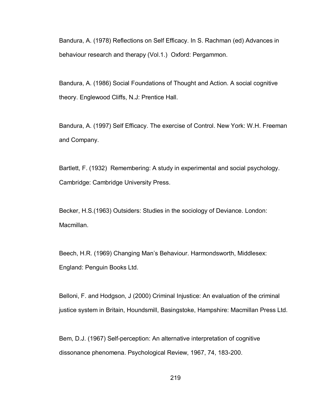Bandura, A. (1978) Reflections on Self Efficacy. In S. Rachman (ed) Advances in behaviour research and therapy (Vol.1.) Oxford: Pergammon.

Bandura, A. (1986) Social Foundations of Thought and Action. A social cognitive theory. Englewood Cliffs, N.J: Prentice Hall.

Bandura, A. (1997) Self Efficacy. The exercise of Control. New York: W.H. Freeman and Company.

Bartlett, F. (1932) Remembering: A study in experimental and social psychology. Cambridge: Cambridge University Press.

Becker, H.S.(1963) Outsiders: Studies in the sociology of Deviance. London: Macmillan.

Beech, H.R. (1969) Changing Man"s Behaviour. Harmondsworth, Middlesex: England: Penguin Books Ltd.

Belloni, F. and Hodgson, J (2000) Criminal Injustice: An evaluation of the criminal justice system in Britain, Houndsmill, Basingstoke, Hampshire: Macmillan Press Ltd.

Bem, D.J. (1967) Self-perception: An alternative interpretation of cognitive dissonance phenomena. Psychological Review, 1967, 74, 183-200.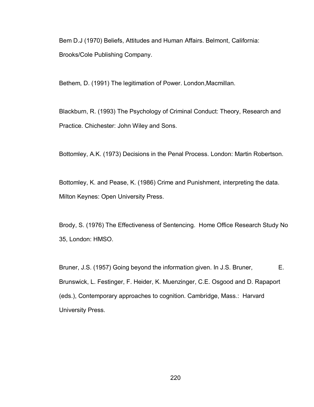Bem D.J (1970) Beliefs, Attitudes and Human Affairs. Belmont, California: Brooks/Cole Publishing Company.

Bethem, D. (1991) The legitimation of Power. London,Macmillan.

Blackburn, R. (1993) The Psychology of Criminal Conduct: Theory, Research and Practice. Chichester: John Wiley and Sons.

Bottomley, A.K. (1973) Decisions in the Penal Process. London: Martin Robertson.

Bottomley, K. and Pease, K. (1986) Crime and Punishment, interpreting the data. Milton Keynes: Open University Press.

Brody, S. (1976) The Effectiveness of Sentencing. Home Office Research Study No 35, London: HMSO.

Bruner, J.S. (1957) Going beyond the information given. In J.S. Bruner, E. Brunswick, L. Festinger, F. Heider, K. Muenzinger, C.E. Osgood and D. Rapaport (eds.), Contemporary approaches to cognition. Cambridge, Mass.: Harvard University Press.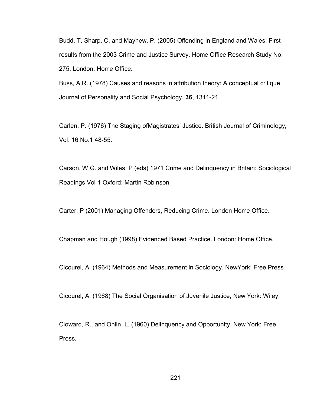Budd, T. Sharp, C. and Mayhew, P. (2005) Offending in England and Wales: First results from the 2003 Crime and Justice Survey. Home Office Research Study No. 275. London: Home Office.

Buss, A.R. (1978) Causes and reasons in attribution theory: A conceptual critique. Journal of Personality and Social Psychology, **36**, 1311-21.

Carlen, P. (1976) The Staging ofMagistrates" Justice. British Journal of Criminology, Vol. 16 No.1 48-55.

Carson, W.G. and Wiles, P (eds) 1971 Crime and Delinquency in Britain: Sociological Readings Vol 1 Oxford: Martin Robinson

Carter, P (2001) Managing Offenders, Reducing Crime. London Home Office.

Chapman and Hough (1998) Evidenced Based Practice. London: Home Office.

Cicourel, A. (1964) Methods and Measurement in Sociology. NewYork: Free Press

Cicourel, A. (1968) The Social Organisation of Juvenile Justice, New York: Wiley.

Cloward, R., and Ohlin, L. (1960) Delinquency and Opportunity. New York: Free Press.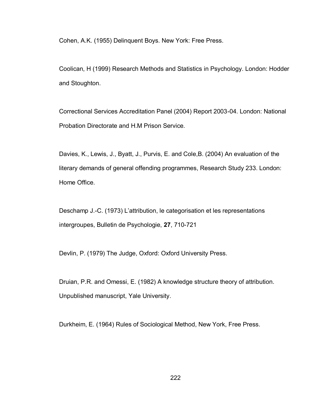Cohen, A.K. (1955) Delinquent Boys. New York: Free Press.

Coolican, H (1999) Research Methods and Statistics in Psychology. London: Hodder and Stoughton.

Correctional Services Accreditation Panel (2004) Report 2003-04. London: National Probation Directorate and H.M Prison Service.

Davies, K., Lewis, J., Byatt, J., Purvis, E. and Cole,B. (2004) An evaluation of the literary demands of general offending programmes, Research Study 233. London: Home Office.

Deschamp J.-C. (1973) L"attribution, le categorisation et les representations intergroupes, Bulletin de Psychologie, **27**, 710-721

Devlin, P. (1979) The Judge, Oxford: Oxford University Press.

Druian, P.R. and Omessi, E. (1982) A knowledge structure theory of attribution. Unpublished manuscript, Yale University.

Durkheim, E. (1964) Rules of Sociological Method, New York, Free Press.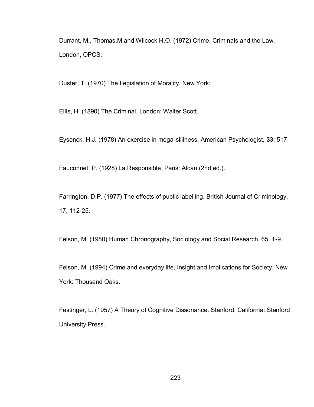Durrant, M., Thomas,M.and Wilcock H.O. (1972) Crime, Criminals and the Law, London, OPCS.

Duster, T. (1970) The Legislation of Morality. New York:

Ellis, H. (1890) The Criminal, London: Walter Scott.

Eysenck, H.J. (1978) An exercise in mega-silliness. American Psychologist, **33**: 517

Fauconnet, P. (1928) La Responsible. Paris: Alcan (2nd ed.).

Farrington, D.P. (1977) The effects of public labelling, British Journal of Criminology, 17, 112-25.

Felson, M. (1980) Human Chronography, Sociology and Social Research, 65, 1-9.

Felson, M. (1994) Crime and everyday life, Insight and Implications for Society, New York: Thousand Oaks.

Festinger, L. (1957) A Theory of Cognitive Dissonance. Stanford, California: Stanford University Press.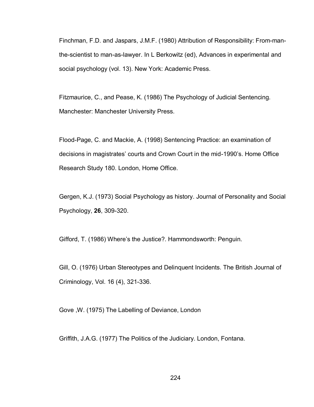Finchman, F.D. and Jaspars, J.M.F. (1980) Attribution of Responsibility: From-manthe-scientist to man-as-lawyer. In L Berkowitz (ed), Advances in experimental and social psychology (vol. 13). New York: Academic Press.

Fitzmaurice, C., and Pease, K. (1986) The Psychology of Judicial Sentencing. Manchester: Manchester University Press.

Flood-Page, C. and Mackie, A. (1998) Sentencing Practice: an examination of decisions in magistrates' courts and Crown Court in the mid-1990's. Home Office Research Study 180. London, Home Office.

Gergen, K.J. (1973) Social Psychology as history. Journal of Personality and Social Psychology, **26**, 309-320.

Gifford, T. (1986) Where"s the Justice?. Hammondsworth: Penguin.

Gill, O. (1976) Urban Stereotypes and Delinquent Incidents. The British Journal of Criminology, Vol. 16 (4), 321-336.

Gove ,W. (1975) The Labelling of Deviance, London

Griffith, J.A.G. (1977) The Politics of the Judiciary. London, Fontana.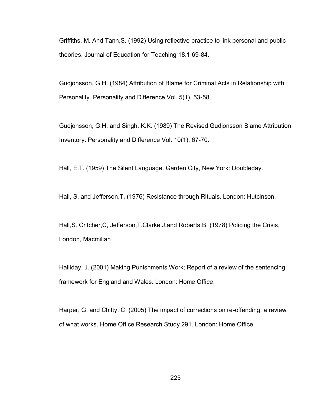Griffiths, M. And Tann,S. (1992) Using reflective practice to link personal and public theories. Journal of Education for Teaching 18.1 69-84.

Gudjonsson, G.H. (1984) Attribution of Blame for Criminal Acts in Relationship with Personality. Personality and Difference Vol. 5(1), 53-58

Gudjonsson, G.H. and Singh, K.K. (1989) The Revised Gudjonsson Blame Attribution Inventory. Personality and Difference Vol. 10(1), 67-70.

Hall, E.T. (1959) The Silent Language. Garden City, New York: Doubleday.

Hall, S. and Jefferson,T. (1976) Resistance through Rituals. London: Hutcinson.

Hall,S. Critcher,C, Jefferson,T.Clarke,J.and Roberts,B. (1978) Policing the Crisis, London, Macmillan

Halliday, J. (2001) Making Punishments Work; Report of a review of the sentencing framework for England and Wales. London: Home Office.

Harper, G. and Chitty, C. (2005) The impact of corrections on re-offending: a review of what works. Home Office Research Study 291. London: Home Office.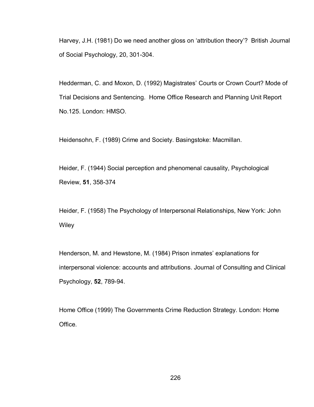Harvey, J.H. (1981) Do we need another gloss on "attribution theory"? British Journal of Social Psychology, 20, 301-304.

Hedderman, C. and Moxon, D. (1992) Magistrates' Courts or Crown Court? Mode of Trial Decisions and Sentencing. Home Office Research and Planning Unit Report No.125. London: HMSO.

Heidensohn, F. (1989) Crime and Society. Basingstoke: Macmillan.

Heider, F. (1944) Social perception and phenomenal causality, Psychological Review, **51**, 358-374

Heider, F. (1958) The Psychology of Interpersonal Relationships, New York: John **Wiley** 

Henderson, M. and Hewstone, M. (1984) Prison inmates' explanations for interpersonal violence: accounts and attributions. Journal of Consulting and Clinical Psychology, **52**, 789-94.

Home Office (1999) The Governments Crime Reduction Strategy. London: Home Office.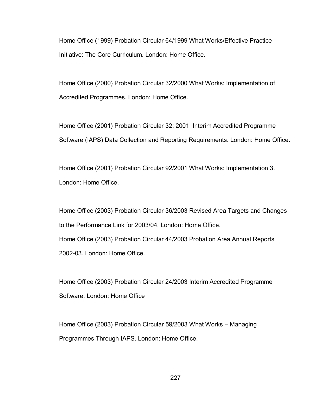Home Office (1999) Probation Circular 64/1999 What Works/Effective Practice Initiative: The Core Curriculum. London: Home Office.

Home Office (2000) Probation Circular 32/2000 What Works: Implementation of Accredited Programmes. London: Home Office.

Home Office (2001) Probation Circular 32: 2001 Interim Accredited Programme Software (IAPS) Data Collection and Reporting Requirements. London: Home Office.

Home Office (2001) Probation Circular 92/2001 What Works: Implementation 3. London: Home Office.

Home Office (2003) Probation Circular 36/2003 Revised Area Targets and Changes to the Performance Link for 2003/04. London: Home Office. Home Office (2003) Probation Circular 44/2003 Probation Area Annual Reports 2002-03. London: Home Office.

Home Office (2003) Probation Circular 24/2003 Interim Accredited Programme Software. London: Home Office

Home Office (2003) Probation Circular 59/2003 What Works – Managing Programmes Through IAPS. London: Home Office.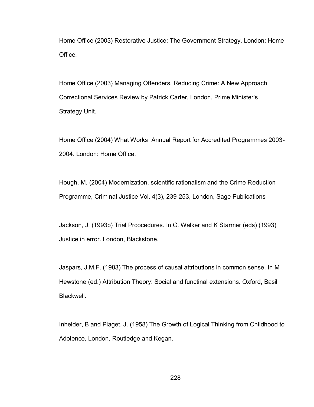Home Office (2003) Restorative Justice: The Government Strategy. London: Home Office.

Home Office (2003) Managing Offenders, Reducing Crime: A New Approach Correctional Services Review by Patrick Carter, London, Prime Minister"s Strategy Unit.

Home Office (2004) What Works Annual Report for Accredited Programmes 2003- 2004. London: Home Office.

Hough, M. (2004) Modernization, scientific rationalism and the Crime Reduction Programme, Criminal Justice Vol. 4(3), 239-253, London, Sage Publications

Jackson, J. (1993b) Trial Prcocedures. In C. Walker and K Starmer (eds) (1993) Justice in error. London, Blackstone.

Jaspars, J.M.F. (1983) The process of causal attributions in common sense. In M Hewstone (ed.) Attribution Theory: Social and functinal extensions. Oxford, Basil Blackwell.

Inhelder, B and Piaget, J. (1958) The Growth of Logical Thinking from Childhood to Adolence, London, Routledge and Kegan.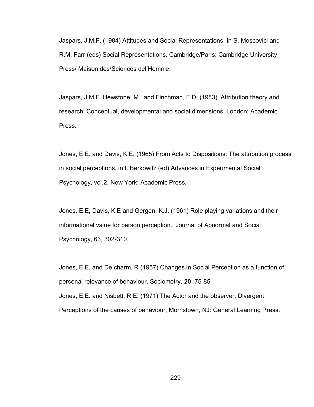Jaspars, J.M.F. (1984) Attitudes and Social Representations. In S. Moscovici and R.M. Farr (eds) Social Representations. Cambridge/Paris: Cambridge University Press/ Maison des\Sciences del"Homme.

Jaspars, J.M.F. Hewstone, M. and Finchman, F.D. (1983) Attribution theory and research, Conceptual, developmental and social dimensions. London: Academic Press.

.

Jones, E.E. and Davis, K.E. (1965) From Acts to Dispositions: The attribution process in social perceptions, in L.Berkowitz (ed) Advances in Experimental Social Psychology, vol.2, New York: Academic Press.

Jones, E.E, Davis, K.E and Gergen, K.J. (1961) Role playing variations and their informational value for person perception. Journal of Abnormal and Social Psychology, 63, 302-310.

Jones, E.E. and De charm, R (1957) Changes in Social Perception as a function of personal relevance of behaviour, Sociometry, **20**, 75-85 Jones, E.E. and Nisbett, R.E. (1971) The Actor and the observer: Divergent Perceptions of the causes of behaviour, Morristown, NJ: General Learning Press.

229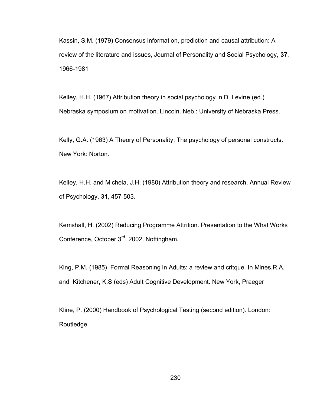Kassin, S.M. (1979) Consensus information, prediction and causal attribution: A review of the literature and issues, Journal of Personality and Social Psychology, **37**, 1966-1981

Kelley, H.H. (1967) Attribution theory in social psychology in D. Levine (ed.) Nebraska symposium on motivation. Lincoln. Neb,: University of Nebraska Press.

Kelly, G.A. (1963) A Theory of Personality: The psychology of personal constructs. New York: Norton.

Kelley, H.H. and Michela, J.H. (1980) Attribution theory and research, Annual Review of Psychology, **31**, 457-503.

Kemshall, H. (2002) Reducing Programme Attrition. Presentation to the What Works Conference, October 3<sup>rd</sup>. 2002, Nottingham.

King, P.M. (1985) Formal Reasoning in Adults: a review and critque. In Mines,R.A. and Kitchener, K.S (eds) Adult Cognitive Development. New York, Praeger

Kline, P. (2000) Handbook of Psychological Testing (second edition). London: Routledge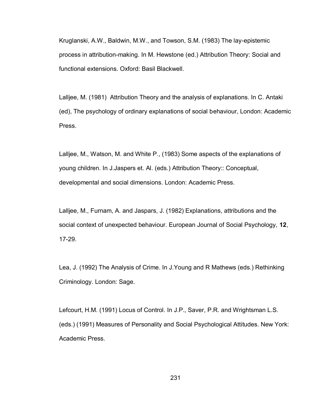Kruglanski, A.W., Baldwin, M.W., and Towson, S.M. (1983) The lay-epistemic process in attribution-making. In M. Hewstone (ed.) Attribution Theory: Social and functional extensions. Oxford: Basil Blackwell.

Lalljee, M. (1981) Attribution Theory and the analysis of explanations. In C. Antaki (ed), The psychology of ordinary explanations of social behaviour, London: Academic Press.

Lalljee, M., Watson, M. and White P., (1983) Some aspects of the explanations of young children. In J.Jaspers et. Al. (eds.) Attribution Theory:: Conceptual, developmental and social dimensions. London: Academic Press.

Lalljee, M., Furnam, A. and Jaspars, J. (1982) Explanations, attributions and the social context of unexpected behaviour. European Journal of Social Psychology, **12**, 17-29.

Lea, J. (1992) The Analysis of Crime. In J.Young and R Mathews (eds.) Rethinking Criminology. London: Sage.

Lefcourt, H.M. (1991) Locus of Control. In J.P., Saver, P.R. and Wrightsman L.S. (eds.) (1991) Measures of Personality and Social Psychological Attitudes. New York: Academic Press.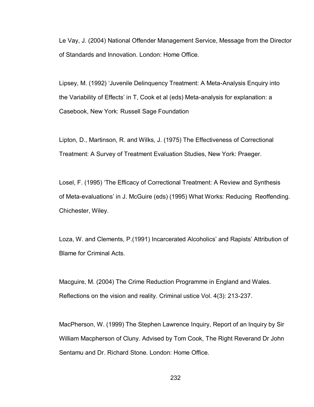Le Vay, J. (2004) National Offender Management Service, Message from the Director of Standards and Innovation. London: Home Office.

Lipsey, M. (1992) "Juvenile Delinquency Treatment: A Meta-Analysis Enquiry into the Variability of Effects" in T, Cook et al (eds) Meta-analysis for explanation: a Casebook, New York: Russell Sage Foundation

Lipton, D., Martinson, R. and Wilks, J. (1975) The Effectiveness of Correctional Treatment: A Survey of Treatment Evaluation Studies, New York: Praeger.

Losel, F. (1995) "The Efficacy of Correctional Treatment: A Review and Synthesis of Meta-evaluations" in J. McGuire (eds) (1995) What Works: Reducing Reoffending. Chichester, Wiley.

Loza, W. and Clements, P.(1991) Incarcerated Alcoholics" and Rapists" Attribution of Blame for Criminal Acts.

Macguire, M. (2004) The Crime Reduction Programme in England and Wales. Reflections on the vision and reality. Criminal ustice Vol. 4(3): 213-237.

MacPherson, W. (1999) The Stephen Lawrence Inquiry, Report of an Inquiry by Sir William Macpherson of Cluny. Advised by Tom Cook, The Right Reverand Dr John Sentamu and Dr. Richard Stone. London: Home Office.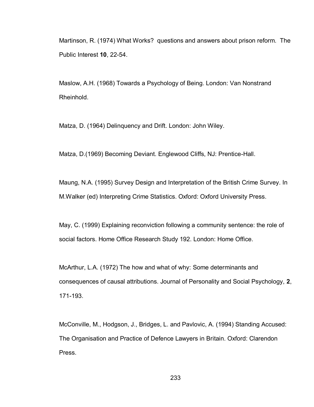Martinson, R. (1974) What Works? questions and answers about prison reform. The Public Interest **10**, 22-54.

Maslow, A.H. (1968) Towards a Psychology of Being. London: Van Nonstrand Rheinhold.

Matza, D. (1964) Delinquency and Drift. London: John Wiley.

Matza, D.(1969) Becoming Deviant. Englewood Cliffs, NJ: Prentice-Hall.

Maung, N.A. (1995) Survey Design and Interpretation of the British Crime Survey. In M.Walker (ed) Interpreting Crime Statistics. Oxford: Oxford University Press.

May, C. (1999) Explaining reconviction following a community sentence: the role of social factors. Home Office Research Study 192. London: Home Office.

McArthur, L.A. (1972) The how and what of why: Some determinants and consequences of causal attributions. Journal of Personality and Social Psychology, **2**, 171-193.

McConville, M., Hodgson, J., Bridges, L. and Pavlovic, A. (1994) Standing Accused: The Organisation and Practice of Defence Lawyers in Britain. Oxford: Clarendon Press.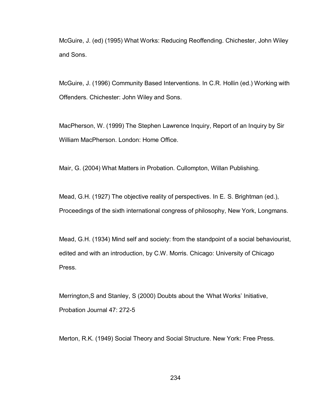McGuire, J. (ed) (1995) What Works: Reducing Reoffending. Chichester, John Wiley and Sons.

McGuire, J. (1996) Community Based Interventions. In C.R. Hollin (ed.) Working with Offenders. Chichester: John Wiley and Sons.

MacPherson, W. (1999) The Stephen Lawrence Inquiry, Report of an Inquiry by Sir William MacPherson. London: Home Office.

Mair, G. (2004) What Matters in Probation. Cullompton, Willan Publishing.

Mead, G.H. (1927) The objective reality of perspectives. In E. S. Brightman (ed.), Proceedings of the sixth international congress of philosophy, New York, Longmans.

Mead, G.H. (1934) Mind self and society: from the standpoint of a social behaviourist, edited and with an introduction, by C.W. Morris. Chicago: University of Chicago Press.

Merrington,S and Stanley, S (2000) Doubts about the "What Works" Initiative, Probation Journal 47: 272-5

Merton, R.K. (1949) Social Theory and Social Structure. New York: Free Press.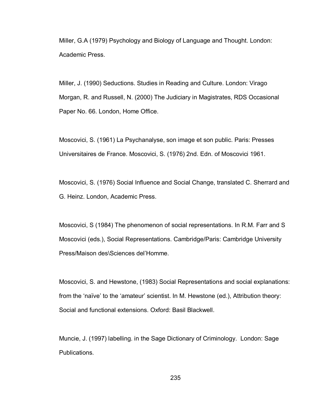Miller, G.A (1979) Psychology and Biology of Language and Thought. London: Academic Press.

Miller, J. (1990) Seductions. Studies in Reading and Culture. London: Virago Morgan, R. and Russell, N. (2000) The Judiciary in Magistrates, RDS Occasional Paper No. 66. London, Home Office.

Moscovici, S. (1961) La Psychanalyse, son image et son public. Paris: Presses Universitaires de France. Moscovici, S. (1976) 2nd. Edn. of Moscovici 1961.

Moscovici, S. (1976) Social Influence and Social Change, translated C. Sherrard and G. Heinz. London, Academic Press.

Moscovici, S (1984) The phenomenon of social representations. In R.M. Farr and S Moscovici (eds.), Social Representations. Cambridge/Paris: Cambridge University Press/Maison des\Sciences del"Homme.

Moscovici, S. and Hewstone, (1983) Social Representations and social explanations: from the "naïve" to the "amateur" scientist. In M. Hewstone (ed.), Attribution theory: Social and functional extensions. Oxford: Basil Blackwell.

Muncie, J. (1997) labelling. in the Sage Dictionary of Criminology. London: Sage Publications.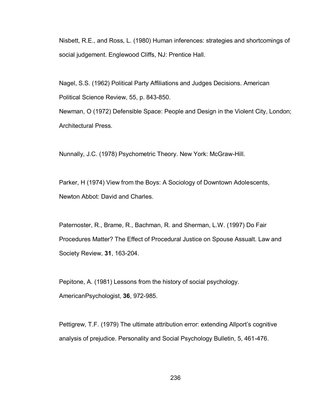Nisbett, R.E., and Ross, L. (1980) Human inferences: strategies and shortcomings of social judgement. Englewood Cliffs, NJ: Prentice Hall.

Nagel, S.S. (1962) Political Party Affiliations and Judges Decisions. American Political Science Review, 55, p. 843-850.

Newman, O (1972) Defensible Space: People and Design in the Violent City, London; Architectural Press.

Nunnally, J.C. (1978) Psychometric Theory. New York: McGraw-Hill.

Parker, H (1974) View from the Boys: A Sociology of Downtown Adolescents, Newton Abbot: David and Charles.

Paternoster, R., Brame, R., Bachman, R. and Sherman, L.W. (1997) Do Fair Procedures Matter? The Effect of Procedural Justice on Spouse Assualt. Law and Society Review, **31**, 163-204.

Pepitone, A. (1981) Lessons from the history of social psychology. AmericanPsychologist, **36**, 972-985.

Pettigrew, T.F. (1979) The ultimate attribution error: extending Allport's cognitive analysis of prejudice. Personality and Social Psychology Bulletin, 5, 461-476.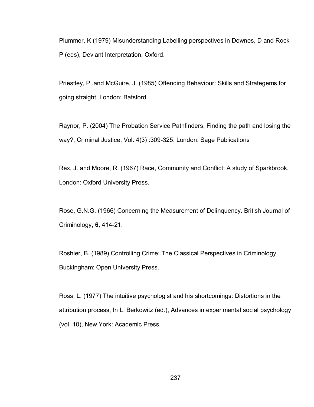Plummer, K (1979) Misunderstanding Labelling perspectives in Downes, D and Rock P (eds), Deviant Interpretation, Oxford.

Priestley, P..and McGuire, J. (1985) Offending Behaviour: Skills and Strategems for going straight. London: Batsford.

Raynor, P. (2004) The Probation Service Pathfinders, Finding the path and losing the way?, Criminal Justice, Vol. 4(3) :309-325. London: Sage Publications

Rex, J. and Moore, R. (1967) Race, Community and Conflict: A study of Sparkbrook. London: Oxford University Press.

Rose, G.N.G. (1966) Concerning the Measurement of Delinquency. British Journal of Criminology, **6**, 414-21.

Roshier, B. (1989) Controlling Crime: The Classical Perspectives in Criminology. Buckingham: Open University Press.

Ross, L. (1977) The intuitive psychologist and his shortcomings: Distortions in the attribution process, In L. Berkowitz (ed.), Advances in experimental social psychology (vol. 10), New York: Academic Press.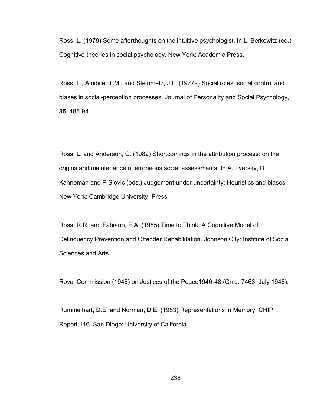Ross, L. (1978) Some afterthoughts on the intuitive psychologist. In L. Berkowitz (ed.) Cognitive theories in social psychology. New York: Academic Press.

Ross. L , Amibile, T.M., and Steinmetz, J.L. (1977a) Social roles, social control and biases in social-perception processes. Journal of Personality and Social Psychology, **35**, 485-94.

Ross, L. and Anderson, C. (1982) Shortcomings in the attribution process: on the origins and maintenance of erroneous social assessments. In A. Tversky, D Kahneman and P Slovic (eds.) Judgement under uncertainty: Heuristics and biases. New York: Cambridge University Press.

Ross, R.R. and Fabiano, E.A. (1985) Time to Think; A Cognitive Model of Delinquency Prevention and Offender Rehabilitation. Johnson City: Institute of Social Sciences and Arts.

Royal Commission (1948) on Justices of the Peace1946-48 (Cmd. 7463, July 1948).

Rummelhart, D.E. and Norman, D.E. (1983) Representations in Memory. CHIP Report 116. San Diego: University of California.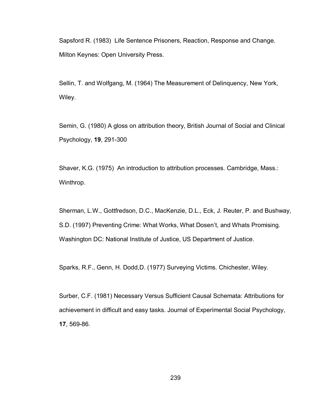Sapsford R. (1983) Life Sentence Prisoners, Reaction, Response and Change. Milton Keynes: Open University Press.

Sellin, T. and Wolfgang, M. (1964) The Measurement of Delinquency, New York, Wiley.

Semin, G. (1980) A gloss on attribution theory, British Journal of Social and Clinical Psychology, **19**, 291-300

Shaver, K.G. (1975) An introduction to attribution processes. Cambridge, Mass.: Winthrop.

Sherman, L.W., Gottfredson, D.C., MacKenzie, D.L., Eck, J. Reuter, P. and Bushway, S.D. (1997) Preventing Crime: What Works, What Dosen"t, and Whats Promising. Washington DC: National Institute of Justice, US Department of Justice.

Sparks, R.F., Genn, H. Dodd,D. (1977) Surveying Victims. Chichester, Wiley.

Surber, C.F. (1981) Necessary Versus Sufficient Causal Schemata: Attributions for achievement in difficult and easy tasks. Journal of Experimental Social Psychology, **17**, 569-86.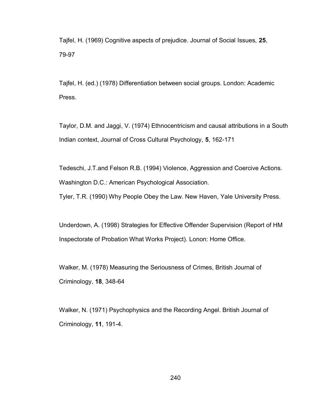Tajfel, H. (1969) Cognitive aspects of prejudice. Journal of Social Issues, **25**, 79-97

Tajfel, H. (ed.) (1978) Differentiation between social groups. London: Academic Press.

Taylor, D.M. and Jaggi, V. (1974) Ethnocentricism and causal attributions in a South Indian context, Journal of Cross Cultural Psychology, **5**, 162-171

Tedeschi, J.T.and Felson R.B. (1994) Violence, Aggression and Coercive Actions. Washington D.C.: American Psychological Association.

Tyler, T.R. (1990) Why People Obey the Law. New Haven, Yale University Press.

Underdown, A. (1998) Strategies for Effective Offender Supervision (Report of HM Inspectorate of Probation What Works Project). Lonon: Home Office.

Walker, M. (1978) Measuring the Seriousness of Crimes, British Journal of Criminology, **18**, 348-64

Walker, N. (1971) Psychophysics and the Recording Angel. British Journal of Criminology, **11**, 191-4.